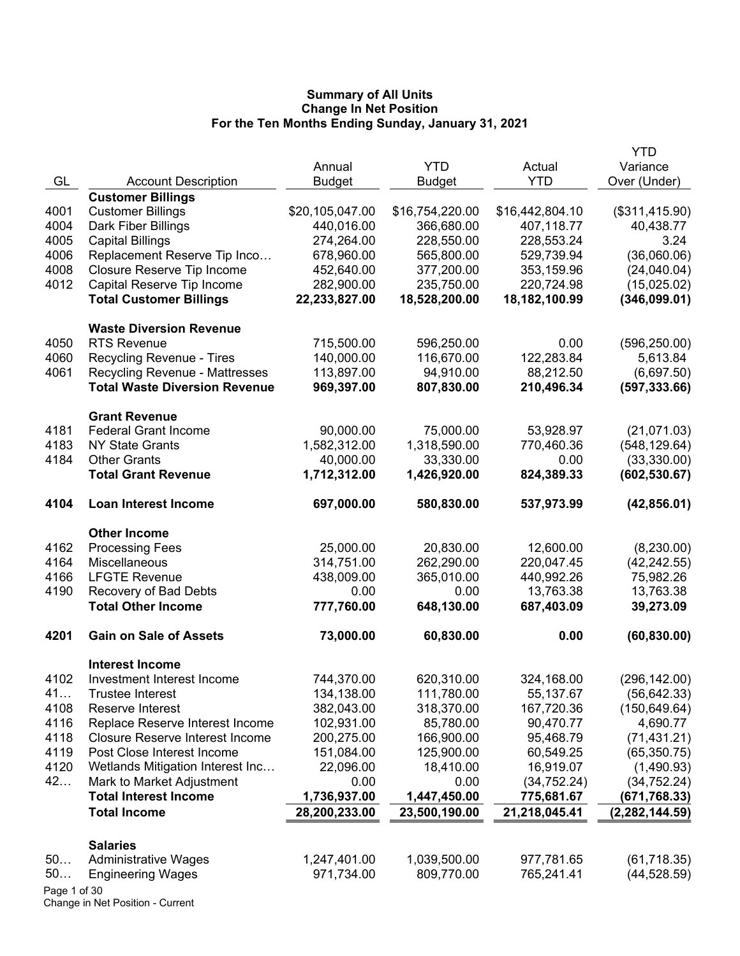|                                                                                           | <b>YTD</b>                   |
|-------------------------------------------------------------------------------------------|------------------------------|
| <b>YTD</b><br>Actual<br>Annual                                                            | Variance                     |
| GL<br><b>YTD</b><br><b>Account Description</b><br><b>Budget</b><br><b>Budget</b>          | Over (Under)                 |
| <b>Customer Billings</b>                                                                  |                              |
| \$20,105,047.00<br>4001<br><b>Customer Billings</b><br>\$16,754,220.00<br>\$16,442,804.10 | (\$311,415.90)               |
| 4004<br>Dark Fiber Billings<br>440,016.00<br>366,680.00<br>407,118.77                     | 40,438.77                    |
| 4005<br><b>Capital Billings</b><br>274,264.00<br>228,550.00<br>228,553.24                 | 3.24                         |
| 4006<br>Replacement Reserve Tip Inco<br>565,800.00<br>678,960.00<br>529,739.94            | (36,060.06)                  |
| 4008<br>Closure Reserve Tip Income<br>452,640.00<br>377,200.00<br>353,159.96              | (24,040.04)                  |
| 4012<br>Capital Reserve Tip Income<br>282,900.00<br>235,750.00<br>220,724.98              | (15,025.02)                  |
| <b>Total Customer Billings</b><br>22,233,827.00<br>18,528,200.00<br>18,182,100.99         | (346,099.01)                 |
| <b>Waste Diversion Revenue</b>                                                            |                              |
| 4050<br><b>RTS Revenue</b><br>715,500.00<br>596,250.00                                    | 0.00<br>(596, 250.00)        |
| 122,283.84<br>4060<br>Recycling Revenue - Tires<br>140,000.00<br>116,670.00               | 5,613.84                     |
| 4061<br><b>Recycling Revenue - Mattresses</b><br>113,897.00<br>94,910.00                  | (6,697.50)<br>88,212.50      |
| <b>Total Waste Diversion Revenue</b><br>969,397.00<br>807,830.00<br>210,496.34            | (597, 333.66)                |
| <b>Grant Revenue</b>                                                                      |                              |
| <b>Federal Grant Income</b><br>4181<br>90,000.00<br>75,000.00<br>53,928.97                | (21,071.03)                  |
| 4183<br>1,318,590.00<br><b>NY State Grants</b><br>1,582,312.00<br>770,460.36              | (548, 129.64)                |
| 4184<br><b>Other Grants</b><br>40,000.00<br>33,330.00                                     | 0.00<br>(33,330.00)          |
| <b>Total Grant Revenue</b><br>1,712,312.00<br>1,426,920.00<br>824,389.33                  | (602, 530.67)                |
| 4104<br><b>Loan Interest Income</b><br>697,000.00<br>580,830.00<br>537,973.99             | (42, 856.01)                 |
| <b>Other Income</b>                                                                       |                              |
| 4162<br><b>Processing Fees</b><br>25,000.00<br>20,830.00                                  | (8,230.00)<br>12,600.00      |
| 4164<br>Miscellaneous<br>314,751.00<br>262,290.00<br>220,047.45                           | (42, 242.55)                 |
| 4166<br><b>LFGTE Revenue</b><br>438,009.00<br>365,010.00<br>440,992.26                    | 75,982.26                    |
| 4190<br>Recovery of Bad Debts<br>0.00<br>0.00                                             | 13,763.38<br>13,763.38       |
| <b>Total Other Income</b><br>777,760.00<br>648,130.00<br>687,403.09                       | 39,273.09                    |
| 4201<br><b>Gain on Sale of Assets</b><br>73,000.00<br>60,830.00                           | (60, 830.00)<br>0.00         |
| <b>Interest Income</b>                                                                    |                              |
| 4102<br>Investment Interest Income<br>744,370.00<br>620,310.00<br>324,168.00              | (296, 142.00)                |
| 134,138.00<br>111,780.00<br>41<br>Trustee Interest                                        | 55,137.67<br>(56, 642.33)    |
| 382,043.00<br>318,370.00<br>4108<br>167,720.36<br>Reserve Interest                        | (150, 649.64)                |
| 4116<br>102,931.00<br>85,780.00<br>90,470.77<br>Replace Reserve Interest Income           | 4,690.77                     |
| 4118<br><b>Closure Reserve Interest Income</b><br>200,275.00<br>166,900.00<br>95,468.79   | (71, 431.21)                 |
| 4119<br>Post Close Interest Income<br>151,084.00<br>125,900.00                            | 60,549.25<br>(65, 350.75)    |
| 4120<br>Wetlands Mitigation Interest Inc<br>22,096.00<br>18,410.00                        | 16,919.07<br>(1,490.93)      |
| 42<br>Mark to Market Adjustment<br>0.00<br>0.00                                           | (34, 752.24)<br>(34, 752.24) |
| <b>Total Interest Income</b><br>1,736,937.00<br>1,447,450.00<br>775,681.67                | (671, 768.33)                |
| <b>Total Income</b><br>28,200,233.00<br>23,500,190.00<br>21,218,045.41                    | (2, 282, 144.59)             |
| <b>Salaries</b>                                                                           |                              |
| 1,247,401.00<br>1,039,500.00<br>977,781.65<br>50<br><b>Administrative Wages</b>           | (61,718.35)                  |
| 50<br>971,734.00<br>809,770.00<br>765,241.41<br><b>Engineering Wages</b>                  | (44, 528.59)                 |
| Page 1 of 30                                                                              |                              |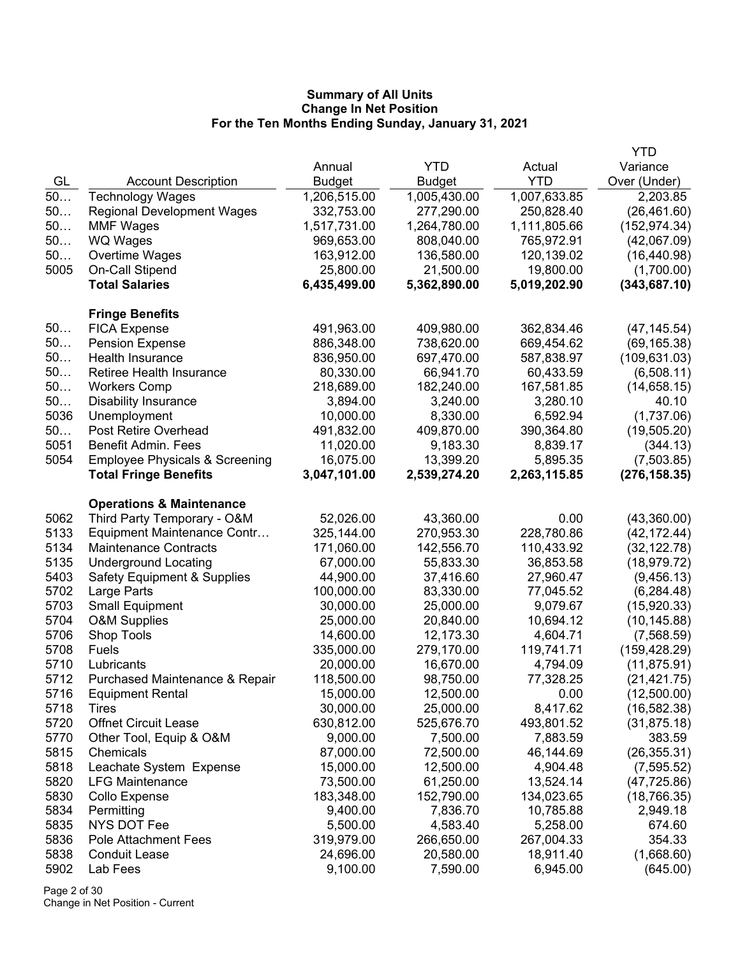|      |                                           |              |              |              | YTD           |
|------|-------------------------------------------|--------------|--------------|--------------|---------------|
|      |                                           | Annual       | <b>YTD</b>   | Actual       | Variance      |
| GL   | <b>Account Description</b>                | Budget       | Budget       | <b>YTD</b>   | Over (Under)  |
| $50$ | <b>Technology Wages</b>                   | 1,206,515.00 | 1,005,430.00 | 1,007,633.85 | 2,203.85      |
| 50   | <b>Regional Development Wages</b>         | 332,753.00   | 277,290.00   | 250,828.40   | (26, 461.60)  |
| 50   | <b>MMF Wages</b>                          | 1,517,731.00 | 1,264,780.00 | 1,111,805.66 | (152, 974.34) |
| 50   | <b>WQ Wages</b>                           | 969,653.00   | 808,040.00   | 765,972.91   | (42,067.09)   |
| 50   | Overtime Wages                            | 163,912.00   | 136,580.00   | 120,139.02   | (16, 440.98)  |
| 5005 | On-Call Stipend                           | 25,800.00    | 21,500.00    | 19,800.00    | (1,700.00)    |
|      | <b>Total Salaries</b>                     | 6,435,499.00 | 5,362,890.00 | 5,019,202.90 | (343, 687.10) |
|      | <b>Fringe Benefits</b>                    |              |              |              |               |
| 50   | <b>FICA Expense</b>                       | 491,963.00   | 409,980.00   | 362,834.46   | (47, 145.54)  |
| 50   | <b>Pension Expense</b>                    | 886,348.00   | 738,620.00   | 669,454.62   | (69, 165.38)  |
| 50   | Health Insurance                          | 836,950.00   | 697,470.00   | 587,838.97   | (109, 631.03) |
| 50   | Retiree Health Insurance                  | 80,330.00    | 66,941.70    | 60,433.59    | (6,508.11)    |
| 50   | <b>Workers Comp</b>                       | 218,689.00   | 182,240.00   | 167,581.85   | (14,658.15)   |
| 50   | <b>Disability Insurance</b>               | 3,894.00     | 3,240.00     | 3,280.10     | 40.10         |
| 5036 | Unemployment                              | 10,000.00    | 8,330.00     | 6,592.94     | (1,737.06)    |
| 50   | <b>Post Retire Overhead</b>               | 491,832.00   | 409,870.00   | 390,364.80   | (19,505.20)   |
| 5051 | <b>Benefit Admin. Fees</b>                | 11,020.00    | 9,183.30     | 8,839.17     | (344.13)      |
| 5054 | <b>Employee Physicals &amp; Screening</b> | 16,075.00    | 13,399.20    | 5,895.35     | (7,503.85)    |
|      | <b>Total Fringe Benefits</b>              | 3,047,101.00 | 2,539,274.20 | 2,263,115.85 | (276, 158.35) |
|      | <b>Operations &amp; Maintenance</b>       |              |              |              |               |
| 5062 | Third Party Temporary - O&M               | 52,026.00    | 43,360.00    | 0.00         | (43,360.00)   |
| 5133 | Equipment Maintenance Contr               | 325,144.00   | 270,953.30   | 228,780.86   | (42, 172.44)  |
| 5134 | <b>Maintenance Contracts</b>              | 171,060.00   | 142,556.70   | 110,433.92   | (32, 122.78)  |
| 5135 | <b>Underground Locating</b>               | 67,000.00    | 55,833.30    | 36,853.58    | (18, 979.72)  |
| 5403 | <b>Safety Equipment &amp; Supplies</b>    | 44,900.00    | 37,416.60    | 27,960.47    | (9,456.13)    |
| 5702 | Large Parts                               | 100,000.00   | 83,330.00    | 77,045.52    | (6, 284.48)   |
| 5703 | <b>Small Equipment</b>                    | 30,000.00    | 25,000.00    | 9,079.67     | (15,920.33)   |
| 5704 | <b>O&amp;M Supplies</b>                   | 25,000.00    | 20,840.00    | 10,694.12    | (10, 145.88)  |
| 5706 | Shop Tools                                | 14,600.00    | 12,173.30    | 4,604.71     | (7,568.59)    |
| 5708 | <b>Fuels</b>                              | 335,000.00   | 279,170.00   | 119,741.71   | (159, 428.29) |
| 5710 | Lubricants                                | 20,000.00    | 16,670.00    | 4,794.09     | (11, 875.91)  |
| 5712 | Purchased Maintenance & Repair            | 118,500.00   | 98,750.00    | 77,328.25    | (21, 421.75)  |
| 5716 | <b>Equipment Rental</b>                   | 15,000.00    | 12,500.00    | 0.00         | (12,500.00)   |
| 5718 | Tires                                     | 30,000.00    | 25,000.00    | 8,417.62     | (16, 582.38)  |
| 5720 | <b>Offnet Circuit Lease</b>               | 630,812.00   | 525,676.70   | 493,801.52   | (31, 875.18)  |
| 5770 | Other Tool, Equip & O&M                   | 9,000.00     | 7,500.00     | 7,883.59     | 383.59        |
| 5815 | Chemicals                                 | 87,000.00    | 72,500.00    | 46,144.69    | (26, 355.31)  |
| 5818 | Leachate System Expense                   | 15,000.00    | 12,500.00    | 4,904.48     | (7, 595.52)   |
| 5820 | <b>LFG Maintenance</b>                    | 73,500.00    | 61,250.00    | 13,524.14    | (47, 725.86)  |
| 5830 | Collo Expense                             | 183,348.00   | 152,790.00   | 134,023.65   | (18, 766.35)  |
| 5834 | Permitting                                | 9,400.00     | 7,836.70     | 10,785.88    | 2,949.18      |
| 5835 | NYS DOT Fee                               | 5,500.00     | 4,583.40     | 5,258.00     | 674.60        |
| 5836 | Pole Attachment Fees                      | 319,979.00   | 266,650.00   | 267,004.33   | 354.33        |
| 5838 | <b>Conduit Lease</b>                      | 24,696.00    | 20,580.00    | 18,911.40    | (1,668.60)    |
| 5902 | Lab Fees                                  | 9,100.00     | 7,590.00     | 6,945.00     | (645.00)      |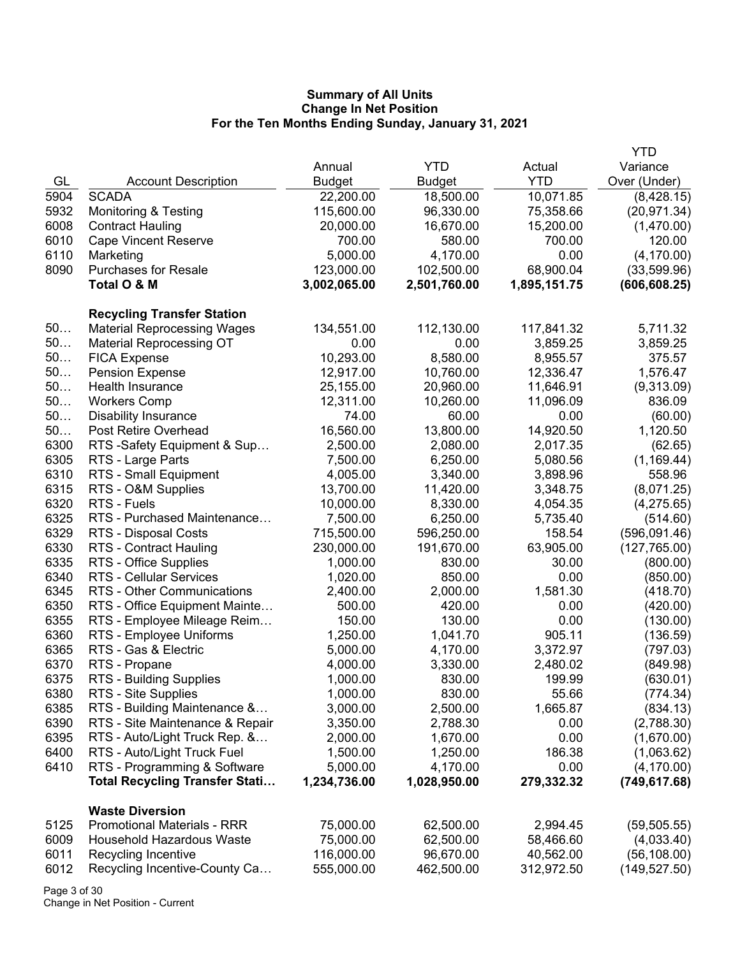|      |                                       |              |               |              | <b>YTD</b>               |
|------|---------------------------------------|--------------|---------------|--------------|--------------------------|
|      |                                       | Annual       | <b>YTD</b>    | Actual       | Variance                 |
| GL   | <b>Account Description</b>            | Budget       | <b>Budget</b> | <b>YTD</b>   | Over (Under)             |
| 5904 | <b>SCADA</b>                          | 22,200.00    | 18,500.00     | 10,071.85    | (8,428.15)               |
| 5932 | <b>Monitoring &amp; Testing</b>       | 115,600.00   | 96,330.00     | 75,358.66    | (20, 971.34)             |
| 6008 | <b>Contract Hauling</b>               | 20,000.00    | 16,670.00     | 15,200.00    | (1,470.00)               |
| 6010 | <b>Cape Vincent Reserve</b>           | 700.00       | 580.00        | 700.00       | 120.00                   |
| 6110 | Marketing                             | 5,000.00     | 4,170.00      | 0.00         | (4, 170.00)              |
| 8090 | <b>Purchases for Resale</b>           | 123,000.00   | 102,500.00    | 68,900.04    | (33,599.96)              |
|      | Total O & M                           | 3,002,065.00 | 2,501,760.00  | 1,895,151.75 | (606, 608.25)            |
|      |                                       |              |               |              |                          |
|      | <b>Recycling Transfer Station</b>     |              |               |              |                          |
| 50   | <b>Material Reprocessing Wages</b>    | 134,551.00   | 112,130.00    | 117,841.32   | 5,711.32                 |
| $50$ | <b>Material Reprocessing OT</b>       | 0.00         | 0.00          | 3,859.25     | 3,859.25                 |
| 50   | <b>FICA Expense</b>                   | 10,293.00    | 8,580.00      | 8,955.57     | 375.57                   |
| 50   | <b>Pension Expense</b>                | 12,917.00    | 10,760.00     | 12,336.47    | 1,576.47                 |
| 50   | Health Insurance                      | 25,155.00    | 20,960.00     | 11,646.91    | (9,313.09)               |
| 50   | <b>Workers Comp</b>                   | 12,311.00    | 10,260.00     | 11,096.09    | 836.09                   |
| 50   | <b>Disability Insurance</b>           | 74.00        | 60.00         | 0.00         | (60.00)                  |
| 50   | Post Retire Overhead                  | 16,560.00    | 13,800.00     | 14,920.50    | 1,120.50                 |
| 6300 | RTS -Safety Equipment & Sup           | 2,500.00     | 2,080.00      | 2,017.35     | (62.65)                  |
| 6305 | RTS - Large Parts                     | 7,500.00     | 6,250.00      | 5,080.56     | (1, 169.44)              |
| 6310 | RTS - Small Equipment                 | 4,005.00     | 3,340.00      | 3,898.96     | 558.96                   |
| 6315 | RTS - O&M Supplies                    | 13,700.00    | 11,420.00     | 3,348.75     | (8,071.25)               |
| 6320 | RTS - Fuels                           | 10,000.00    | 8,330.00      | 4,054.35     | (4,275.65)               |
| 6325 | RTS - Purchased Maintenance           | 7,500.00     | 6,250.00      | 5,735.40     |                          |
| 6329 | RTS - Disposal Costs                  | 715,500.00   | 596,250.00    | 158.54       | (514.60)<br>(596,091.46) |
| 6330 |                                       |              |               |              |                          |
|      | RTS - Contract Hauling                | 230,000.00   | 191,670.00    | 63,905.00    | (127, 765.00)            |
| 6335 | RTS - Office Supplies                 | 1,000.00     | 830.00        | 30.00        | (800.00)                 |
| 6340 | <b>RTS - Cellular Services</b>        | 1,020.00     | 850.00        | 0.00         | (850.00)                 |
| 6345 | RTS - Other Communications            | 2,400.00     | 2,000.00      | 1,581.30     | (418.70)                 |
| 6350 | RTS - Office Equipment Mainte         | 500.00       | 420.00        | 0.00         | (420.00)                 |
| 6355 | RTS - Employee Mileage Reim           | 150.00       | 130.00        | 0.00         | (130.00)                 |
| 6360 | RTS - Employee Uniforms               | 1,250.00     | 1,041.70      | 905.11       | (136.59)                 |
| 6365 | RTS - Gas & Electric                  | 5,000.00     | 4,170.00      | 3,372.97     | (797.03)                 |
| 6370 | RTS - Propane                         | 4,000.00     | 3,330.00      | 2,480.02     | (849.98)                 |
| 6375 | <b>RTS - Building Supplies</b>        | 1,000.00     | 830.00        | 199.99       | (630.01)                 |
| 6380 | RTS - Site Supplies                   | 1,000.00     | 830.00        | 55.66        | (774.34)                 |
| 6385 | RTS - Building Maintenance &          | 3,000.00     | 2,500.00      | 1,665.87     | (834.13)                 |
| 6390 | RTS - Site Maintenance & Repair       | 3,350.00     | 2,788.30      | 0.00         | (2,788.30)               |
| 6395 | RTS - Auto/Light Truck Rep. &         | 2,000.00     | 1,670.00      | 0.00         | (1,670.00)               |
| 6400 | RTS - Auto/Light Truck Fuel           | 1,500.00     | 1,250.00      | 186.38       | (1,063.62)               |
| 6410 | RTS - Programming & Software          | 5,000.00     | 4,170.00      | 0.00         | (4, 170.00)              |
|      | <b>Total Recycling Transfer Stati</b> | 1,234,736.00 | 1,028,950.00  | 279,332.32   | (749, 617.68)            |
|      | <b>Waste Diversion</b>                |              |               |              |                          |
| 5125 | <b>Promotional Materials - RRR</b>    | 75,000.00    | 62,500.00     | 2,994.45     | (59, 505.55)             |
| 6009 | <b>Household Hazardous Waste</b>      | 75,000.00    | 62,500.00     | 58,466.60    | (4,033.40)               |
| 6011 | Recycling Incentive                   | 116,000.00   | 96,670.00     | 40,562.00    | (56, 108.00)             |
| 6012 | Recycling Incentive-County Ca         | 555,000.00   | 462,500.00    | 312,972.50   | (149, 527.50)            |
|      |                                       |              |               |              |                          |

Page 3 of 30 Change in Net Position - Current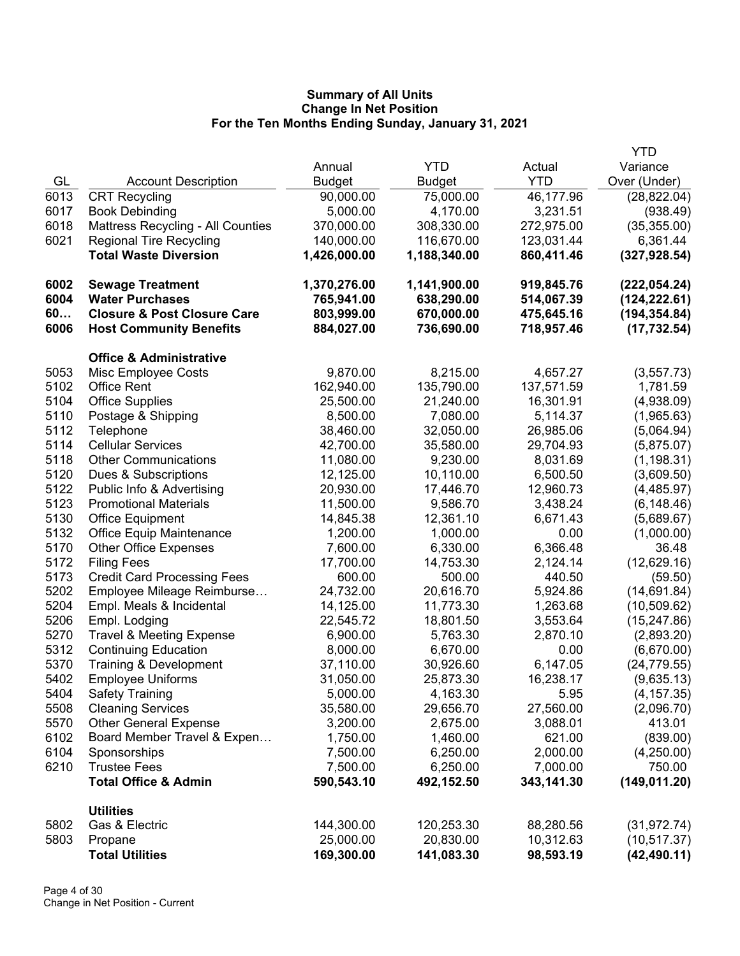|      |                                        |               |               |            | <b>YTD</b>    |
|------|----------------------------------------|---------------|---------------|------------|---------------|
|      |                                        | Annual        | <b>YTD</b>    | Actual     | Variance      |
| GL   | <b>Account Description</b>             | <b>Budget</b> | <b>Budget</b> | <b>YTD</b> | Over (Under)  |
| 6013 | <b>CRT Recycling</b>                   | 90,000.00     | 75,000.00     | 46,177.96  | (28, 822.04)  |
| 6017 | <b>Book Debinding</b>                  | 5,000.00      | 4,170.00      | 3,231.51   | (938.49)      |
| 6018 | Mattress Recycling - All Counties      | 370,000.00    | 308,330.00    | 272,975.00 | (35, 355.00)  |
| 6021 | <b>Regional Tire Recycling</b>         | 140,000.00    | 116,670.00    | 123,031.44 | 6,361.44      |
|      | <b>Total Waste Diversion</b>           | 1,426,000.00  | 1,188,340.00  | 860,411.46 | (327, 928.54) |
| 6002 | <b>Sewage Treatment</b>                | 1,370,276.00  | 1,141,900.00  | 919,845.76 | (222, 054.24) |
| 6004 | <b>Water Purchases</b>                 | 765,941.00    | 638,290.00    | 514,067.39 | (124, 222.61) |
| 60   | <b>Closure &amp; Post Closure Care</b> | 803,999.00    | 670,000.00    | 475,645.16 | (194, 354.84) |
| 6006 | <b>Host Community Benefits</b>         | 884,027.00    | 736,690.00    | 718,957.46 | (17, 732.54)  |
|      | <b>Office &amp; Administrative</b>     |               |               |            |               |
| 5053 | Misc Employee Costs                    | 9,870.00      | 8,215.00      | 4,657.27   | (3, 557.73)   |
| 5102 | <b>Office Rent</b>                     | 162,940.00    | 135,790.00    | 137,571.59 | 1,781.59      |
| 5104 | <b>Office Supplies</b>                 | 25,500.00     | 21,240.00     | 16,301.91  | (4,938.09)    |
| 5110 | Postage & Shipping                     | 8,500.00      | 7,080.00      | 5,114.37   | (1,965.63)    |
| 5112 | Telephone                              | 38,460.00     | 32,050.00     | 26,985.06  | (5,064.94)    |
| 5114 | <b>Cellular Services</b>               | 42,700.00     | 35,580.00     | 29,704.93  | (5,875.07)    |
| 5118 | <b>Other Communications</b>            | 11,080.00     | 9,230.00      | 8,031.69   | (1, 198.31)   |
| 5120 | Dues & Subscriptions                   | 12,125.00     | 10,110.00     | 6,500.50   | (3,609.50)    |
| 5122 | Public Info & Advertising              | 20,930.00     | 17,446.70     | 12,960.73  | (4, 485.97)   |
| 5123 | <b>Promotional Materials</b>           | 11,500.00     | 9,586.70      | 3,438.24   | (6,148.46)    |
| 5130 | <b>Office Equipment</b>                | 14,845.38     | 12,361.10     | 6,671.43   | (5,689.67)    |
| 5132 | Office Equip Maintenance               | 1,200.00      | 1,000.00      | 0.00       | (1,000.00)    |
| 5170 | <b>Other Office Expenses</b>           | 7,600.00      | 6,330.00      | 6,366.48   | 36.48         |
| 5172 | <b>Filing Fees</b>                     | 17,700.00     | 14,753.30     | 2,124.14   | (12,629.16)   |
| 5173 | <b>Credit Card Processing Fees</b>     | 600.00        | 500.00        | 440.50     | (59.50)       |
| 5202 | Employee Mileage Reimburse             | 24,732.00     | 20,616.70     | 5,924.86   | (14,691.84)   |
| 5204 | Empl. Meals & Incidental               | 14,125.00     | 11,773.30     | 1,263.68   | (10, 509.62)  |
| 5206 | Empl. Lodging                          | 22,545.72     | 18,801.50     | 3,553.64   | (15, 247.86)  |
| 5270 | <b>Travel &amp; Meeting Expense</b>    | 6,900.00      | 5,763.30      | 2,870.10   | (2,893.20)    |
| 5312 | <b>Continuing Education</b>            | 8,000.00      | 6,670.00      | 0.00       | (6,670.00)    |
| 5370 | Training & Development                 | 37,110.00     | 30,926.60     | 6,147.05   | (24, 779.55)  |
| 5402 | <b>Employee Uniforms</b>               | 31,050.00     | 25,873.30     | 16,238.17  | (9,635.13)    |
| 5404 | <b>Safety Training</b>                 | 5,000.00      | 4,163.30      | 5.95       | (4, 157.35)   |
| 5508 | <b>Cleaning Services</b>               | 35,580.00     | 29,656.70     | 27,560.00  | (2,096.70)    |
| 5570 | <b>Other General Expense</b>           | 3,200.00      | 2,675.00      | 3,088.01   | 413.01        |
| 6102 | Board Member Travel & Expen            | 1,750.00      | 1,460.00      | 621.00     | (839.00)      |
| 6104 | Sponsorships                           | 7,500.00      | 6,250.00      | 2,000.00   | (4,250.00)    |
| 6210 | <b>Trustee Fees</b>                    | 7,500.00      | 6,250.00      | 7,000.00   | 750.00        |
|      | <b>Total Office &amp; Admin</b>        | 590,543.10    | 492,152.50    | 343,141.30 | (149, 011.20) |
|      | <b>Utilities</b>                       |               |               |            |               |
| 5802 | Gas & Electric                         | 144,300.00    | 120,253.30    | 88,280.56  | (31, 972.74)  |
| 5803 | Propane                                | 25,000.00     | 20,830.00     | 10,312.63  | (10, 517.37)  |
|      | <b>Total Utilities</b>                 | 169,300.00    | 141,083.30    | 98,593.19  | (42, 490.11)  |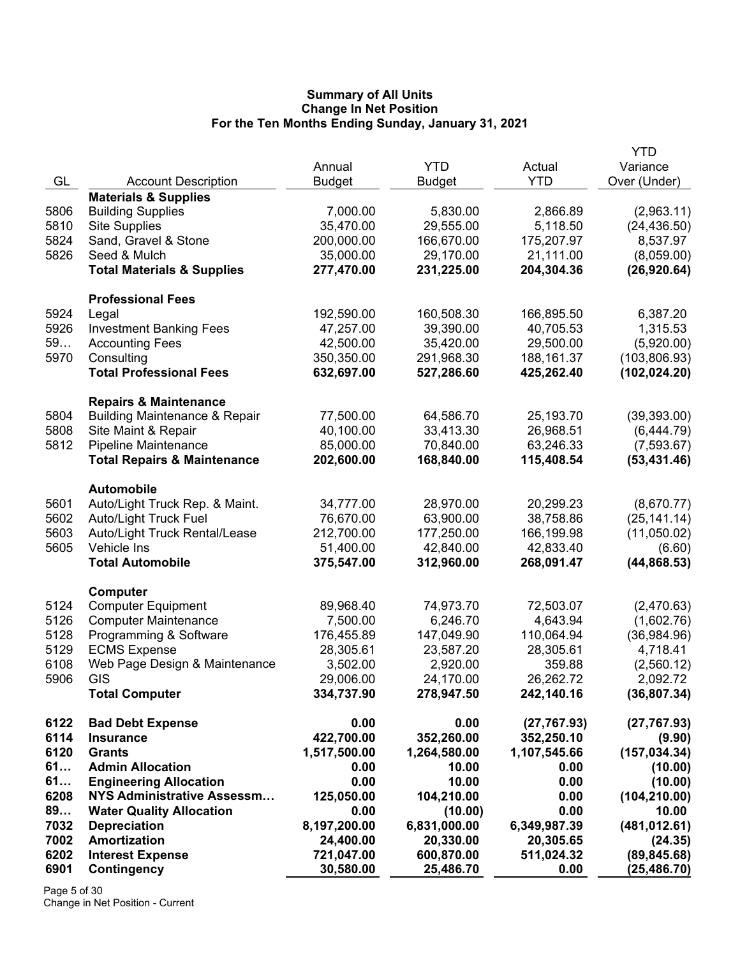| GL<br><b>YTD</b><br>Over (Under)<br><b>Account Description</b><br><b>Budget</b><br><b>Budget</b><br><b>Materials &amp; Supplies</b><br><b>Building Supplies</b><br>7,000.00<br>5,830.00<br>2,866.89<br>(2,963.11)<br>5806<br>5810<br><b>Site Supplies</b><br>35,470.00<br>29,555.00<br>5,118.50<br>(24, 436.50)<br>5824<br>Sand, Gravel & Stone<br>200,000.00<br>166,670.00<br>175,207.97<br>8,537.97<br>5826<br>Seed & Mulch<br>35,000.00<br>29,170.00<br>21,111.00<br>(8,059.00)<br><b>Total Materials &amp; Supplies</b><br>277,470.00<br>231,225.00<br>204,304.36<br>(26,920.64)<br><b>Professional Fees</b><br>5924<br>192,590.00<br>160,508.30<br>166,895.50<br>6,387.20<br>Legal<br>5926<br>47,257.00<br>39,390.00<br>40,705.53<br>1,315.53<br><b>Investment Banking Fees</b><br>59<br>42,500.00<br>35,420.00<br>29,500.00<br>(5,920.00)<br><b>Accounting Fees</b><br>5970<br>Consulting<br>350,350.00<br>291,968.30<br>188, 161.37<br>(103, 806.93)<br><b>Total Professional Fees</b><br>632,697.00<br>527,286.60<br>425,262.40<br>(102, 024.20)<br><b>Repairs &amp; Maintenance</b><br>5804<br><b>Building Maintenance &amp; Repair</b><br>77,500.00<br>64,586.70<br>25,193.70<br>(39, 393.00)<br>5808<br>Site Maint & Repair<br>40,100.00<br>33,413.30<br>26,968.51<br>(6,444.79)<br>5812<br><b>Pipeline Maintenance</b><br>85,000.00<br>70,840.00<br>63,246.33<br>(7,593.67)<br><b>Total Repairs &amp; Maintenance</b><br>168,840.00<br>115,408.54<br>(53, 431.46)<br>202,600.00<br><b>Automobile</b><br>5601<br>Auto/Light Truck Rep. & Maint.<br>34,777.00<br>28,970.00<br>20,299.23<br>(8,670.77)<br>5602<br>Auto/Light Truck Fuel<br>76,670.00<br>63,900.00<br>38,758.86<br>(25, 141.14)<br>5603<br>Auto/Light Truck Rental/Lease<br>212,700.00<br>177,250.00<br>166,199.98<br>(11,050.02)<br>5605<br>51,400.00<br>42,840.00<br>42,833.40<br>Vehicle Ins<br>(6.60)<br><b>Total Automobile</b><br>312,960.00<br>268,091.47<br>(44, 868.53)<br>375,547.00<br>Computer<br>5124<br><b>Computer Equipment</b><br>89,968.40<br>74,973.70<br>72,503.07<br>(2,470.63)<br>5126<br><b>Computer Maintenance</b><br>7,500.00<br>6,246.70<br>4,643.94<br>(1,602.76)<br>5128<br>Programming & Software<br>147,049.90<br>110,064.94<br>(36,984.96)<br>176,455.89<br>5129<br><b>ECMS Expense</b><br>28,305.61<br>23,587.20<br>28,305.61<br>4,718.41<br>6108<br>Web Page Design & Maintenance<br>3,502.00<br>2,920.00<br>(2,560.12)<br>359.88<br>5906<br>GIS<br>29,006.00<br>26,262.72<br>2,092.72<br>24,170.00<br>242,140.16<br>(36, 807.34)<br><b>Total Computer</b><br>334,737.90<br>278,947.50<br>6122<br><b>Bad Debt Expense</b><br>0.00<br>0.00<br>(27, 767.93)<br>(27, 767.93)<br>6114<br>422,700.00<br>352,260.00<br><b>Insurance</b><br>352,250.10<br>(9.90)<br>6120<br>1,517,500.00<br>1,264,580.00<br>(157, 034.34)<br><b>Grants</b><br>1,107,545.66<br>61<br><b>Admin Allocation</b><br>0.00<br>0.00<br>10.00<br>(10.00)<br>61<br>0.00<br>10.00<br>0.00<br>(10.00)<br><b>Engineering Allocation</b><br>6208<br>NYS Administrative Assessm<br>125,050.00<br>104,210.00<br>0.00<br>(104, 210.00)<br>89<br><b>Water Quality Allocation</b><br>0.00<br>0.00<br>10.00<br>(10.00)<br>7032<br><b>Depreciation</b><br>(481, 012.61)<br>8,197,200.00<br>6,831,000.00<br>6,349,987.39<br>7002<br><b>Amortization</b><br>20,305.65<br>24,400.00<br>20,330.00<br>(24.35)<br>6202<br><b>Interest Expense</b><br>721,047.00<br>600,870.00<br>511,024.32<br>(89, 845.68)<br>6901<br>Contingency<br>30,580.00<br>25,486.70<br>0.00<br>(25, 486.70) |  |        |            |        | YTD      |
|----------------------------------------------------------------------------------------------------------------------------------------------------------------------------------------------------------------------------------------------------------------------------------------------------------------------------------------------------------------------------------------------------------------------------------------------------------------------------------------------------------------------------------------------------------------------------------------------------------------------------------------------------------------------------------------------------------------------------------------------------------------------------------------------------------------------------------------------------------------------------------------------------------------------------------------------------------------------------------------------------------------------------------------------------------------------------------------------------------------------------------------------------------------------------------------------------------------------------------------------------------------------------------------------------------------------------------------------------------------------------------------------------------------------------------------------------------------------------------------------------------------------------------------------------------------------------------------------------------------------------------------------------------------------------------------------------------------------------------------------------------------------------------------------------------------------------------------------------------------------------------------------------------------------------------------------------------------------------------------------------------------------------------------------------------------------------------------------------------------------------------------------------------------------------------------------------------------------------------------------------------------------------------------------------------------------------------------------------------------------------------------------------------------------------------------------------------------------------------------------------------------------------------------------------------------------------------------------------------------------------------------------------------------------------------------------------------------------------------------------------------------------------------------------------------------------------------------------------------------------------------------------------------------------------------------------------------------------------------------------------------------------------------------------------------------------------------------------------------------------------------------------------------------------------------------------------------------------------------------------------------------------------------------------------------------------------------------------------------------------------------------------------------------------------------------------------------------------------------------------------------------------------------------------|--|--------|------------|--------|----------|
|                                                                                                                                                                                                                                                                                                                                                                                                                                                                                                                                                                                                                                                                                                                                                                                                                                                                                                                                                                                                                                                                                                                                                                                                                                                                                                                                                                                                                                                                                                                                                                                                                                                                                                                                                                                                                                                                                                                                                                                                                                                                                                                                                                                                                                                                                                                                                                                                                                                                                                                                                                                                                                                                                                                                                                                                                                                                                                                                                                                                                                                                                                                                                                                                                                                                                                                                                                                                                                                                                                                                              |  | Annual | <b>YTD</b> | Actual | Variance |
|                                                                                                                                                                                                                                                                                                                                                                                                                                                                                                                                                                                                                                                                                                                                                                                                                                                                                                                                                                                                                                                                                                                                                                                                                                                                                                                                                                                                                                                                                                                                                                                                                                                                                                                                                                                                                                                                                                                                                                                                                                                                                                                                                                                                                                                                                                                                                                                                                                                                                                                                                                                                                                                                                                                                                                                                                                                                                                                                                                                                                                                                                                                                                                                                                                                                                                                                                                                                                                                                                                                                              |  |        |            |        |          |
|                                                                                                                                                                                                                                                                                                                                                                                                                                                                                                                                                                                                                                                                                                                                                                                                                                                                                                                                                                                                                                                                                                                                                                                                                                                                                                                                                                                                                                                                                                                                                                                                                                                                                                                                                                                                                                                                                                                                                                                                                                                                                                                                                                                                                                                                                                                                                                                                                                                                                                                                                                                                                                                                                                                                                                                                                                                                                                                                                                                                                                                                                                                                                                                                                                                                                                                                                                                                                                                                                                                                              |  |        |            |        |          |
|                                                                                                                                                                                                                                                                                                                                                                                                                                                                                                                                                                                                                                                                                                                                                                                                                                                                                                                                                                                                                                                                                                                                                                                                                                                                                                                                                                                                                                                                                                                                                                                                                                                                                                                                                                                                                                                                                                                                                                                                                                                                                                                                                                                                                                                                                                                                                                                                                                                                                                                                                                                                                                                                                                                                                                                                                                                                                                                                                                                                                                                                                                                                                                                                                                                                                                                                                                                                                                                                                                                                              |  |        |            |        |          |
|                                                                                                                                                                                                                                                                                                                                                                                                                                                                                                                                                                                                                                                                                                                                                                                                                                                                                                                                                                                                                                                                                                                                                                                                                                                                                                                                                                                                                                                                                                                                                                                                                                                                                                                                                                                                                                                                                                                                                                                                                                                                                                                                                                                                                                                                                                                                                                                                                                                                                                                                                                                                                                                                                                                                                                                                                                                                                                                                                                                                                                                                                                                                                                                                                                                                                                                                                                                                                                                                                                                                              |  |        |            |        |          |
|                                                                                                                                                                                                                                                                                                                                                                                                                                                                                                                                                                                                                                                                                                                                                                                                                                                                                                                                                                                                                                                                                                                                                                                                                                                                                                                                                                                                                                                                                                                                                                                                                                                                                                                                                                                                                                                                                                                                                                                                                                                                                                                                                                                                                                                                                                                                                                                                                                                                                                                                                                                                                                                                                                                                                                                                                                                                                                                                                                                                                                                                                                                                                                                                                                                                                                                                                                                                                                                                                                                                              |  |        |            |        |          |
|                                                                                                                                                                                                                                                                                                                                                                                                                                                                                                                                                                                                                                                                                                                                                                                                                                                                                                                                                                                                                                                                                                                                                                                                                                                                                                                                                                                                                                                                                                                                                                                                                                                                                                                                                                                                                                                                                                                                                                                                                                                                                                                                                                                                                                                                                                                                                                                                                                                                                                                                                                                                                                                                                                                                                                                                                                                                                                                                                                                                                                                                                                                                                                                                                                                                                                                                                                                                                                                                                                                                              |  |        |            |        |          |
|                                                                                                                                                                                                                                                                                                                                                                                                                                                                                                                                                                                                                                                                                                                                                                                                                                                                                                                                                                                                                                                                                                                                                                                                                                                                                                                                                                                                                                                                                                                                                                                                                                                                                                                                                                                                                                                                                                                                                                                                                                                                                                                                                                                                                                                                                                                                                                                                                                                                                                                                                                                                                                                                                                                                                                                                                                                                                                                                                                                                                                                                                                                                                                                                                                                                                                                                                                                                                                                                                                                                              |  |        |            |        |          |
|                                                                                                                                                                                                                                                                                                                                                                                                                                                                                                                                                                                                                                                                                                                                                                                                                                                                                                                                                                                                                                                                                                                                                                                                                                                                                                                                                                                                                                                                                                                                                                                                                                                                                                                                                                                                                                                                                                                                                                                                                                                                                                                                                                                                                                                                                                                                                                                                                                                                                                                                                                                                                                                                                                                                                                                                                                                                                                                                                                                                                                                                                                                                                                                                                                                                                                                                                                                                                                                                                                                                              |  |        |            |        |          |
|                                                                                                                                                                                                                                                                                                                                                                                                                                                                                                                                                                                                                                                                                                                                                                                                                                                                                                                                                                                                                                                                                                                                                                                                                                                                                                                                                                                                                                                                                                                                                                                                                                                                                                                                                                                                                                                                                                                                                                                                                                                                                                                                                                                                                                                                                                                                                                                                                                                                                                                                                                                                                                                                                                                                                                                                                                                                                                                                                                                                                                                                                                                                                                                                                                                                                                                                                                                                                                                                                                                                              |  |        |            |        |          |
|                                                                                                                                                                                                                                                                                                                                                                                                                                                                                                                                                                                                                                                                                                                                                                                                                                                                                                                                                                                                                                                                                                                                                                                                                                                                                                                                                                                                                                                                                                                                                                                                                                                                                                                                                                                                                                                                                                                                                                                                                                                                                                                                                                                                                                                                                                                                                                                                                                                                                                                                                                                                                                                                                                                                                                                                                                                                                                                                                                                                                                                                                                                                                                                                                                                                                                                                                                                                                                                                                                                                              |  |        |            |        |          |
|                                                                                                                                                                                                                                                                                                                                                                                                                                                                                                                                                                                                                                                                                                                                                                                                                                                                                                                                                                                                                                                                                                                                                                                                                                                                                                                                                                                                                                                                                                                                                                                                                                                                                                                                                                                                                                                                                                                                                                                                                                                                                                                                                                                                                                                                                                                                                                                                                                                                                                                                                                                                                                                                                                                                                                                                                                                                                                                                                                                                                                                                                                                                                                                                                                                                                                                                                                                                                                                                                                                                              |  |        |            |        |          |
|                                                                                                                                                                                                                                                                                                                                                                                                                                                                                                                                                                                                                                                                                                                                                                                                                                                                                                                                                                                                                                                                                                                                                                                                                                                                                                                                                                                                                                                                                                                                                                                                                                                                                                                                                                                                                                                                                                                                                                                                                                                                                                                                                                                                                                                                                                                                                                                                                                                                                                                                                                                                                                                                                                                                                                                                                                                                                                                                                                                                                                                                                                                                                                                                                                                                                                                                                                                                                                                                                                                                              |  |        |            |        |          |
|                                                                                                                                                                                                                                                                                                                                                                                                                                                                                                                                                                                                                                                                                                                                                                                                                                                                                                                                                                                                                                                                                                                                                                                                                                                                                                                                                                                                                                                                                                                                                                                                                                                                                                                                                                                                                                                                                                                                                                                                                                                                                                                                                                                                                                                                                                                                                                                                                                                                                                                                                                                                                                                                                                                                                                                                                                                                                                                                                                                                                                                                                                                                                                                                                                                                                                                                                                                                                                                                                                                                              |  |        |            |        |          |
|                                                                                                                                                                                                                                                                                                                                                                                                                                                                                                                                                                                                                                                                                                                                                                                                                                                                                                                                                                                                                                                                                                                                                                                                                                                                                                                                                                                                                                                                                                                                                                                                                                                                                                                                                                                                                                                                                                                                                                                                                                                                                                                                                                                                                                                                                                                                                                                                                                                                                                                                                                                                                                                                                                                                                                                                                                                                                                                                                                                                                                                                                                                                                                                                                                                                                                                                                                                                                                                                                                                                              |  |        |            |        |          |
|                                                                                                                                                                                                                                                                                                                                                                                                                                                                                                                                                                                                                                                                                                                                                                                                                                                                                                                                                                                                                                                                                                                                                                                                                                                                                                                                                                                                                                                                                                                                                                                                                                                                                                                                                                                                                                                                                                                                                                                                                                                                                                                                                                                                                                                                                                                                                                                                                                                                                                                                                                                                                                                                                                                                                                                                                                                                                                                                                                                                                                                                                                                                                                                                                                                                                                                                                                                                                                                                                                                                              |  |        |            |        |          |
|                                                                                                                                                                                                                                                                                                                                                                                                                                                                                                                                                                                                                                                                                                                                                                                                                                                                                                                                                                                                                                                                                                                                                                                                                                                                                                                                                                                                                                                                                                                                                                                                                                                                                                                                                                                                                                                                                                                                                                                                                                                                                                                                                                                                                                                                                                                                                                                                                                                                                                                                                                                                                                                                                                                                                                                                                                                                                                                                                                                                                                                                                                                                                                                                                                                                                                                                                                                                                                                                                                                                              |  |        |            |        |          |
|                                                                                                                                                                                                                                                                                                                                                                                                                                                                                                                                                                                                                                                                                                                                                                                                                                                                                                                                                                                                                                                                                                                                                                                                                                                                                                                                                                                                                                                                                                                                                                                                                                                                                                                                                                                                                                                                                                                                                                                                                                                                                                                                                                                                                                                                                                                                                                                                                                                                                                                                                                                                                                                                                                                                                                                                                                                                                                                                                                                                                                                                                                                                                                                                                                                                                                                                                                                                                                                                                                                                              |  |        |            |        |          |
|                                                                                                                                                                                                                                                                                                                                                                                                                                                                                                                                                                                                                                                                                                                                                                                                                                                                                                                                                                                                                                                                                                                                                                                                                                                                                                                                                                                                                                                                                                                                                                                                                                                                                                                                                                                                                                                                                                                                                                                                                                                                                                                                                                                                                                                                                                                                                                                                                                                                                                                                                                                                                                                                                                                                                                                                                                                                                                                                                                                                                                                                                                                                                                                                                                                                                                                                                                                                                                                                                                                                              |  |        |            |        |          |
|                                                                                                                                                                                                                                                                                                                                                                                                                                                                                                                                                                                                                                                                                                                                                                                                                                                                                                                                                                                                                                                                                                                                                                                                                                                                                                                                                                                                                                                                                                                                                                                                                                                                                                                                                                                                                                                                                                                                                                                                                                                                                                                                                                                                                                                                                                                                                                                                                                                                                                                                                                                                                                                                                                                                                                                                                                                                                                                                                                                                                                                                                                                                                                                                                                                                                                                                                                                                                                                                                                                                              |  |        |            |        |          |
|                                                                                                                                                                                                                                                                                                                                                                                                                                                                                                                                                                                                                                                                                                                                                                                                                                                                                                                                                                                                                                                                                                                                                                                                                                                                                                                                                                                                                                                                                                                                                                                                                                                                                                                                                                                                                                                                                                                                                                                                                                                                                                                                                                                                                                                                                                                                                                                                                                                                                                                                                                                                                                                                                                                                                                                                                                                                                                                                                                                                                                                                                                                                                                                                                                                                                                                                                                                                                                                                                                                                              |  |        |            |        |          |
|                                                                                                                                                                                                                                                                                                                                                                                                                                                                                                                                                                                                                                                                                                                                                                                                                                                                                                                                                                                                                                                                                                                                                                                                                                                                                                                                                                                                                                                                                                                                                                                                                                                                                                                                                                                                                                                                                                                                                                                                                                                                                                                                                                                                                                                                                                                                                                                                                                                                                                                                                                                                                                                                                                                                                                                                                                                                                                                                                                                                                                                                                                                                                                                                                                                                                                                                                                                                                                                                                                                                              |  |        |            |        |          |
|                                                                                                                                                                                                                                                                                                                                                                                                                                                                                                                                                                                                                                                                                                                                                                                                                                                                                                                                                                                                                                                                                                                                                                                                                                                                                                                                                                                                                                                                                                                                                                                                                                                                                                                                                                                                                                                                                                                                                                                                                                                                                                                                                                                                                                                                                                                                                                                                                                                                                                                                                                                                                                                                                                                                                                                                                                                                                                                                                                                                                                                                                                                                                                                                                                                                                                                                                                                                                                                                                                                                              |  |        |            |        |          |
|                                                                                                                                                                                                                                                                                                                                                                                                                                                                                                                                                                                                                                                                                                                                                                                                                                                                                                                                                                                                                                                                                                                                                                                                                                                                                                                                                                                                                                                                                                                                                                                                                                                                                                                                                                                                                                                                                                                                                                                                                                                                                                                                                                                                                                                                                                                                                                                                                                                                                                                                                                                                                                                                                                                                                                                                                                                                                                                                                                                                                                                                                                                                                                                                                                                                                                                                                                                                                                                                                                                                              |  |        |            |        |          |
|                                                                                                                                                                                                                                                                                                                                                                                                                                                                                                                                                                                                                                                                                                                                                                                                                                                                                                                                                                                                                                                                                                                                                                                                                                                                                                                                                                                                                                                                                                                                                                                                                                                                                                                                                                                                                                                                                                                                                                                                                                                                                                                                                                                                                                                                                                                                                                                                                                                                                                                                                                                                                                                                                                                                                                                                                                                                                                                                                                                                                                                                                                                                                                                                                                                                                                                                                                                                                                                                                                                                              |  |        |            |        |          |
|                                                                                                                                                                                                                                                                                                                                                                                                                                                                                                                                                                                                                                                                                                                                                                                                                                                                                                                                                                                                                                                                                                                                                                                                                                                                                                                                                                                                                                                                                                                                                                                                                                                                                                                                                                                                                                                                                                                                                                                                                                                                                                                                                                                                                                                                                                                                                                                                                                                                                                                                                                                                                                                                                                                                                                                                                                                                                                                                                                                                                                                                                                                                                                                                                                                                                                                                                                                                                                                                                                                                              |  |        |            |        |          |
|                                                                                                                                                                                                                                                                                                                                                                                                                                                                                                                                                                                                                                                                                                                                                                                                                                                                                                                                                                                                                                                                                                                                                                                                                                                                                                                                                                                                                                                                                                                                                                                                                                                                                                                                                                                                                                                                                                                                                                                                                                                                                                                                                                                                                                                                                                                                                                                                                                                                                                                                                                                                                                                                                                                                                                                                                                                                                                                                                                                                                                                                                                                                                                                                                                                                                                                                                                                                                                                                                                                                              |  |        |            |        |          |
|                                                                                                                                                                                                                                                                                                                                                                                                                                                                                                                                                                                                                                                                                                                                                                                                                                                                                                                                                                                                                                                                                                                                                                                                                                                                                                                                                                                                                                                                                                                                                                                                                                                                                                                                                                                                                                                                                                                                                                                                                                                                                                                                                                                                                                                                                                                                                                                                                                                                                                                                                                                                                                                                                                                                                                                                                                                                                                                                                                                                                                                                                                                                                                                                                                                                                                                                                                                                                                                                                                                                              |  |        |            |        |          |
|                                                                                                                                                                                                                                                                                                                                                                                                                                                                                                                                                                                                                                                                                                                                                                                                                                                                                                                                                                                                                                                                                                                                                                                                                                                                                                                                                                                                                                                                                                                                                                                                                                                                                                                                                                                                                                                                                                                                                                                                                                                                                                                                                                                                                                                                                                                                                                                                                                                                                                                                                                                                                                                                                                                                                                                                                                                                                                                                                                                                                                                                                                                                                                                                                                                                                                                                                                                                                                                                                                                                              |  |        |            |        |          |
|                                                                                                                                                                                                                                                                                                                                                                                                                                                                                                                                                                                                                                                                                                                                                                                                                                                                                                                                                                                                                                                                                                                                                                                                                                                                                                                                                                                                                                                                                                                                                                                                                                                                                                                                                                                                                                                                                                                                                                                                                                                                                                                                                                                                                                                                                                                                                                                                                                                                                                                                                                                                                                                                                                                                                                                                                                                                                                                                                                                                                                                                                                                                                                                                                                                                                                                                                                                                                                                                                                                                              |  |        |            |        |          |
|                                                                                                                                                                                                                                                                                                                                                                                                                                                                                                                                                                                                                                                                                                                                                                                                                                                                                                                                                                                                                                                                                                                                                                                                                                                                                                                                                                                                                                                                                                                                                                                                                                                                                                                                                                                                                                                                                                                                                                                                                                                                                                                                                                                                                                                                                                                                                                                                                                                                                                                                                                                                                                                                                                                                                                                                                                                                                                                                                                                                                                                                                                                                                                                                                                                                                                                                                                                                                                                                                                                                              |  |        |            |        |          |
|                                                                                                                                                                                                                                                                                                                                                                                                                                                                                                                                                                                                                                                                                                                                                                                                                                                                                                                                                                                                                                                                                                                                                                                                                                                                                                                                                                                                                                                                                                                                                                                                                                                                                                                                                                                                                                                                                                                                                                                                                                                                                                                                                                                                                                                                                                                                                                                                                                                                                                                                                                                                                                                                                                                                                                                                                                                                                                                                                                                                                                                                                                                                                                                                                                                                                                                                                                                                                                                                                                                                              |  |        |            |        |          |
|                                                                                                                                                                                                                                                                                                                                                                                                                                                                                                                                                                                                                                                                                                                                                                                                                                                                                                                                                                                                                                                                                                                                                                                                                                                                                                                                                                                                                                                                                                                                                                                                                                                                                                                                                                                                                                                                                                                                                                                                                                                                                                                                                                                                                                                                                                                                                                                                                                                                                                                                                                                                                                                                                                                                                                                                                                                                                                                                                                                                                                                                                                                                                                                                                                                                                                                                                                                                                                                                                                                                              |  |        |            |        |          |
|                                                                                                                                                                                                                                                                                                                                                                                                                                                                                                                                                                                                                                                                                                                                                                                                                                                                                                                                                                                                                                                                                                                                                                                                                                                                                                                                                                                                                                                                                                                                                                                                                                                                                                                                                                                                                                                                                                                                                                                                                                                                                                                                                                                                                                                                                                                                                                                                                                                                                                                                                                                                                                                                                                                                                                                                                                                                                                                                                                                                                                                                                                                                                                                                                                                                                                                                                                                                                                                                                                                                              |  |        |            |        |          |
|                                                                                                                                                                                                                                                                                                                                                                                                                                                                                                                                                                                                                                                                                                                                                                                                                                                                                                                                                                                                                                                                                                                                                                                                                                                                                                                                                                                                                                                                                                                                                                                                                                                                                                                                                                                                                                                                                                                                                                                                                                                                                                                                                                                                                                                                                                                                                                                                                                                                                                                                                                                                                                                                                                                                                                                                                                                                                                                                                                                                                                                                                                                                                                                                                                                                                                                                                                                                                                                                                                                                              |  |        |            |        |          |
|                                                                                                                                                                                                                                                                                                                                                                                                                                                                                                                                                                                                                                                                                                                                                                                                                                                                                                                                                                                                                                                                                                                                                                                                                                                                                                                                                                                                                                                                                                                                                                                                                                                                                                                                                                                                                                                                                                                                                                                                                                                                                                                                                                                                                                                                                                                                                                                                                                                                                                                                                                                                                                                                                                                                                                                                                                                                                                                                                                                                                                                                                                                                                                                                                                                                                                                                                                                                                                                                                                                                              |  |        |            |        |          |
|                                                                                                                                                                                                                                                                                                                                                                                                                                                                                                                                                                                                                                                                                                                                                                                                                                                                                                                                                                                                                                                                                                                                                                                                                                                                                                                                                                                                                                                                                                                                                                                                                                                                                                                                                                                                                                                                                                                                                                                                                                                                                                                                                                                                                                                                                                                                                                                                                                                                                                                                                                                                                                                                                                                                                                                                                                                                                                                                                                                                                                                                                                                                                                                                                                                                                                                                                                                                                                                                                                                                              |  |        |            |        |          |
|                                                                                                                                                                                                                                                                                                                                                                                                                                                                                                                                                                                                                                                                                                                                                                                                                                                                                                                                                                                                                                                                                                                                                                                                                                                                                                                                                                                                                                                                                                                                                                                                                                                                                                                                                                                                                                                                                                                                                                                                                                                                                                                                                                                                                                                                                                                                                                                                                                                                                                                                                                                                                                                                                                                                                                                                                                                                                                                                                                                                                                                                                                                                                                                                                                                                                                                                                                                                                                                                                                                                              |  |        |            |        |          |
|                                                                                                                                                                                                                                                                                                                                                                                                                                                                                                                                                                                                                                                                                                                                                                                                                                                                                                                                                                                                                                                                                                                                                                                                                                                                                                                                                                                                                                                                                                                                                                                                                                                                                                                                                                                                                                                                                                                                                                                                                                                                                                                                                                                                                                                                                                                                                                                                                                                                                                                                                                                                                                                                                                                                                                                                                                                                                                                                                                                                                                                                                                                                                                                                                                                                                                                                                                                                                                                                                                                                              |  |        |            |        |          |
|                                                                                                                                                                                                                                                                                                                                                                                                                                                                                                                                                                                                                                                                                                                                                                                                                                                                                                                                                                                                                                                                                                                                                                                                                                                                                                                                                                                                                                                                                                                                                                                                                                                                                                                                                                                                                                                                                                                                                                                                                                                                                                                                                                                                                                                                                                                                                                                                                                                                                                                                                                                                                                                                                                                                                                                                                                                                                                                                                                                                                                                                                                                                                                                                                                                                                                                                                                                                                                                                                                                                              |  |        |            |        |          |
|                                                                                                                                                                                                                                                                                                                                                                                                                                                                                                                                                                                                                                                                                                                                                                                                                                                                                                                                                                                                                                                                                                                                                                                                                                                                                                                                                                                                                                                                                                                                                                                                                                                                                                                                                                                                                                                                                                                                                                                                                                                                                                                                                                                                                                                                                                                                                                                                                                                                                                                                                                                                                                                                                                                                                                                                                                                                                                                                                                                                                                                                                                                                                                                                                                                                                                                                                                                                                                                                                                                                              |  |        |            |        |          |
|                                                                                                                                                                                                                                                                                                                                                                                                                                                                                                                                                                                                                                                                                                                                                                                                                                                                                                                                                                                                                                                                                                                                                                                                                                                                                                                                                                                                                                                                                                                                                                                                                                                                                                                                                                                                                                                                                                                                                                                                                                                                                                                                                                                                                                                                                                                                                                                                                                                                                                                                                                                                                                                                                                                                                                                                                                                                                                                                                                                                                                                                                                                                                                                                                                                                                                                                                                                                                                                                                                                                              |  |        |            |        |          |
|                                                                                                                                                                                                                                                                                                                                                                                                                                                                                                                                                                                                                                                                                                                                                                                                                                                                                                                                                                                                                                                                                                                                                                                                                                                                                                                                                                                                                                                                                                                                                                                                                                                                                                                                                                                                                                                                                                                                                                                                                                                                                                                                                                                                                                                                                                                                                                                                                                                                                                                                                                                                                                                                                                                                                                                                                                                                                                                                                                                                                                                                                                                                                                                                                                                                                                                                                                                                                                                                                                                                              |  |        |            |        |          |
|                                                                                                                                                                                                                                                                                                                                                                                                                                                                                                                                                                                                                                                                                                                                                                                                                                                                                                                                                                                                                                                                                                                                                                                                                                                                                                                                                                                                                                                                                                                                                                                                                                                                                                                                                                                                                                                                                                                                                                                                                                                                                                                                                                                                                                                                                                                                                                                                                                                                                                                                                                                                                                                                                                                                                                                                                                                                                                                                                                                                                                                                                                                                                                                                                                                                                                                                                                                                                                                                                                                                              |  |        |            |        |          |
|                                                                                                                                                                                                                                                                                                                                                                                                                                                                                                                                                                                                                                                                                                                                                                                                                                                                                                                                                                                                                                                                                                                                                                                                                                                                                                                                                                                                                                                                                                                                                                                                                                                                                                                                                                                                                                                                                                                                                                                                                                                                                                                                                                                                                                                                                                                                                                                                                                                                                                                                                                                                                                                                                                                                                                                                                                                                                                                                                                                                                                                                                                                                                                                                                                                                                                                                                                                                                                                                                                                                              |  |        |            |        |          |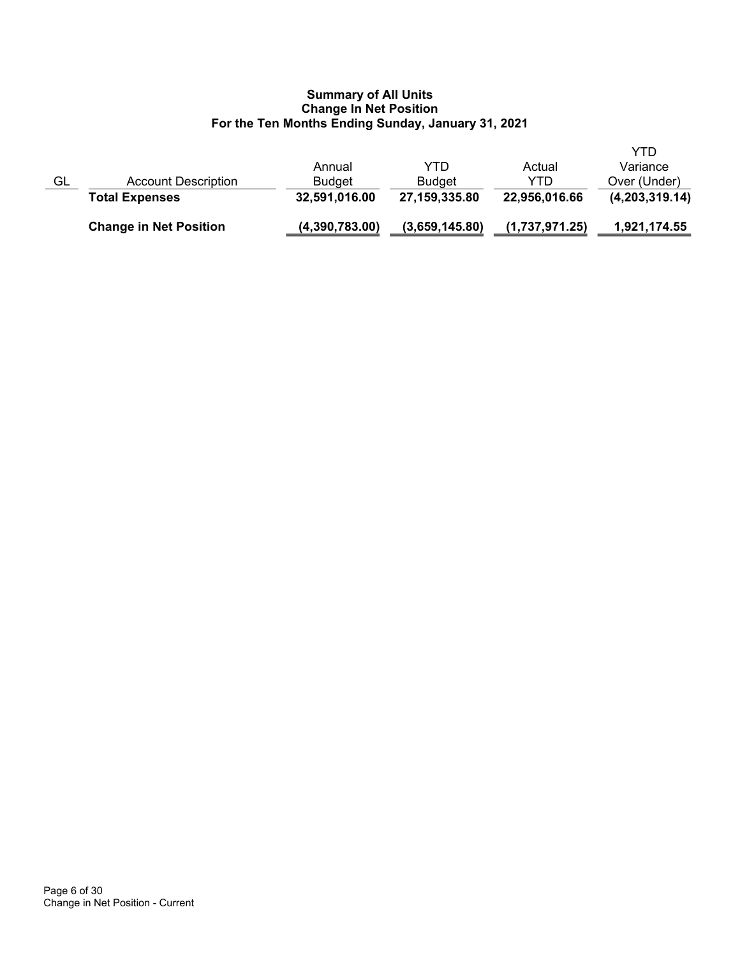|    | <b>Change in Net Position</b> | (4,390,783.00) | (3,659,145.80) | (1,737,971.25) | 1,921,174.55   |
|----|-------------------------------|----------------|----------------|----------------|----------------|
|    | <b>Total Expenses</b>         | 32,591,016.00  | 27,159,335.80  | 22,956,016.66  | (4,203,319.14) |
| GL | <b>Account Description</b>    | <b>Budget</b>  | <b>Budget</b>  | YTD            | Over (Under)   |
|    |                               | Annual         | YTD            | Actual         | Variance       |
|    |                               |                |                |                | YTD            |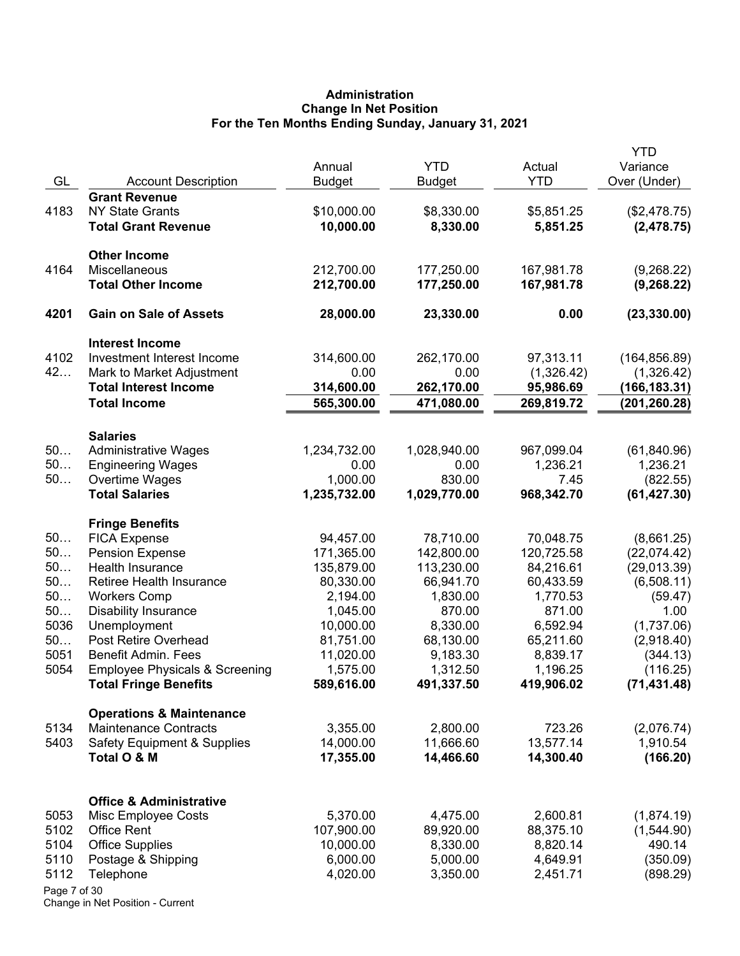# **Administration Change In Net Position For the Ten Months Ending Sunday, January 31, 2021**

| GL<br><b>YTD</b><br><b>Account Description</b><br><b>Budget</b><br><b>Budget</b><br><b>Grant Revenue</b><br>4183<br><b>NY State Grants</b><br>\$10,000.00<br>\$8,330.00<br>\$5,851.25<br>(\$2,478.75)<br>10,000.00<br><b>Total Grant Revenue</b><br>8,330.00<br>5,851.25<br>(2,478.75)<br><b>Other Income</b><br>212,700.00<br>4164<br>Miscellaneous<br>177,250.00<br>167,981.78<br>(9,268.22)<br>212,700.00<br><b>Total Other Income</b><br>177,250.00<br>167,981.78<br>(9,268.22)<br>4201<br><b>Gain on Sale of Assets</b><br>28,000.00<br>23,330.00<br>0.00<br>(23, 330.00)<br><b>Interest Income</b><br>4102<br>Investment Interest Income<br>314,600.00<br>262,170.00<br>97,313.11<br>(164, 856.89)<br>42<br>0.00<br>Mark to Market Adjustment<br>0.00<br>(1,326.42)<br>(1,326.42)<br><b>Total Interest Income</b><br>314,600.00<br>262,170.00<br>95,986.69<br>(166, 183.31)<br>565,300.00<br><b>Total Income</b><br>471,080.00<br>269,819.72<br>(201, 260.28)<br><b>Salaries</b><br>50<br><b>Administrative Wages</b><br>1,234,732.00<br>1,028,940.00<br>967,099.04<br>(61, 840.96)<br>50<br>1,236.21<br>0.00<br>1,236.21<br><b>Engineering Wages</b><br>0.00<br>50<br>1,000.00<br>830.00<br>Overtime Wages<br>7.45<br>(822.55)<br><b>Total Salaries</b><br>1,235,732.00<br>1,029,770.00<br>(61, 427.30)<br>968,342.70 | Variance<br>Over (Under) |
|------------------------------------------------------------------------------------------------------------------------------------------------------------------------------------------------------------------------------------------------------------------------------------------------------------------------------------------------------------------------------------------------------------------------------------------------------------------------------------------------------------------------------------------------------------------------------------------------------------------------------------------------------------------------------------------------------------------------------------------------------------------------------------------------------------------------------------------------------------------------------------------------------------------------------------------------------------------------------------------------------------------------------------------------------------------------------------------------------------------------------------------------------------------------------------------------------------------------------------------------------------------------------------------------------------------------------|--------------------------|
|                                                                                                                                                                                                                                                                                                                                                                                                                                                                                                                                                                                                                                                                                                                                                                                                                                                                                                                                                                                                                                                                                                                                                                                                                                                                                                                              |                          |
|                                                                                                                                                                                                                                                                                                                                                                                                                                                                                                                                                                                                                                                                                                                                                                                                                                                                                                                                                                                                                                                                                                                                                                                                                                                                                                                              |                          |
|                                                                                                                                                                                                                                                                                                                                                                                                                                                                                                                                                                                                                                                                                                                                                                                                                                                                                                                                                                                                                                                                                                                                                                                                                                                                                                                              |                          |
|                                                                                                                                                                                                                                                                                                                                                                                                                                                                                                                                                                                                                                                                                                                                                                                                                                                                                                                                                                                                                                                                                                                                                                                                                                                                                                                              |                          |
|                                                                                                                                                                                                                                                                                                                                                                                                                                                                                                                                                                                                                                                                                                                                                                                                                                                                                                                                                                                                                                                                                                                                                                                                                                                                                                                              |                          |
|                                                                                                                                                                                                                                                                                                                                                                                                                                                                                                                                                                                                                                                                                                                                                                                                                                                                                                                                                                                                                                                                                                                                                                                                                                                                                                                              |                          |
|                                                                                                                                                                                                                                                                                                                                                                                                                                                                                                                                                                                                                                                                                                                                                                                                                                                                                                                                                                                                                                                                                                                                                                                                                                                                                                                              |                          |
|                                                                                                                                                                                                                                                                                                                                                                                                                                                                                                                                                                                                                                                                                                                                                                                                                                                                                                                                                                                                                                                                                                                                                                                                                                                                                                                              |                          |
|                                                                                                                                                                                                                                                                                                                                                                                                                                                                                                                                                                                                                                                                                                                                                                                                                                                                                                                                                                                                                                                                                                                                                                                                                                                                                                                              |                          |
|                                                                                                                                                                                                                                                                                                                                                                                                                                                                                                                                                                                                                                                                                                                                                                                                                                                                                                                                                                                                                                                                                                                                                                                                                                                                                                                              |                          |
|                                                                                                                                                                                                                                                                                                                                                                                                                                                                                                                                                                                                                                                                                                                                                                                                                                                                                                                                                                                                                                                                                                                                                                                                                                                                                                                              |                          |
|                                                                                                                                                                                                                                                                                                                                                                                                                                                                                                                                                                                                                                                                                                                                                                                                                                                                                                                                                                                                                                                                                                                                                                                                                                                                                                                              |                          |
|                                                                                                                                                                                                                                                                                                                                                                                                                                                                                                                                                                                                                                                                                                                                                                                                                                                                                                                                                                                                                                                                                                                                                                                                                                                                                                                              |                          |
|                                                                                                                                                                                                                                                                                                                                                                                                                                                                                                                                                                                                                                                                                                                                                                                                                                                                                                                                                                                                                                                                                                                                                                                                                                                                                                                              |                          |
|                                                                                                                                                                                                                                                                                                                                                                                                                                                                                                                                                                                                                                                                                                                                                                                                                                                                                                                                                                                                                                                                                                                                                                                                                                                                                                                              |                          |
|                                                                                                                                                                                                                                                                                                                                                                                                                                                                                                                                                                                                                                                                                                                                                                                                                                                                                                                                                                                                                                                                                                                                                                                                                                                                                                                              |                          |
|                                                                                                                                                                                                                                                                                                                                                                                                                                                                                                                                                                                                                                                                                                                                                                                                                                                                                                                                                                                                                                                                                                                                                                                                                                                                                                                              |                          |
| <b>Fringe Benefits</b>                                                                                                                                                                                                                                                                                                                                                                                                                                                                                                                                                                                                                                                                                                                                                                                                                                                                                                                                                                                                                                                                                                                                                                                                                                                                                                       |                          |
| 50<br><b>FICA Expense</b><br>94,457.00<br>78,710.00<br>70,048.75<br>(8,661.25)                                                                                                                                                                                                                                                                                                                                                                                                                                                                                                                                                                                                                                                                                                                                                                                                                                                                                                                                                                                                                                                                                                                                                                                                                                               |                          |
| 50<br><b>Pension Expense</b><br>171,365.00<br>142,800.00<br>120,725.58<br>(22,074.42)                                                                                                                                                                                                                                                                                                                                                                                                                                                                                                                                                                                                                                                                                                                                                                                                                                                                                                                                                                                                                                                                                                                                                                                                                                        |                          |
| 50<br>Health Insurance<br>135,879.00<br>113,230.00<br>84,216.61<br>(29,013.39)                                                                                                                                                                                                                                                                                                                                                                                                                                                                                                                                                                                                                                                                                                                                                                                                                                                                                                                                                                                                                                                                                                                                                                                                                                               |                          |
| 50<br>Retiree Health Insurance<br>80,330.00<br>66,941.70<br>60,433.59<br>(6,508.11)                                                                                                                                                                                                                                                                                                                                                                                                                                                                                                                                                                                                                                                                                                                                                                                                                                                                                                                                                                                                                                                                                                                                                                                                                                          |                          |
| 50<br><b>Workers Comp</b><br>2,194.00<br>1,830.00<br>1,770.53                                                                                                                                                                                                                                                                                                                                                                                                                                                                                                                                                                                                                                                                                                                                                                                                                                                                                                                                                                                                                                                                                                                                                                                                                                                                | (59.47)                  |
| 50<br><b>Disability Insurance</b><br>870.00<br>871.00<br>1,045.00                                                                                                                                                                                                                                                                                                                                                                                                                                                                                                                                                                                                                                                                                                                                                                                                                                                                                                                                                                                                                                                                                                                                                                                                                                                            | 1.00                     |
| 5036<br>Unemployment<br>10,000.00<br>8,330.00<br>6,592.94<br>(1,737.06)<br>50<br>Post Retire Overhead                                                                                                                                                                                                                                                                                                                                                                                                                                                                                                                                                                                                                                                                                                                                                                                                                                                                                                                                                                                                                                                                                                                                                                                                                        |                          |
| 81,751.00<br>68,130.00<br>65,211.60<br>(2,918.40)<br>5051<br><b>Benefit Admin. Fees</b><br>11,020.00<br>9,183.30<br>8,839.17<br>(344.13)                                                                                                                                                                                                                                                                                                                                                                                                                                                                                                                                                                                                                                                                                                                                                                                                                                                                                                                                                                                                                                                                                                                                                                                     |                          |
| 5054<br><b>Employee Physicals &amp; Screening</b><br>1,575.00<br>1,312.50<br>1,196.25<br>(116.25)                                                                                                                                                                                                                                                                                                                                                                                                                                                                                                                                                                                                                                                                                                                                                                                                                                                                                                                                                                                                                                                                                                                                                                                                                            |                          |
| 589,616.00<br>491,337.50<br>419,906.02<br><b>Total Fringe Benefits</b><br>(71, 431.48)                                                                                                                                                                                                                                                                                                                                                                                                                                                                                                                                                                                                                                                                                                                                                                                                                                                                                                                                                                                                                                                                                                                                                                                                                                       |                          |
| <b>Operations &amp; Maintenance</b>                                                                                                                                                                                                                                                                                                                                                                                                                                                                                                                                                                                                                                                                                                                                                                                                                                                                                                                                                                                                                                                                                                                                                                                                                                                                                          |                          |
| 5134<br><b>Maintenance Contracts</b><br>3,355.00<br>2,800.00<br>723.26<br>(2,076.74)                                                                                                                                                                                                                                                                                                                                                                                                                                                                                                                                                                                                                                                                                                                                                                                                                                                                                                                                                                                                                                                                                                                                                                                                                                         |                          |
| 5403<br>14,000.00<br>11,666.60<br>13,577.14<br><b>Safety Equipment &amp; Supplies</b><br>1,910.54                                                                                                                                                                                                                                                                                                                                                                                                                                                                                                                                                                                                                                                                                                                                                                                                                                                                                                                                                                                                                                                                                                                                                                                                                            |                          |
| (166.20)<br>Total O & M<br>17,355.00<br>14,466.60<br>14,300.40                                                                                                                                                                                                                                                                                                                                                                                                                                                                                                                                                                                                                                                                                                                                                                                                                                                                                                                                                                                                                                                                                                                                                                                                                                                               |                          |
|                                                                                                                                                                                                                                                                                                                                                                                                                                                                                                                                                                                                                                                                                                                                                                                                                                                                                                                                                                                                                                                                                                                                                                                                                                                                                                                              |                          |
| <b>Office &amp; Administrative</b><br>5,370.00<br>4,475.00<br>2,600.81<br>5053<br>Misc Employee Costs<br>(1,874.19)                                                                                                                                                                                                                                                                                                                                                                                                                                                                                                                                                                                                                                                                                                                                                                                                                                                                                                                                                                                                                                                                                                                                                                                                          |                          |
| 5102<br><b>Office Rent</b><br>107,900.00<br>89,920.00<br>88,375.10<br>(1,544.90)                                                                                                                                                                                                                                                                                                                                                                                                                                                                                                                                                                                                                                                                                                                                                                                                                                                                                                                                                                                                                                                                                                                                                                                                                                             |                          |
| 5104<br><b>Office Supplies</b><br>10,000.00<br>8,330.00<br>8,820.14<br>490.14                                                                                                                                                                                                                                                                                                                                                                                                                                                                                                                                                                                                                                                                                                                                                                                                                                                                                                                                                                                                                                                                                                                                                                                                                                                |                          |
| 5,000.00<br>4,649.91<br>5110<br>Postage & Shipping<br>6,000.00<br>(350.09)                                                                                                                                                                                                                                                                                                                                                                                                                                                                                                                                                                                                                                                                                                                                                                                                                                                                                                                                                                                                                                                                                                                                                                                                                                                   |                          |
| 5112<br>4,020.00<br>3,350.00<br>2,451.71<br>(898.29)<br>Telephone                                                                                                                                                                                                                                                                                                                                                                                                                                                                                                                                                                                                                                                                                                                                                                                                                                                                                                                                                                                                                                                                                                                                                                                                                                                            |                          |
| Page 7 of 30                                                                                                                                                                                                                                                                                                                                                                                                                                                                                                                                                                                                                                                                                                                                                                                                                                                                                                                                                                                                                                                                                                                                                                                                                                                                                                                 |                          |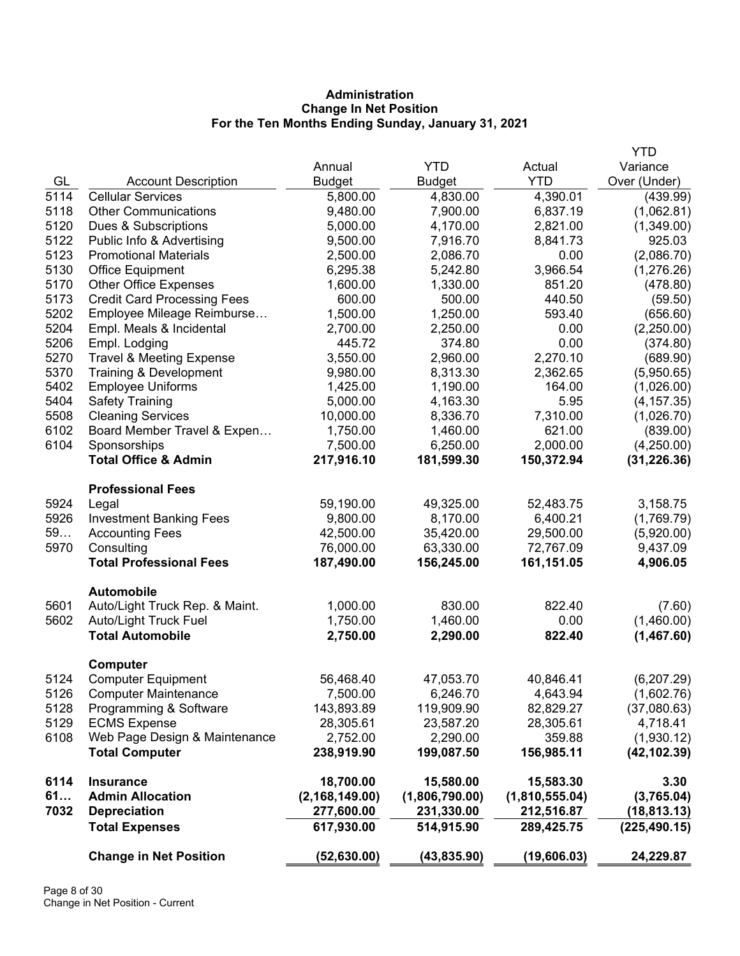# **Administration Change In Net Position For the Ten Months Ending Sunday, January 31, 2021**

|      |                                     |                  |                |                | <b>YTD</b>    |
|------|-------------------------------------|------------------|----------------|----------------|---------------|
|      |                                     | Annual           | <b>YTD</b>     | Actual         | Variance      |
| GL   | <b>Account Description</b>          | <b>Budget</b>    | <b>Budget</b>  | <b>YTD</b>     | Over (Under)  |
| 5114 | <b>Cellular Services</b>            | 5,800.00         | 4,830.00       | 4,390.01       | (439.99)      |
| 5118 | <b>Other Communications</b>         | 9,480.00         | 7,900.00       | 6,837.19       | (1,062.81)    |
| 5120 | Dues & Subscriptions                | 5,000.00         | 4,170.00       | 2,821.00       | (1,349.00)    |
| 5122 | Public Info & Advertising           | 9,500.00         | 7,916.70       | 8,841.73       | 925.03        |
| 5123 | <b>Promotional Materials</b>        | 2,500.00         | 2,086.70       | 0.00           | (2,086.70)    |
| 5130 | <b>Office Equipment</b>             | 6,295.38         | 5,242.80       | 3,966.54       | (1,276.26)    |
| 5170 | <b>Other Office Expenses</b>        | 1,600.00         | 1,330.00       | 851.20         | (478.80)      |
| 5173 | <b>Credit Card Processing Fees</b>  | 600.00           | 500.00         | 440.50         | (59.50)       |
| 5202 | Employee Mileage Reimburse          | 1,500.00         | 1,250.00       | 593.40         | (656.60)      |
| 5204 | Empl. Meals & Incidental            | 2,700.00         | 2,250.00       | 0.00           | (2,250.00)    |
| 5206 | Empl. Lodging                       | 445.72           | 374.80         | 0.00           | (374.80)      |
| 5270 | <b>Travel &amp; Meeting Expense</b> | 3,550.00         | 2,960.00       | 2,270.10       | (689.90)      |
| 5370 | Training & Development              | 9,980.00         | 8,313.30       | 2,362.65       | (5,950.65)    |
| 5402 | <b>Employee Uniforms</b>            | 1,425.00         | 1,190.00       | 164.00         | (1,026.00)    |
| 5404 | <b>Safety Training</b>              | 5,000.00         | 4,163.30       | 5.95           | (4, 157.35)   |
| 5508 | <b>Cleaning Services</b>            | 10,000.00        | 8,336.70       | 7,310.00       | (1,026.70)    |
| 6102 | Board Member Travel & Expen         | 1,750.00         | 1,460.00       | 621.00         | (839.00)      |
| 6104 | Sponsorships                        | 7,500.00         | 6,250.00       | 2,000.00       | (4,250.00)    |
|      | <b>Total Office &amp; Admin</b>     | 217,916.10       | 181,599.30     | 150,372.94     | (31, 226.36)  |
|      | <b>Professional Fees</b>            |                  |                |                |               |
| 5924 | Legal                               | 59,190.00        | 49,325.00      | 52,483.75      | 3,158.75      |
| 5926 | <b>Investment Banking Fees</b>      | 9,800.00         | 8,170.00       | 6,400.21       | (1,769.79)    |
| 59   | <b>Accounting Fees</b>              | 42,500.00        | 35,420.00      | 29,500.00      | (5,920.00)    |
| 5970 | Consulting                          | 76,000.00        | 63,330.00      | 72,767.09      | 9,437.09      |
|      | <b>Total Professional Fees</b>      | 187,490.00       | 156,245.00     | 161,151.05     | 4,906.05      |
|      | <b>Automobile</b>                   |                  |                |                |               |
| 5601 | Auto/Light Truck Rep. & Maint.      | 1,000.00         | 830.00         | 822.40         | (7.60)        |
| 5602 | Auto/Light Truck Fuel               | 1,750.00         | 1,460.00       | 0.00           | (1,460.00)    |
|      | <b>Total Automobile</b>             | 2,750.00         | 2,290.00       | 822.40         | (1,467.60)    |
|      | Computer                            |                  |                |                |               |
| 5124 | <b>Computer Equipment</b>           | 56,468.40        | 47,053.70      | 40,846.41      | (6, 207.29)   |
| 5126 | <b>Computer Maintenance</b>         | 7,500.00         | 6,246.70       | 4,643.94       | (1,602.76)    |
| 5128 | Programming & Software              | 143,893.89       | 119,909.90     | 82,829.27      | (37,080.63)   |
| 5129 | <b>ECMS Expense</b>                 | 28,305.61        | 23,587.20      | 28,305.61      | 4,718.41      |
| 6108 | Web Page Design & Maintenance       | 2,752.00         | 2,290.00       | 359.88         | (1,930.12)    |
|      | <b>Total Computer</b>               | 238,919.90       | 199,087.50     | 156,985.11     | (42, 102.39)  |
| 6114 | <b>Insurance</b>                    | 18,700.00        | 15,580.00      | 15,583.30      | 3.30          |
| 61   | <b>Admin Allocation</b>             | (2, 168, 149.00) | (1,806,790.00) | (1,810,555.04) | (3,765.04)    |
| 7032 | <b>Depreciation</b>                 | 277,600.00       | 231,330.00     | 212,516.87     | (18, 813.13)  |
|      | <b>Total Expenses</b>               | 617,930.00       | 514,915.90     | 289,425.75     | (225, 490.15) |
|      | <b>Change in Net Position</b>       | (52, 630.00)     | (43, 835.90)   | (19, 606.03)   | 24,229.87     |
|      |                                     |                  |                |                |               |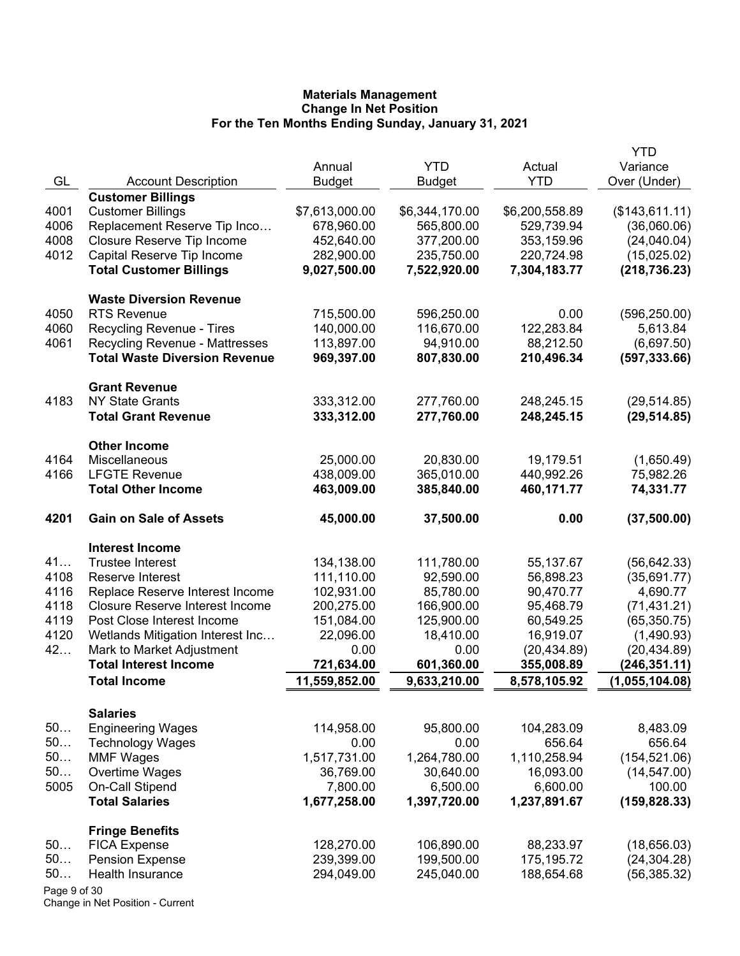|              |                                                                               | Annual                   | <b>YTD</b>               | Actual                     | <b>YTD</b><br>Variance       |
|--------------|-------------------------------------------------------------------------------|--------------------------|--------------------------|----------------------------|------------------------------|
| GL           | <b>Account Description</b>                                                    | <b>Budget</b>            | <b>Budget</b>            | <b>YTD</b>                 | Over (Under)                 |
|              | <b>Customer Billings</b>                                                      |                          |                          |                            |                              |
| 4001         | <b>Customer Billings</b>                                                      | \$7,613,000.00           | \$6,344,170.00           | \$6,200,558.89             | (\$143,611.11)               |
| 4006         | Replacement Reserve Tip Inco                                                  | 678,960.00               | 565,800.00               | 529,739.94                 | (36,060.06)                  |
| 4008         | Closure Reserve Tip Income                                                    | 452,640.00               | 377,200.00               | 353,159.96                 | (24,040.04)                  |
| 4012         | Capital Reserve Tip Income                                                    | 282,900.00               | 235,750.00               | 220,724.98                 | (15,025.02)                  |
|              | <b>Total Customer Billings</b>                                                | 9,027,500.00             | 7,522,920.00             | 7,304,183.77               | (218, 736.23)                |
|              | <b>Waste Diversion Revenue</b>                                                |                          |                          |                            |                              |
| 4050         | <b>RTS Revenue</b>                                                            | 715,500.00               | 596,250.00               | 0.00                       | (596, 250.00)                |
| 4060         | Recycling Revenue - Tires                                                     | 140,000.00               | 116,670.00               | 122,283.84                 | 5,613.84                     |
| 4061         | <b>Recycling Revenue - Mattresses</b><br><b>Total Waste Diversion Revenue</b> | 113,897.00<br>969,397.00 | 94,910.00<br>807,830.00  | 88,212.50<br>210,496.34    | (6,697.50)<br>(597, 333.66)  |
|              | <b>Grant Revenue</b>                                                          |                          |                          |                            |                              |
| 4183         | <b>NY State Grants</b>                                                        | 333,312.00               | 277,760.00               | 248,245.15                 | (29, 514.85)                 |
|              | <b>Total Grant Revenue</b>                                                    | 333,312.00               | 277,760.00               | 248,245.15                 | (29, 514.85)                 |
|              | <b>Other Income</b>                                                           |                          |                          |                            |                              |
| 4164         | Miscellaneous                                                                 | 25,000.00                | 20,830.00                | 19,179.51                  | (1,650.49)                   |
| 4166         | <b>LFGTE Revenue</b>                                                          | 438,009.00               | 365,010.00               | 440,992.26                 | 75,982.26                    |
|              | <b>Total Other Income</b>                                                     | 463,009.00               | 385,840.00               | 460,171.77                 | 74,331.77                    |
| 4201         | <b>Gain on Sale of Assets</b>                                                 | 45,000.00                | 37,500.00                | 0.00                       | (37,500.00)                  |
|              | <b>Interest Income</b>                                                        |                          |                          |                            |                              |
| 41           | <b>Trustee Interest</b>                                                       | 134,138.00               | 111,780.00               | 55,137.67                  | (56, 642.33)                 |
| 4108         | Reserve Interest                                                              | 111,110.00               | 92,590.00                | 56,898.23                  | (35,691.77)                  |
| 4116         | Replace Reserve Interest Income                                               | 102,931.00               | 85,780.00                | 90,470.77                  | 4,690.77                     |
| 4118         | <b>Closure Reserve Interest Income</b>                                        | 200,275.00               | 166,900.00               | 95,468.79                  | (71, 431.21)                 |
| 4119         | Post Close Interest Income                                                    | 151,084.00               | 125,900.00               | 60,549.25                  | (65, 350.75)                 |
| 4120         | Wetlands Mitigation Interest Inc                                              | 22,096.00                | 18,410.00                | 16,919.07                  | (1,490.93)                   |
| 42           | Mark to Market Adjustment                                                     | 0.00                     | 0.00                     | (20, 434.89)               | (20, 434.89)                 |
|              | <b>Total Interest Income</b>                                                  | 721,634.00               | 601,360.00               | 355,008.89                 | (246, 351.11)                |
|              | <b>Total Income</b>                                                           | 11,559,852.00            | 9,633,210.00             | 8,578,105.92               | (1,055,104.08)               |
|              | <b>Salaries</b>                                                               |                          |                          |                            |                              |
| 50           | <b>Engineering Wages</b>                                                      | 114,958.00               | 95,800.00                | 104,283.09                 | 8,483.09                     |
| 50           | <b>Technology Wages</b>                                                       | 0.00                     | 0.00                     | 656.64                     | 656.64                       |
| 50           | <b>MMF Wages</b>                                                              | 1,517,731.00             | 1,264,780.00             | 1,110,258.94               | (154, 521.06)                |
| 50           | Overtime Wages                                                                | 36,769.00                | 30,640.00                | 16,093.00                  | (14, 547.00)                 |
| 5005         | <b>On-Call Stipend</b>                                                        | 7,800.00                 | 6,500.00                 | 6,600.00                   | 100.00                       |
|              | <b>Total Salaries</b>                                                         | 1,677,258.00             | 1,397,720.00             | 1,237,891.67               | (159, 828.33)                |
|              | <b>Fringe Benefits</b>                                                        |                          |                          |                            |                              |
| 50<br>50     | <b>FICA Expense</b>                                                           | 128,270.00               | 106,890.00               | 88,233.97                  | (18,656.03)                  |
| 50           | <b>Pension Expense</b><br>Health Insurance                                    | 239,399.00<br>294,049.00 | 199,500.00<br>245,040.00 | 175, 195. 72<br>188,654.68 | (24, 304.28)<br>(56, 385.32) |
| Page 9 of 30 |                                                                               |                          |                          |                            |                              |
|              |                                                                               |                          |                          |                            |                              |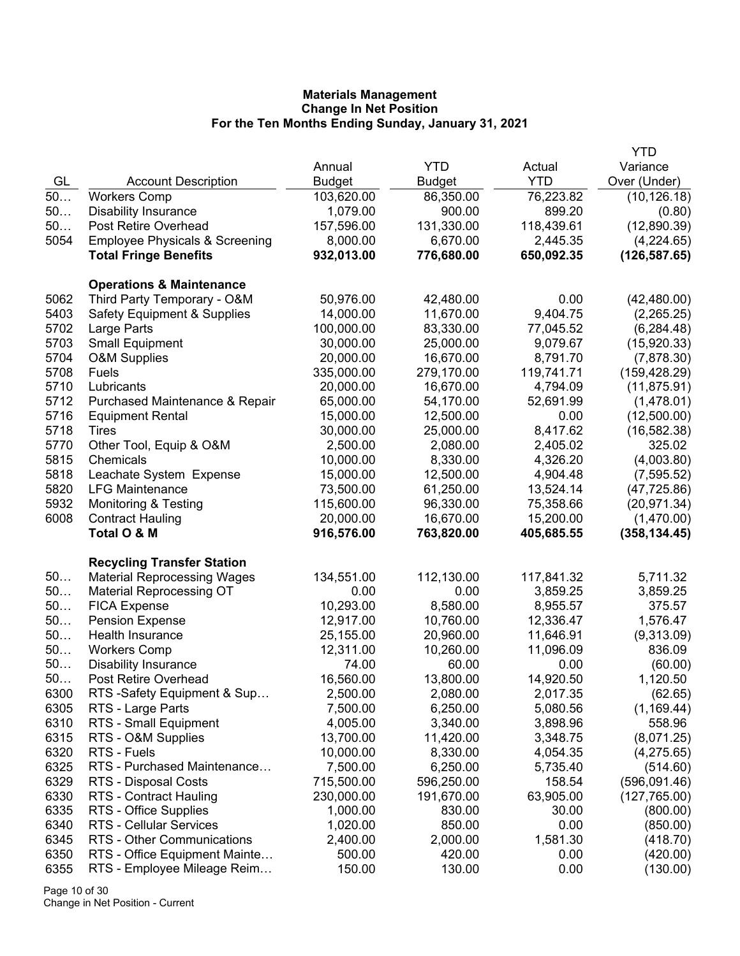|      |                                           |               |               |            | YTD           |
|------|-------------------------------------------|---------------|---------------|------------|---------------|
|      |                                           | Annual        | <b>YTD</b>    | Actual     | Variance      |
| GL   | <b>Account Description</b>                | <b>Budget</b> | <b>Budget</b> | <b>YTD</b> | Over (Under)  |
| 50   | <b>Workers Comp</b>                       | 103,620.00    | 86,350.00     | 76,223.82  | (10, 126.18)  |
| 50   | <b>Disability Insurance</b>               | 1,079.00      | 900.00        | 899.20     | (0.80)        |
| 50   | Post Retire Overhead                      | 157,596.00    | 131,330.00    | 118,439.61 | (12,890.39)   |
| 5054 | <b>Employee Physicals &amp; Screening</b> | 8,000.00      | 6,670.00      | 2,445.35   | (4,224.65)    |
|      | <b>Total Fringe Benefits</b>              | 932,013.00    | 776,680.00    | 650,092.35 | (126, 587.65) |
|      | <b>Operations &amp; Maintenance</b>       |               |               |            |               |
| 5062 | Third Party Temporary - O&M               | 50,976.00     | 42,480.00     | 0.00       | (42, 480.00)  |
| 5403 | <b>Safety Equipment &amp; Supplies</b>    | 14,000.00     | 11,670.00     | 9,404.75   | (2,265.25)    |
| 5702 | Large Parts                               | 100,000.00    | 83,330.00     | 77,045.52  | (6, 284.48)   |
| 5703 | <b>Small Equipment</b>                    | 30,000.00     | 25,000.00     | 9,079.67   | (15,920.33)   |
| 5704 | <b>O&amp;M Supplies</b>                   | 20,000.00     | 16,670.00     | 8,791.70   | (7,878.30)    |
| 5708 | Fuels                                     | 335,000.00    | 279,170.00    | 119,741.71 | (159, 428.29) |
| 5710 | Lubricants                                | 20,000.00     | 16,670.00     | 4,794.09   | (11, 875.91)  |
| 5712 | Purchased Maintenance & Repair            | 65,000.00     | 54,170.00     | 52,691.99  | (1,478.01)    |
| 5716 | <b>Equipment Rental</b>                   | 15,000.00     | 12,500.00     | 0.00       | (12,500.00)   |
| 5718 | Tires                                     | 30,000.00     | 25,000.00     | 8,417.62   | (16, 582.38)  |
| 5770 | Other Tool, Equip & O&M                   | 2,500.00      | 2,080.00      | 2,405.02   | 325.02        |
| 5815 | Chemicals                                 | 10,000.00     | 8,330.00      | 4,326.20   | (4,003.80)    |
| 5818 | Leachate System Expense                   | 15,000.00     | 12,500.00     | 4,904.48   | (7, 595.52)   |
| 5820 | <b>LFG Maintenance</b>                    | 73,500.00     | 61,250.00     | 13,524.14  | (47, 725.86)  |
| 5932 | <b>Monitoring &amp; Testing</b>           | 115,600.00    | 96,330.00     | 75,358.66  | (20, 971.34)  |
| 6008 | <b>Contract Hauling</b>                   | 20,000.00     | 16,670.00     | 15,200.00  | (1,470.00)    |
|      | Total O & M                               | 916,576.00    | 763,820.00    | 405,685.55 | (358, 134.45) |
|      | <b>Recycling Transfer Station</b>         |               |               |            |               |
| 50   | <b>Material Reprocessing Wages</b>        | 134,551.00    | 112,130.00    | 117,841.32 | 5,711.32      |
| 50   | <b>Material Reprocessing OT</b>           | 0.00          | 0.00          | 3,859.25   | 3,859.25      |
| 50   | <b>FICA Expense</b>                       | 10,293.00     | 8,580.00      | 8,955.57   | 375.57        |
| 50   | <b>Pension Expense</b>                    | 12,917.00     | 10,760.00     | 12,336.47  | 1,576.47      |
| 50   | Health Insurance                          | 25,155.00     | 20,960.00     | 11,646.91  | (9,313.09)    |
| 50   | <b>Workers Comp</b>                       | 12,311.00     | 10,260.00     | 11,096.09  | 836.09        |
| 50   | <b>Disability Insurance</b>               | 74.00         | 60.00         | 0.00       | (60.00)       |
| 50   | Post Retire Overhead                      | 16,560.00     | 13,800.00     | 14,920.50  | 1,120.50      |
| 6300 | RTS-Safety Equipment & Sup                | 2,500.00      | 2,080.00      | 2,017.35   | (62.65)       |
| 6305 | RTS - Large Parts                         | 7,500.00      | 6,250.00      | 5,080.56   | (1, 169.44)   |
| 6310 | RTS - Small Equipment                     | 4,005.00      | 3,340.00      | 3,898.96   | 558.96        |
| 6315 | RTS - O&M Supplies                        | 13,700.00     | 11,420.00     | 3,348.75   | (8,071.25)    |
| 6320 | RTS - Fuels                               | 10,000.00     | 8,330.00      | 4,054.35   | (4,275.65)    |
| 6325 | RTS - Purchased Maintenance               | 7,500.00      | 6,250.00      | 5,735.40   | (514.60)      |
| 6329 | RTS - Disposal Costs                      | 715,500.00    | 596,250.00    | 158.54     | (596,091.46)  |
| 6330 | <b>RTS - Contract Hauling</b>             | 230,000.00    | 191,670.00    | 63,905.00  | (127, 765.00) |
| 6335 | RTS - Office Supplies                     | 1,000.00      | 830.00        | 30.00      | (800.00)      |
| 6340 | RTS - Cellular Services                   | 1,020.00      | 850.00        | 0.00       | (850.00)      |
| 6345 | RTS - Other Communications                | 2,400.00      | 2,000.00      | 1,581.30   | (418.70)      |
| 6350 | RTS - Office Equipment Mainte             | 500.00        | 420.00        | 0.00       | (420.00)      |
| 6355 | RTS - Employee Mileage Reim               | 150.00        | 130.00        | 0.00       | (130.00)      |

Page 10 of 30 Change in Net Position - Current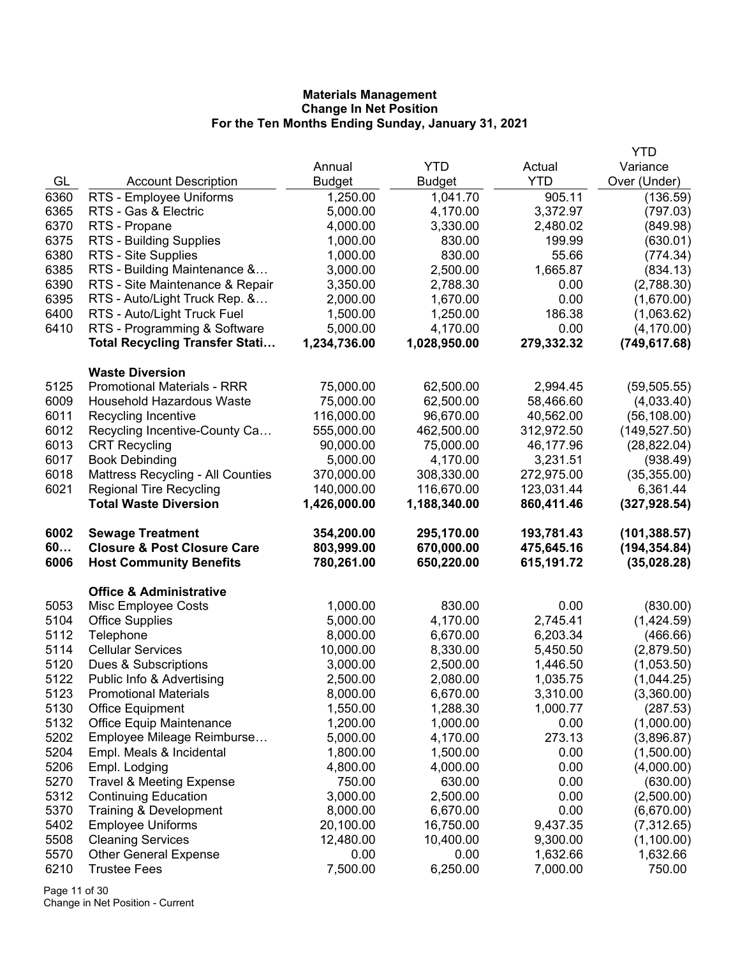|              |                                                              |                  |                  |                      | YTD                |
|--------------|--------------------------------------------------------------|------------------|------------------|----------------------|--------------------|
|              |                                                              | Annual           | <b>YTD</b>       | Actual               | Variance           |
| GL           | <b>Account Description</b>                                   | <b>Budget</b>    | <b>Budget</b>    | <b>YTD</b>           | Over (Under)       |
| 6360         | RTS - Employee Uniforms                                      | 1,250.00         | 1,041.70         | 905.11               | (136.59)           |
| 6365         | RTS - Gas & Electric                                         | 5,000.00         | 4,170.00         | 3,372.97             | (797.03)           |
| 6370         | RTS - Propane                                                | 4,000.00         | 3,330.00         | 2,480.02             | (849.98)           |
| 6375         | <b>RTS - Building Supplies</b>                               | 1,000.00         | 830.00           | 199.99               | (630.01)           |
| 6380         | RTS - Site Supplies                                          | 1,000.00         | 830.00           | 55.66                | (774.34)           |
| 6385         | RTS - Building Maintenance &                                 | 3,000.00         | 2,500.00         | 1,665.87             | (834.13)           |
| 6390         | RTS - Site Maintenance & Repair                              | 3,350.00         | 2,788.30         | 0.00                 | (2,788.30)         |
| 6395         | RTS - Auto/Light Truck Rep. &                                | 2,000.00         | 1,670.00         | 0.00                 | (1,670.00)         |
| 6400         | RTS - Auto/Light Truck Fuel                                  | 1,500.00         | 1,250.00         | 186.38               | (1,063.62)         |
| 6410         | RTS - Programming & Software                                 | 5,000.00         | 4,170.00         | 0.00                 | (4, 170.00)        |
|              | <b>Total Recycling Transfer Stati</b>                        | 1,234,736.00     | 1,028,950.00     | 279,332.32           | (749, 617.68)      |
|              |                                                              |                  |                  |                      |                    |
| 5125         | <b>Waste Diversion</b><br><b>Promotional Materials - RRR</b> | 75,000.00        | 62,500.00        | 2,994.45             | (59, 505.55)       |
| 6009         | <b>Household Hazardous Waste</b>                             | 75,000.00        | 62,500.00        | 58,466.60            | (4,033.40)         |
| 6011         | Recycling Incentive                                          | 116,000.00       | 96,670.00        | 40,562.00            | (56, 108.00)       |
| 6012         | Recycling Incentive-County Ca                                | 555,000.00       | 462,500.00       | 312,972.50           | (149, 527.50)      |
| 6013         | <b>CRT Recycling</b>                                         | 90,000.00        | 75,000.00        | 46,177.96            | (28, 822.04)       |
| 6017         | <b>Book Debinding</b>                                        | 5,000.00         | 4,170.00         | 3,231.51             | (938.49)           |
| 6018         | Mattress Recycling - All Counties                            | 370,000.00       | 308,330.00       | 272,975.00           | (35, 355.00)       |
| 6021         | <b>Regional Tire Recycling</b>                               | 140,000.00       | 116,670.00       | 123,031.44           | 6,361.44           |
|              | <b>Total Waste Diversion</b>                                 | 1,426,000.00     | 1,188,340.00     | 860,411.46           | (327, 928.54)      |
|              |                                                              |                  |                  |                      |                    |
|              |                                                              |                  |                  |                      |                    |
| 6002         | <b>Sewage Treatment</b>                                      | 354,200.00       | 295,170.00       | 193,781.43           | (101, 388.57)      |
| 60           | <b>Closure &amp; Post Closure Care</b>                       | 803,999.00       | 670,000.00       | 475,645.16           | (194, 354.84)      |
| 6006         | <b>Host Community Benefits</b>                               | 780,261.00       | 650,220.00       | 615,191.72           | (35,028.28)        |
|              | <b>Office &amp; Administrative</b>                           |                  |                  |                      |                    |
| 5053         | Misc Employee Costs                                          | 1,000.00         | 830.00           | 0.00                 | (830.00)           |
| 5104         | <b>Office Supplies</b>                                       | 5,000.00         | 4,170.00         | 2,745.41             | (1,424.59)         |
| 5112         | Telephone                                                    | 8,000.00         | 6,670.00         | 6,203.34             | (466.66)           |
| 5114         | <b>Cellular Services</b>                                     | 10,000.00        | 8,330.00         | 5,450.50             | (2,879.50)         |
| 5120         | Dues & Subscriptions                                         | 3,000.00         | 2,500.00         | 1,446.50             | (1,053.50)         |
| 5122         | Public Info & Advertising                                    | 2,500.00         | 2,080.00         | 1,035.75             | (1,044.25)         |
| 5123         | <b>Promotional Materials</b>                                 | 8,000.00         | 6,670.00         | 3,310.00             | (3,360.00)         |
| 5130         | <b>Office Equipment</b>                                      | 1,550.00         | 1,288.30         | 1,000.77             | (287.53)           |
| 5132         | <b>Office Equip Maintenance</b>                              | 1,200.00         | 1,000.00         | 0.00                 | (1,000.00)         |
| 5202         | Employee Mileage Reimburse                                   | 5,000.00         | 4,170.00         | 273.13               | (3,896.87)         |
| 5204         | Empl. Meals & Incidental                                     | 1,800.00         | 1,500.00         | 0.00                 | (1,500.00)         |
| 5206         | Empl. Lodging                                                | 4,800.00         | 4,000.00         | 0.00                 | (4,000.00)         |
| 5270         | <b>Travel &amp; Meeting Expense</b>                          | 750.00           | 630.00           | 0.00                 | (630.00)           |
| 5312         | <b>Continuing Education</b>                                  | 3,000.00         | 2,500.00         | 0.00                 | (2,500.00)         |
| 5370         | Training & Development                                       | 8,000.00         | 6,670.00         | 0.00                 | (6,670.00)         |
| 5402         | <b>Employee Uniforms</b>                                     | 20,100.00        | 16,750.00        | 9,437.35             | (7,312.65)         |
| 5508         | <b>Cleaning Services</b>                                     | 12,480.00        | 10,400.00        | 9,300.00             | (1,100.00)         |
| 5570<br>6210 | <b>Other General Expense</b><br><b>Trustee Fees</b>          | 0.00<br>7,500.00 | 0.00<br>6,250.00 | 1,632.66<br>7,000.00 | 1,632.66<br>750.00 |

Page 11 of 30 Change in Net Position - Current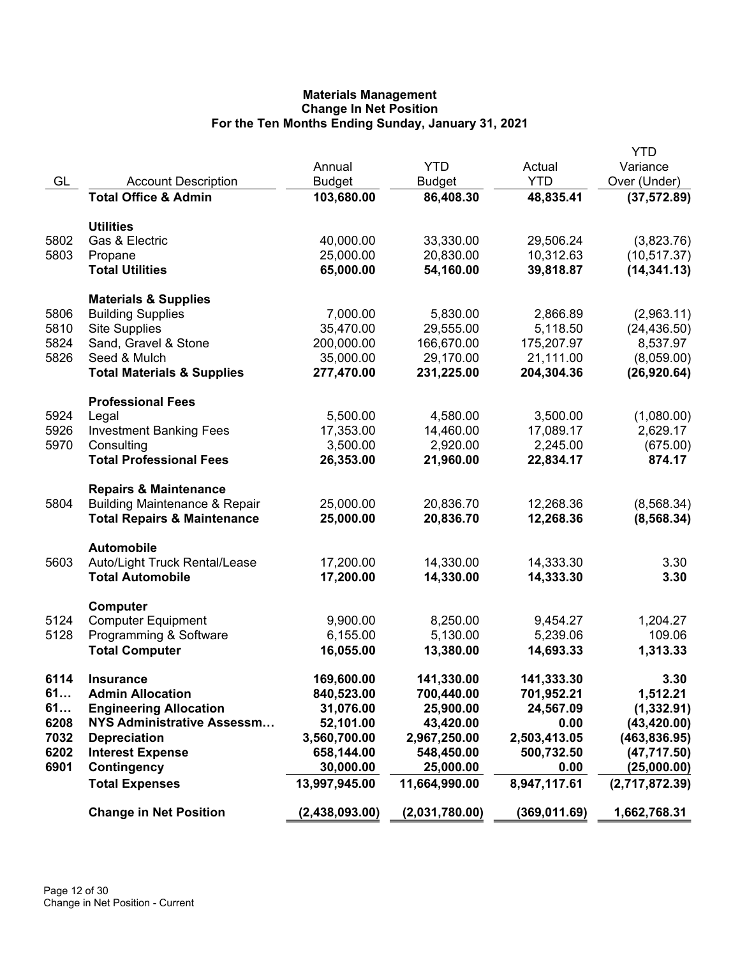|      |                                          |                |                |              | <b>YTD</b>     |
|------|------------------------------------------|----------------|----------------|--------------|----------------|
|      |                                          | Annual         | <b>YTD</b>     | Actual       | Variance       |
| GL   | <b>Account Description</b>               | <b>Budget</b>  | <b>Budget</b>  | <b>YTD</b>   | Over (Under)   |
|      | <b>Total Office &amp; Admin</b>          | 103,680.00     | 86,408.30      | 48,835.41    | (37, 572.89)   |
|      | <b>Utilities</b>                         |                |                |              |                |
| 5802 | Gas & Electric                           | 40,000.00      | 33,330.00      | 29,506.24    | (3,823.76)     |
| 5803 | Propane                                  | 25,000.00      | 20,830.00      | 10,312.63    | (10, 517.37)   |
|      | <b>Total Utilities</b>                   | 65,000.00      | 54,160.00      | 39,818.87    | (14, 341.13)   |
|      | <b>Materials &amp; Supplies</b>          |                |                |              |                |
| 5806 | <b>Building Supplies</b>                 | 7,000.00       | 5,830.00       | 2,866.89     | (2,963.11)     |
| 5810 | <b>Site Supplies</b>                     | 35,470.00      | 29,555.00      | 5,118.50     | (24, 436.50)   |
| 5824 | Sand, Gravel & Stone                     | 200,000.00     | 166,670.00     | 175,207.97   | 8,537.97       |
| 5826 | Seed & Mulch                             | 35,000.00      | 29,170.00      | 21,111.00    | (8,059.00)     |
|      | <b>Total Materials &amp; Supplies</b>    | 277,470.00     | 231,225.00     | 204,304.36   | (26, 920.64)   |
|      | <b>Professional Fees</b>                 |                |                |              |                |
| 5924 | Legal                                    | 5,500.00       | 4,580.00       | 3,500.00     | (1,080.00)     |
| 5926 | <b>Investment Banking Fees</b>           | 17,353.00      | 14,460.00      | 17,089.17    | 2,629.17       |
| 5970 | Consulting                               | 3,500.00       | 2,920.00       | 2,245.00     | (675.00)       |
|      | <b>Total Professional Fees</b>           | 26,353.00      | 21,960.00      | 22,834.17    | 874.17         |
|      | <b>Repairs &amp; Maintenance</b>         |                |                |              |                |
| 5804 | <b>Building Maintenance &amp; Repair</b> | 25,000.00      | 20,836.70      | 12,268.36    | (8,568.34)     |
|      | <b>Total Repairs &amp; Maintenance</b>   | 25,000.00      | 20,836.70      | 12,268.36    | (8, 568.34)    |
|      | <b>Automobile</b>                        |                |                |              |                |
| 5603 | Auto/Light Truck Rental/Lease            | 17,200.00      | 14,330.00      | 14,333.30    | 3.30           |
|      | <b>Total Automobile</b>                  | 17,200.00      | 14,330.00      | 14,333.30    | 3.30           |
|      | Computer                                 |                |                |              |                |
| 5124 | <b>Computer Equipment</b>                | 9,900.00       | 8,250.00       | 9,454.27     | 1,204.27       |
| 5128 | Programming & Software                   | 6,155.00       | 5,130.00       | 5,239.06     | 109.06         |
|      | <b>Total Computer</b>                    | 16,055.00      | 13,380.00      | 14,693.33    | 1,313.33       |
| 6114 | <b>Insurance</b>                         | 169,600.00     | 141,330.00     | 141,333.30   | 3.30           |
| 61   | <b>Admin Allocation</b>                  | 840,523.00     | 700,440.00     | 701,952.21   | 1,512.21       |
| 61   | <b>Engineering Allocation</b>            | 31,076.00      | 25,900.00      | 24,567.09    | (1, 332.91)    |
| 6208 | NYS Administrative Assessm               | 52,101.00      | 43,420.00      | 0.00         | (43, 420.00)   |
| 7032 | <b>Depreciation</b>                      | 3,560,700.00   | 2,967,250.00   | 2,503,413.05 | (463, 836.95)  |
| 6202 | <b>Interest Expense</b>                  | 658,144.00     | 548,450.00     | 500,732.50   | (47, 717.50)   |
| 6901 | Contingency                              | 30,000.00      | 25,000.00      | 0.00         | (25,000.00)    |
|      | <b>Total Expenses</b>                    | 13,997,945.00  | 11,664,990.00  | 8,947,117.61 | (2,717,872.39) |
|      | <b>Change in Net Position</b>            | (2,438,093.00) | (2,031,780.00) | (369,011.69) | 1,662,768.31   |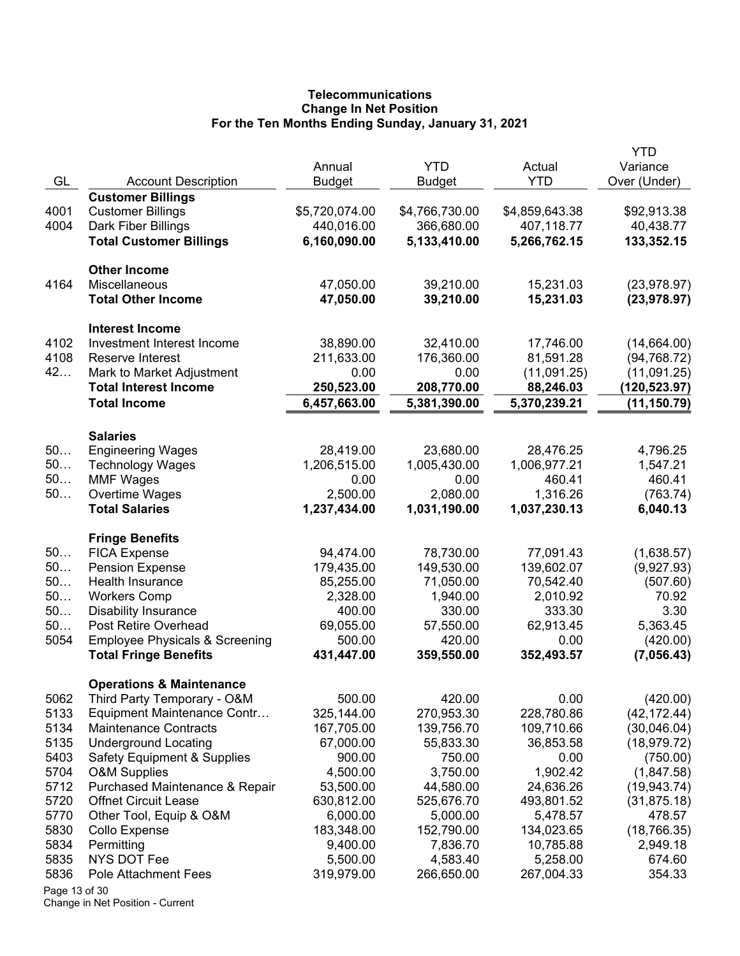# **Telecommunications Change In Net Position For the Ten Months Ending Sunday, January 31, 2021**

|               |                                             |                |                           |                           | YTD                  |
|---------------|---------------------------------------------|----------------|---------------------------|---------------------------|----------------------|
|               | <b>Account Description</b>                  | Annual         | <b>YTD</b>                | Actual<br><b>YTD</b>      | Variance             |
| GL            | <b>Customer Billings</b>                    | <b>Budget</b>  | <b>Budget</b>             |                           | Over (Under)         |
| 4001          | <b>Customer Billings</b>                    | \$5,720,074.00 | \$4,766,730.00            | \$4,859,643.38            | \$92,913.38          |
| 4004          | Dark Fiber Billings                         | 440,016.00     | 366,680.00                | 407,118.77                | 40,438.77            |
|               | <b>Total Customer Billings</b>              | 6,160,090.00   | 5,133,410.00              | 5,266,762.15              | 133,352.15           |
|               |                                             |                |                           |                           |                      |
|               | <b>Other Income</b>                         |                |                           |                           |                      |
| 4164          | <b>Miscellaneous</b>                        | 47,050.00      | 39,210.00                 | 15,231.03                 | (23, 978.97)         |
|               | <b>Total Other Income</b>                   | 47,050.00      | 39,210.00                 | 15,231.03                 | (23, 978.97)         |
|               | <b>Interest Income</b>                      |                |                           |                           |                      |
| 4102          | Investment Interest Income                  | 38,890.00      | 32,410.00                 | 17,746.00                 | (14,664.00)          |
| 4108          | Reserve Interest                            | 211,633.00     | 176,360.00                | 81,591.28                 | (94, 768.72)         |
| 42            | Mark to Market Adjustment                   | 0.00           | 0.00                      | (11,091.25)               | (11,091.25)          |
|               | <b>Total Interest Income</b>                | 250,523.00     | 208,770.00                | 88,246.03                 | (120,523.97)         |
|               | <b>Total Income</b>                         | 6,457,663.00   | 5,381,390.00              | 5,370,239.21              | (11, 150.79)         |
|               |                                             |                |                           |                           |                      |
| 50            | <b>Salaries</b>                             | 28,419.00      |                           |                           |                      |
| 50            | <b>Engineering Wages</b>                    | 1,206,515.00   | 23,680.00<br>1,005,430.00 | 28,476.25<br>1,006,977.21 | 4,796.25<br>1,547.21 |
| 50            | <b>Technology Wages</b><br><b>MMF Wages</b> | 0.00           | 0.00                      | 460.41                    | 460.41               |
| 50            | Overtime Wages                              | 2,500.00       | 2,080.00                  | 1,316.26                  | (763.74)             |
|               | <b>Total Salaries</b>                       | 1,237,434.00   | 1,031,190.00              | 1,037,230.13              | 6,040.13             |
|               |                                             |                |                           |                           |                      |
|               | <b>Fringe Benefits</b>                      |                |                           |                           |                      |
| 50            | <b>FICA Expense</b>                         | 94,474.00      | 78,730.00                 | 77,091.43                 | (1,638.57)           |
| 50            | <b>Pension Expense</b>                      | 179,435.00     | 149,530.00                | 139,602.07                | (9,927.93)           |
| 50            | Health Insurance                            | 85,255.00      | 71,050.00                 | 70,542.40                 | (507.60)             |
| 50            | <b>Workers Comp</b>                         | 2,328.00       | 1,940.00                  | 2,010.92                  | 70.92                |
| 50            | <b>Disability Insurance</b>                 | 400.00         | 330.00                    | 333.30                    | 3.30                 |
| 50            | Post Retire Overhead                        | 69,055.00      | 57,550.00                 | 62,913.45                 | 5,363.45             |
| 5054          | <b>Employee Physicals &amp; Screening</b>   | 500.00         | 420.00                    | 0.00                      | (420.00)             |
|               | <b>Total Fringe Benefits</b>                | 431,447.00     | 359,550.00                | 352,493.57                | (7,056.43)           |
|               | <b>Operations &amp; Maintenance</b>         |                |                           |                           |                      |
| 5062          | Third Party Temporary - O&M                 | 500.00         | 420.00                    | 0.00                      | (420.00)             |
| 5133          | Equipment Maintenance Contr                 | 325,144.00     | 270,953.30                | 228,780.86                | (42, 172.44)         |
| 5134          | <b>Maintenance Contracts</b>                | 167,705.00     | 139,756.70                | 109,710.66                | (30,046.04)          |
| 5135          | <b>Underground Locating</b>                 | 67,000.00      | 55,833.30                 | 36,853.58                 | (18, 979.72)         |
| 5403          | <b>Safety Equipment &amp; Supplies</b>      | 900.00         | 750.00                    | 0.00                      | (750.00)             |
| 5704          | <b>O&amp;M Supplies</b>                     | 4,500.00       | 3,750.00                  | 1,902.42                  | (1,847.58)           |
| 5712          | Purchased Maintenance & Repair              | 53,500.00      | 44,580.00                 | 24,636.26                 | (19, 943.74)         |
| 5720          | <b>Offnet Circuit Lease</b>                 | 630,812.00     | 525,676.70                | 493,801.52                | (31, 875.18)         |
| 5770          | Other Tool, Equip & O&M                     | 6,000.00       | 5,000.00                  | 5,478.57                  | 478.57               |
| 5830          | Collo Expense                               | 183,348.00     | 152,790.00                | 134,023.65                | (18, 766.35)         |
| 5834          | Permitting                                  | 9,400.00       | 7,836.70                  | 10,785.88                 | 2,949.18             |
| 5835          | NYS DOT Fee                                 | 5,500.00       | 4,583.40                  | 5,258.00                  | 674.60               |
| 5836          | Pole Attachment Fees                        | 319,979.00     | 266,650.00                | 267,004.33                | 354.33               |
| Page 13 of 30 |                                             |                |                           |                           |                      |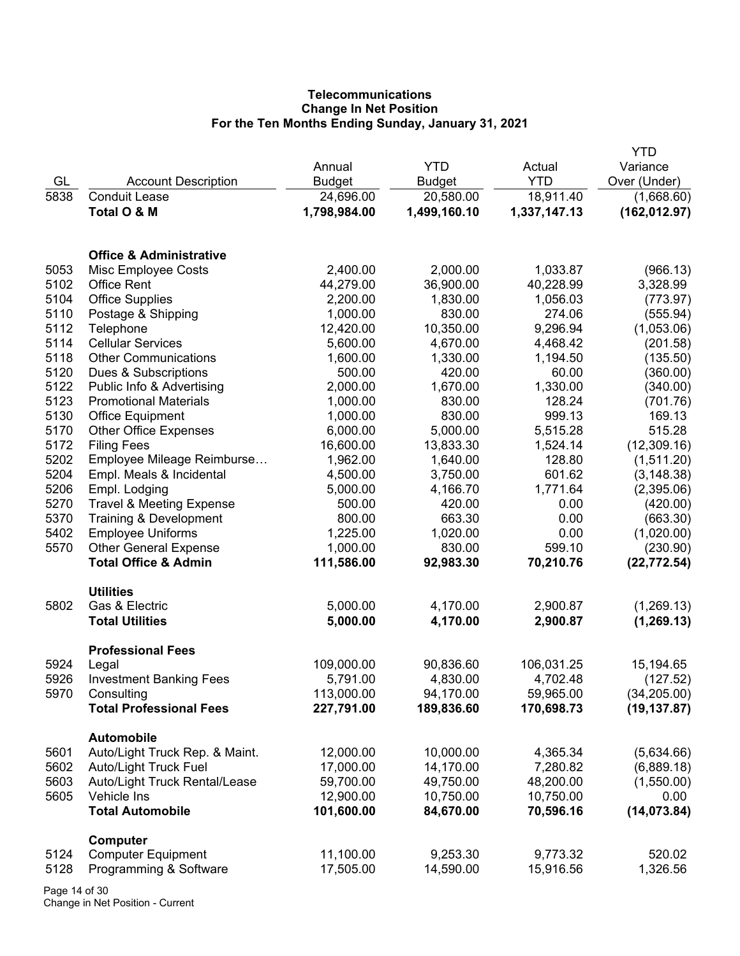# **Telecommunications Change In Net Position For the Ten Months Ending Sunday, January 31, 2021**

|              |                                              |                        |                        |                        | YTD                          |
|--------------|----------------------------------------------|------------------------|------------------------|------------------------|------------------------------|
|              |                                              | Annual                 | <b>YTD</b>             | Actual                 | Variance                     |
| GL           | <b>Account Description</b>                   | <b>Budget</b>          | <b>Budget</b>          | <b>YTD</b>             | Over (Under)                 |
| 5838         | <b>Conduit Lease</b>                         | 24,696.00              | 20,580.00              | 18,911.40              | (1,668.60)                   |
|              | Total O & M                                  | 1,798,984.00           | 1,499,160.10           | 1,337,147.13           | (162, 012.97)                |
|              | <b>Office &amp; Administrative</b>           |                        |                        |                        |                              |
| 5053         | Misc Employee Costs                          | 2,400.00               | 2,000.00               | 1,033.87               | (966.13)                     |
| 5102         | <b>Office Rent</b>                           | 44,279.00              | 36,900.00              | 40,228.99              | 3,328.99                     |
| 5104         | <b>Office Supplies</b>                       | 2,200.00               | 1,830.00               | 1,056.03               | (773.97)                     |
| 5110         | Postage & Shipping                           | 1,000.00               | 830.00                 | 274.06                 | (555.94)                     |
| 5112         | Telephone                                    | 12,420.00              | 10,350.00              | 9,296.94               | (1,053.06)                   |
| 5114         | <b>Cellular Services</b>                     | 5,600.00               | 4,670.00               | 4,468.42               | (201.58)                     |
| 5118         | <b>Other Communications</b>                  | 1,600.00               | 1,330.00               | 1,194.50               | (135.50)                     |
| 5120         | Dues & Subscriptions                         | 500.00                 | 420.00                 | 60.00                  | (360.00)                     |
| 5122         | Public Info & Advertising                    | 2,000.00               | 1,670.00               | 1,330.00               | (340.00)                     |
| 5123         | <b>Promotional Materials</b>                 | 1,000.00               | 830.00                 | 128.24                 | (701.76)                     |
| 5130         | <b>Office Equipment</b>                      | 1,000.00               | 830.00                 | 999.13                 | 169.13                       |
| 5170         | <b>Other Office Expenses</b>                 | 6,000.00               | 5,000.00               | 5,515.28               | 515.28                       |
| 5172         | <b>Filing Fees</b>                           | 16,600.00              | 13,833.30              | 1,524.14               | (12,309.16)                  |
| 5202         | Employee Mileage Reimburse                   | 1,962.00               | 1,640.00               | 128.80                 | (1,511.20)                   |
| 5204         | Empl. Meals & Incidental                     | 4,500.00               | 3,750.00               | 601.62                 | (3, 148.38)                  |
| 5206         | Empl. Lodging                                | 5,000.00               | 4,166.70               | 1,771.64               | (2,395.06)                   |
| 5270         | <b>Travel &amp; Meeting Expense</b>          | 500.00                 | 420.00                 | 0.00                   | (420.00)                     |
| 5370         | Training & Development                       | 800.00                 | 663.30                 | 0.00                   | (663.30)                     |
| 5402         | <b>Employee Uniforms</b>                     | 1,225.00               | 1,020.00               | 0.00                   | (1,020.00)                   |
| 5570         | <b>Other General Expense</b>                 | 1,000.00               | 830.00                 | 599.10                 | (230.90)                     |
|              | <b>Total Office &amp; Admin</b>              | 111,586.00             | 92,983.30              | 70,210.76              | (22, 772.54)                 |
|              | <b>Utilities</b>                             |                        |                        |                        |                              |
| 5802         | Gas & Electric                               | 5,000.00               | 4,170.00               | 2,900.87               | (1,269.13)                   |
|              | <b>Total Utilities</b>                       | 5,000.00               | 4,170.00               | 2,900.87               | (1, 269.13)                  |
| 5924         | <b>Professional Fees</b>                     | 109,000.00             |                        |                        |                              |
| 5926         | Legal<br><b>Investment Banking Fees</b>      | 5,791.00               | 90,836.60              | 106,031.25<br>4,702.48 | 15,194.65                    |
| 5970         | Consulting                                   | 113,000.00             | 4,830.00<br>94,170.00  | 59,965.00              | (127.52)                     |
|              | <b>Total Professional Fees</b>               | 227,791.00             | 189,836.60             | 170,698.73             | (34, 205.00)<br>(19, 137.87) |
|              |                                              |                        |                        |                        |                              |
|              | <b>Automobile</b>                            |                        |                        |                        |                              |
| 5601         | Auto/Light Truck Rep. & Maint.               | 12,000.00              | 10,000.00              | 4,365.34               | (5,634.66)                   |
| 5602         | <b>Auto/Light Truck Fuel</b>                 | 17,000.00              | 14,170.00              | 7,280.82               | (6,889.18)                   |
| 5603<br>5605 | Auto/Light Truck Rental/Lease<br>Vehicle Ins | 59,700.00<br>12,900.00 | 49,750.00<br>10,750.00 | 48,200.00<br>10,750.00 | (1,550.00)                   |
|              | <b>Total Automobile</b>                      | 101,600.00             | 84,670.00              | 70,596.16              | 0.00                         |
|              |                                              |                        |                        |                        | (14, 073.84)                 |
|              | Computer                                     |                        |                        |                        |                              |
| 5124         | <b>Computer Equipment</b>                    | 11,100.00              | 9,253.30               | 9,773.32               | 520.02                       |
| 5128         | Programming & Software                       | 17,505.00              | 14,590.00              | 15,916.56              | 1,326.56                     |

Page 14 of 30 Change in Net Position - Current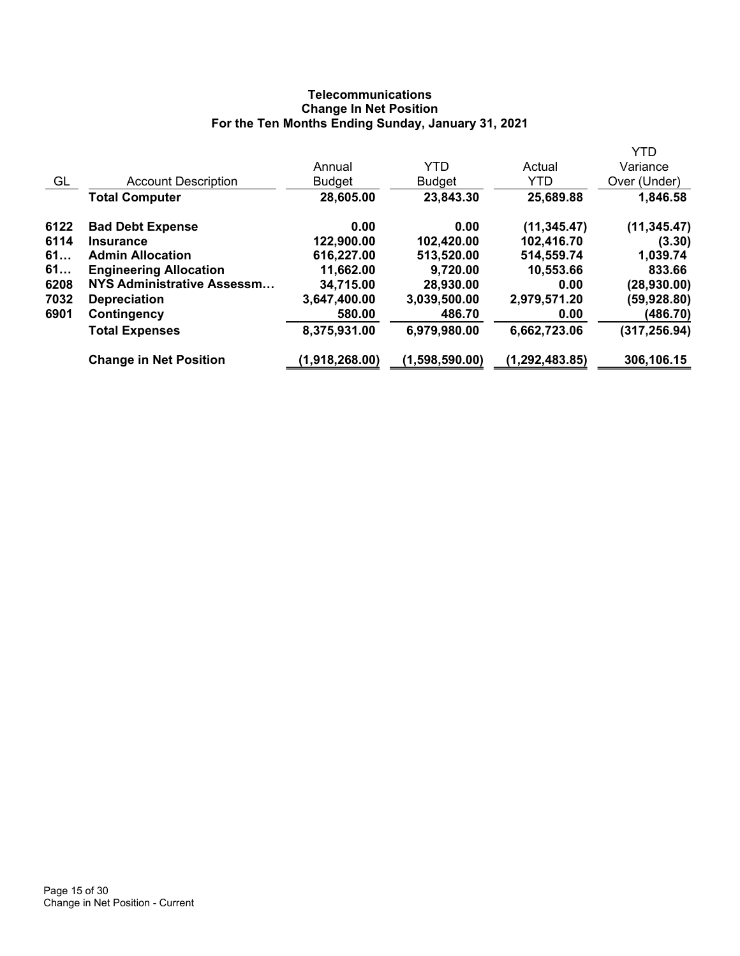# **Telecommunications Change In Net Position For the Ten Months Ending Sunday, January 31, 2021**

|      |                               |                |                |                  | <b>YTD</b>    |
|------|-------------------------------|----------------|----------------|------------------|---------------|
|      |                               | Annual         | <b>YTD</b>     | Actual           | Variance      |
| GL   | <b>Account Description</b>    | <b>Budget</b>  | <b>Budget</b>  | <b>YTD</b>       | Over (Under)  |
|      | <b>Total Computer</b>         | 28,605.00      | 23,843.30      | 25,689.88        | 1,846.58      |
| 6122 | <b>Bad Debt Expense</b>       | 0.00           | 0.00           | (11, 345.47)     | (11, 345.47)  |
| 6114 | <b>Insurance</b>              | 122,900.00     | 102,420.00     | 102,416.70       | (3.30)        |
| 61   | <b>Admin Allocation</b>       | 616,227.00     | 513,520.00     | 514,559.74       | 1,039.74      |
| 61   | <b>Engineering Allocation</b> | 11,662.00      | 9,720.00       | 10,553.66        | 833.66        |
| 6208 | NYS Administrative Assessm    | 34,715.00      | 28,930.00      | 0.00             | (28,930.00)   |
| 7032 | <b>Depreciation</b>           | 3,647,400.00   | 3,039,500.00   | 2,979,571.20     | (59,928.80)   |
| 6901 | Contingency                   | 580.00         | 486.70         | 0.00             | (486.70)      |
|      | <b>Total Expenses</b>         | 8,375,931.00   | 6,979,980.00   | 6,662,723.06     | (317, 256.94) |
|      | <b>Change in Net Position</b> | (1,918,268.00) | (1,598,590.00) | (1, 292, 483.85) | 306,106.15    |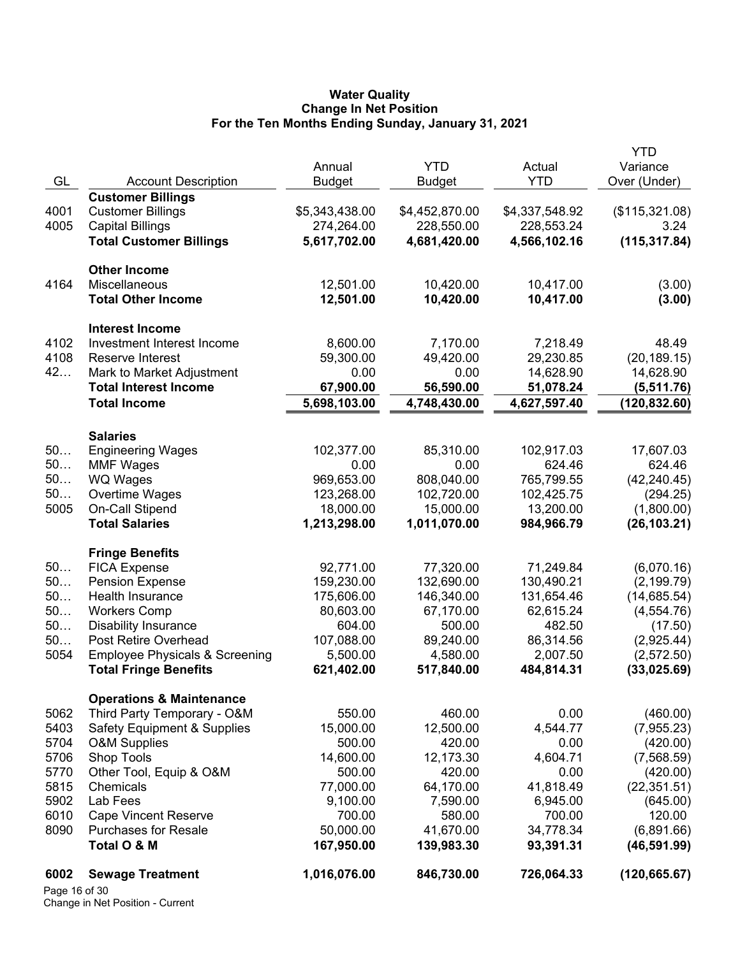#### **Water Quality Change In Net Position For the Ten Months Ending Sunday, January 31, 2021**

|               |                                           |                              |                |                              | YTD                    |
|---------------|-------------------------------------------|------------------------------|----------------|------------------------------|------------------------|
|               |                                           | Annual                       | <b>YTD</b>     | Actual                       | Variance               |
| GL            | <b>Account Description</b>                | <b>Budget</b>                | <b>Budget</b>  | <b>YTD</b>                   | Over (Under)           |
|               | <b>Customer Billings</b>                  |                              |                |                              |                        |
| 4001<br>4005  | <b>Customer Billings</b>                  | \$5,343,438.00<br>274,264.00 | \$4,452,870.00 | \$4,337,548.92<br>228,553.24 | (\$115,321.08)<br>3.24 |
|               | <b>Capital Billings</b>                   |                              | 228,550.00     |                              |                        |
|               | <b>Total Customer Billings</b>            | 5,617,702.00                 | 4,681,420.00   | 4,566,102.16                 | (115, 317.84)          |
|               | <b>Other Income</b>                       |                              |                |                              |                        |
| 4164          | <b>Miscellaneous</b>                      | 12,501.00                    | 10,420.00      | 10,417.00                    | (3.00)                 |
|               | <b>Total Other Income</b>                 | 12,501.00                    | 10,420.00      | 10,417.00                    | (3.00)                 |
|               | <b>Interest Income</b>                    |                              |                |                              |                        |
| 4102          | Investment Interest Income                | 8,600.00                     | 7,170.00       | 7,218.49                     | 48.49                  |
| 4108          | Reserve Interest                          | 59,300.00                    | 49,420.00      | 29,230.85                    | (20, 189.15)           |
| 42            | Mark to Market Adjustment                 | 0.00                         | 0.00           | 14,628.90                    | 14,628.90              |
|               | <b>Total Interest Income</b>              | 67,900.00                    | 56,590.00      | 51,078.24                    | (5,511.76)             |
|               | <b>Total Income</b>                       | 5,698,103.00                 | 4,748,430.00   | 4,627,597.40                 | (120, 832.60)          |
|               |                                           |                              |                |                              |                        |
|               | <b>Salaries</b>                           |                              |                |                              |                        |
| 50            | <b>Engineering Wages</b>                  | 102,377.00                   | 85,310.00      | 102,917.03                   | 17,607.03              |
| 50            | <b>MMF Wages</b>                          | 0.00                         | 0.00           | 624.46                       | 624.46                 |
| 50            | <b>WQ Wages</b>                           | 969,653.00                   | 808,040.00     | 765,799.55                   | (42, 240.45)           |
| 50            | Overtime Wages                            | 123,268.00                   | 102,720.00     | 102,425.75                   | (294.25)               |
| 5005          | On-Call Stipend                           | 18,000.00                    | 15,000.00      | 13,200.00                    | (1,800.00)             |
|               | <b>Total Salaries</b>                     | 1,213,298.00                 | 1,011,070.00   | 984,966.79                   | (26, 103.21)           |
|               | <b>Fringe Benefits</b>                    |                              |                |                              |                        |
| 50            | <b>FICA Expense</b>                       | 92,771.00                    | 77,320.00      | 71,249.84                    | (6,070.16)             |
| 50            | <b>Pension Expense</b>                    | 159,230.00                   | 132,690.00     | 130,490.21                   | (2, 199.79)            |
| 50            | Health Insurance                          | 175,606.00                   | 146,340.00     | 131,654.46                   | (14,685.54)            |
| 50            | <b>Workers Comp</b>                       | 80,603.00                    | 67,170.00      | 62,615.24                    | (4, 554.76)            |
| 50            | <b>Disability Insurance</b>               | 604.00                       | 500.00         | 482.50                       | (17.50)                |
| 50            | Post Retire Overhead                      | 107,088.00                   | 89,240.00      | 86,314.56                    | (2,925.44)             |
| 5054          | <b>Employee Physicals &amp; Screening</b> | 5,500.00                     | 4,580.00       | 2,007.50                     | (2,572.50)             |
|               | <b>Total Fringe Benefits</b>              | 621,402.00                   | 517,840.00     | 484,814.31                   | (33,025.69)            |
|               | <b>Operations &amp; Maintenance</b>       |                              |                |                              |                        |
| 5062          | Third Party Temporary - O&M               | 550.00                       | 460.00         | 0.00                         | (460.00)               |
| 5403          | <b>Safety Equipment &amp; Supplies</b>    | 15,000.00                    | 12,500.00      | 4,544.77                     | (7,955.23)             |
| 5704          | <b>O&amp;M Supplies</b>                   | 500.00                       | 420.00         | 0.00                         | (420.00)               |
| 5706          | Shop Tools                                | 14,600.00                    | 12,173.30      | 4,604.71                     | (7,568.59)             |
| 5770          | Other Tool, Equip & O&M                   | 500.00                       | 420.00         | 0.00                         | (420.00)               |
| 5815          | Chemicals                                 | 77,000.00                    | 64,170.00      | 41,818.49                    | (22, 351.51)           |
| 5902          | Lab Fees                                  | 9,100.00                     | 7,590.00       | 6,945.00                     | (645.00)               |
| 6010          | <b>Cape Vincent Reserve</b>               | 700.00                       | 580.00         | 700.00                       | 120.00                 |
| 8090          | <b>Purchases for Resale</b>               | 50,000.00                    | 41,670.00      | 34,778.34                    | (6,891.66)             |
|               | Total O & M                               | 167,950.00                   | 139,983.30     | 93,391.31                    | (46, 591.99)           |
| 6002          | <b>Sewage Treatment</b>                   | 1,016,076.00                 | 846,730.00     | 726,064.33                   | (120, 665.67)          |
| Page 16 of 30 |                                           |                              |                |                              |                        |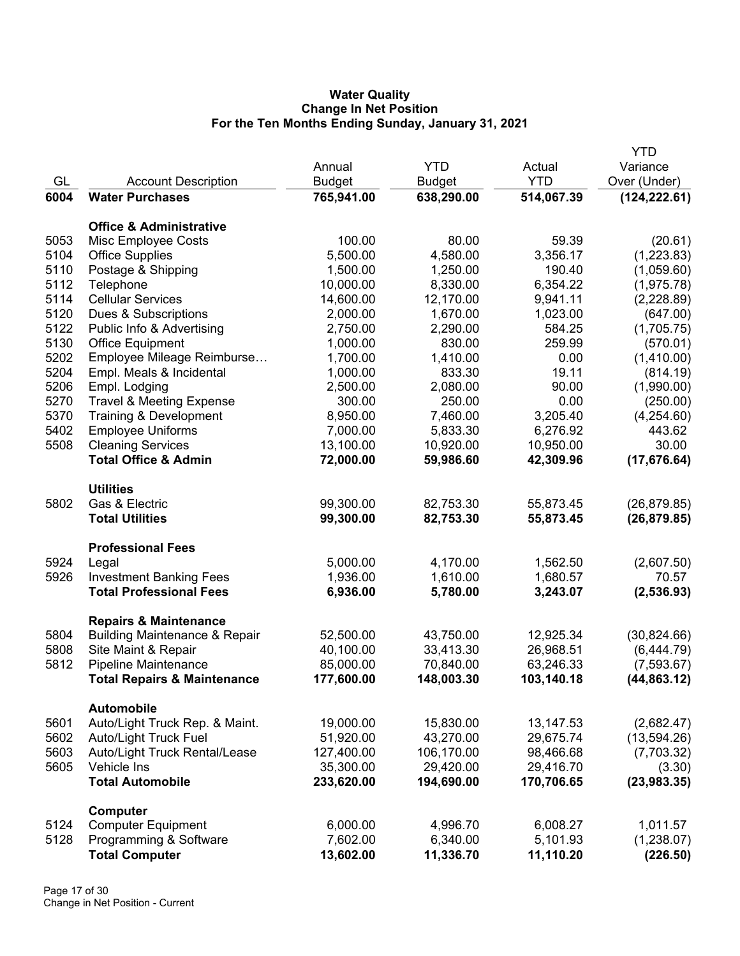## **Water Quality Change In Net Position For the Ten Months Ending Sunday, January 31, 2021**

|      |                                                                              |               |               |            | <b>YTD</b>    |
|------|------------------------------------------------------------------------------|---------------|---------------|------------|---------------|
|      |                                                                              | Annual        | <b>YTD</b>    | Actual     | Variance      |
| GL   | <b>Account Description</b>                                                   | <b>Budget</b> | <b>Budget</b> | <b>YTD</b> | Over (Under)  |
| 6004 | <b>Water Purchases</b>                                                       | 765,941.00    | 638,290.00    | 514,067.39 | (124, 222.61) |
|      |                                                                              |               |               |            |               |
|      | <b>Office &amp; Administrative</b>                                           |               |               |            |               |
| 5053 | Misc Employee Costs                                                          | 100.00        | 80.00         | 59.39      | (20.61)       |
| 5104 | <b>Office Supplies</b>                                                       | 5,500.00      | 4,580.00      | 3,356.17   | (1,223.83)    |
| 5110 | Postage & Shipping                                                           | 1,500.00      | 1,250.00      | 190.40     | (1,059.60)    |
| 5112 | Telephone                                                                    | 10,000.00     | 8,330.00      | 6,354.22   | (1,975.78)    |
| 5114 | <b>Cellular Services</b>                                                     | 14,600.00     | 12,170.00     | 9,941.11   | (2,228.89)    |
| 5120 | Dues & Subscriptions                                                         | 2,000.00      | 1,670.00      | 1,023.00   | (647.00)      |
| 5122 | Public Info & Advertising                                                    | 2,750.00      | 2,290.00      | 584.25     | (1,705.75)    |
| 5130 | <b>Office Equipment</b>                                                      | 1,000.00      | 830.00        | 259.99     | (570.01)      |
| 5202 | Employee Mileage Reimburse                                                   | 1,700.00      | 1,410.00      | 0.00       | (1,410.00)    |
| 5204 | Empl. Meals & Incidental                                                     | 1,000.00      | 833.30        | 19.11      | (814.19)      |
| 5206 | Empl. Lodging                                                                | 2,500.00      | 2,080.00      | 90.00      | (1,990.00)    |
| 5270 | <b>Travel &amp; Meeting Expense</b>                                          | 300.00        | 250.00        | 0.00       | (250.00)      |
| 5370 | Training & Development                                                       | 8,950.00      | 7,460.00      | 3,205.40   | (4,254.60)    |
| 5402 | <b>Employee Uniforms</b>                                                     | 7,000.00      | 5,833.30      | 6,276.92   | 443.62        |
| 5508 | <b>Cleaning Services</b>                                                     | 13,100.00     | 10,920.00     | 10,950.00  | 30.00         |
|      | <b>Total Office &amp; Admin</b>                                              | 72,000.00     | 59,986.60     | 42,309.96  | (17, 676.64)  |
|      | <b>Utilities</b>                                                             |               |               |            |               |
| 5802 | Gas & Electric                                                               | 99,300.00     | 82,753.30     | 55,873.45  | (26, 879.85)  |
|      | <b>Total Utilities</b>                                                       | 99,300.00     | 82,753.30     | 55,873.45  | (26, 879.85)  |
|      | <b>Professional Fees</b>                                                     |               |               |            |               |
| 5924 | Legal                                                                        | 5,000.00      | 4,170.00      | 1,562.50   | (2,607.50)    |
| 5926 | <b>Investment Banking Fees</b>                                               | 1,936.00      | 1,610.00      | 1,680.57   | 70.57         |
|      | <b>Total Professional Fees</b>                                               | 6,936.00      | 5,780.00      | 3,243.07   | (2, 536.93)   |
|      |                                                                              |               |               |            |               |
| 5804 | <b>Repairs &amp; Maintenance</b><br><b>Building Maintenance &amp; Repair</b> | 52,500.00     | 43,750.00     | 12,925.34  | (30, 824.66)  |
| 5808 | Site Maint & Repair                                                          | 40,100.00     | 33,413.30     | 26,968.51  | (6,444.79)    |
| 5812 | <b>Pipeline Maintenance</b>                                                  | 85,000.00     | 70,840.00     | 63,246.33  | (7,593.67)    |
|      | <b>Total Repairs &amp; Maintenance</b>                                       | 177,600.00    | 148,003.30    | 103,140.18 | (44, 863.12)  |
|      | <b>Automobile</b>                                                            |               |               |            |               |
| 5601 | Auto/Light Truck Rep. & Maint.                                               | 19,000.00     | 15,830.00     | 13,147.53  | (2,682.47)    |
| 5602 | <b>Auto/Light Truck Fuel</b>                                                 | 51,920.00     | 43,270.00     | 29,675.74  | (13,594.26)   |
| 5603 | Auto/Light Truck Rental/Lease                                                | 127,400.00    | 106,170.00    | 98,466.68  | (7,703.32)    |
| 5605 | Vehicle Ins                                                                  | 35,300.00     | 29,420.00     | 29,416.70  | (3.30)        |
|      | <b>Total Automobile</b>                                                      | 233,620.00    | 194,690.00    | 170,706.65 | (23, 983.35)  |
|      | Computer                                                                     |               |               |            |               |
| 5124 | <b>Computer Equipment</b>                                                    | 6,000.00      | 4,996.70      | 6,008.27   | 1,011.57      |
| 5128 | Programming & Software                                                       | 7,602.00      | 6,340.00      | 5,101.93   | (1,238.07)    |
|      | <b>Total Computer</b>                                                        | 13,602.00     | 11,336.70     | 11,110.20  | (226.50)      |
|      |                                                                              |               |               |            |               |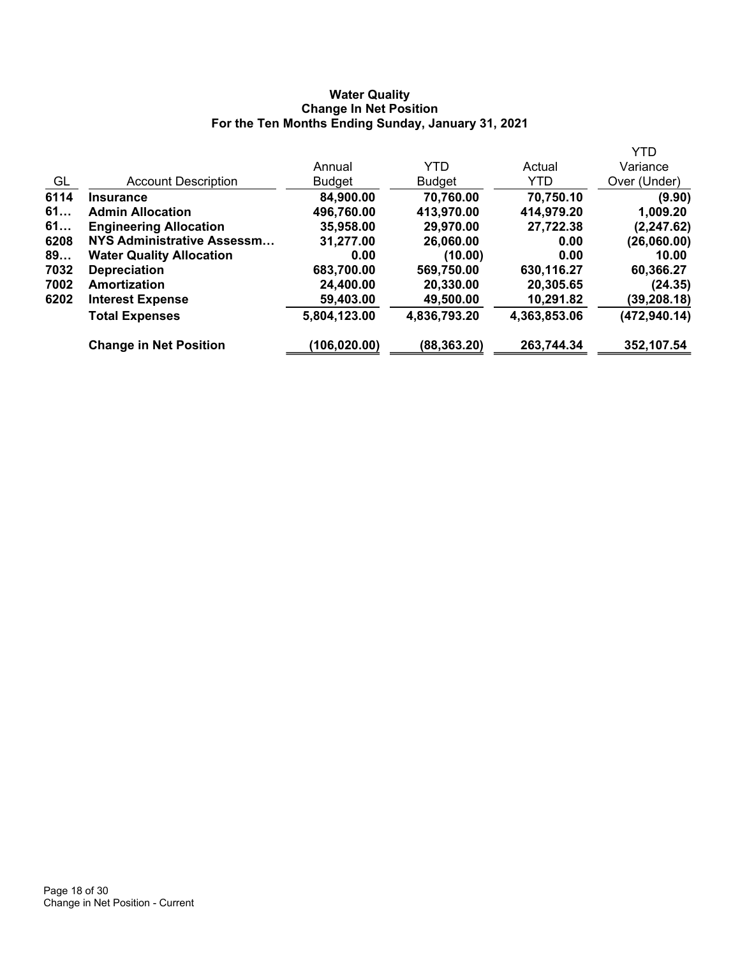## **Water Quality Change In Net Position For the Ten Months Ending Sunday, January 31, 2021**

|                                 |               |               |              | <b>YTD</b>    |
|---------------------------------|---------------|---------------|--------------|---------------|
|                                 | Annual        | <b>YTD</b>    | Actual       | Variance      |
| <b>Account Description</b>      | <b>Budget</b> | <b>Budget</b> | YTD.         | Over (Under)  |
| <b>Insurance</b>                | 84,900.00     | 70,760.00     | 70,750.10    | (9.90)        |
| <b>Admin Allocation</b>         | 496,760.00    | 413,970.00    | 414,979.20   | 1,009.20      |
| <b>Engineering Allocation</b>   | 35,958.00     | 29,970.00     | 27,722.38    | (2, 247.62)   |
| NYS Administrative Assessm      | 31,277.00     | 26,060.00     | 0.00         | (26,060.00)   |
| <b>Water Quality Allocation</b> | 0.00          | (10.00)       | 0.00         | 10.00         |
| <b>Depreciation</b>             | 683,700.00    | 569,750.00    | 630,116.27   | 60,366.27     |
| <b>Amortization</b>             | 24,400.00     | 20,330.00     | 20,305.65    | (24.35)       |
| <b>Interest Expense</b>         | 59,403.00     | 49,500.00     | 10,291.82    | (39, 208.18)  |
| <b>Total Expenses</b>           | 5,804,123.00  | 4,836,793.20  | 4,363,853.06 | (472, 940.14) |
| <b>Change in Net Position</b>   | (106, 020.00) | (88, 363.20)  | 263,744.34   | 352,107.54    |
|                                 |               |               |              |               |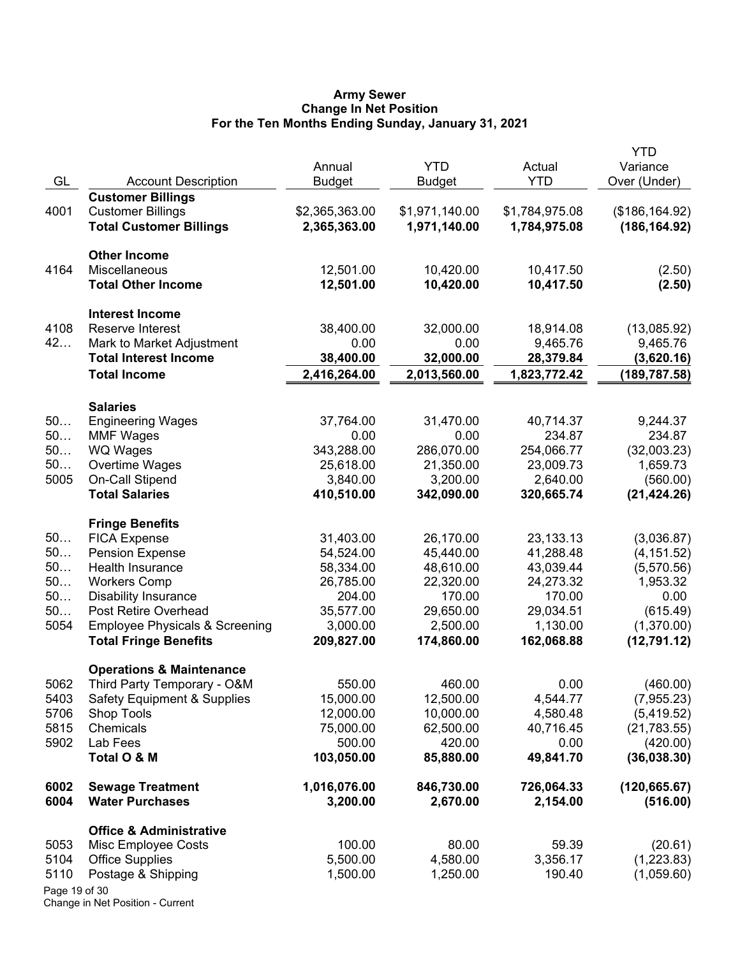#### **Army Sewer Change In Net Position For the Ten Months Ending Sunday, January 31, 2021**

| GL            | <b>Account Description</b>                | Annual<br><b>Budget</b> | <b>YTD</b><br><b>Budget</b> | Actual<br><b>YTD</b> | <b>YTD</b><br>Variance<br>Over (Under) |
|---------------|-------------------------------------------|-------------------------|-----------------------------|----------------------|----------------------------------------|
|               | <b>Customer Billings</b>                  |                         |                             |                      |                                        |
| 4001          | <b>Customer Billings</b>                  | \$2,365,363.00          | \$1,971,140.00              | \$1,784,975.08       | (\$186, 164.92)                        |
|               | <b>Total Customer Billings</b>            | 2,365,363.00            | 1,971,140.00                | 1,784,975.08         | (186, 164.92)                          |
|               | <b>Other Income</b>                       |                         |                             |                      |                                        |
| 4164          | Miscellaneous                             | 12,501.00               | 10,420.00                   | 10,417.50            | (2.50)                                 |
|               | <b>Total Other Income</b>                 | 12,501.00               | 10,420.00                   | 10,417.50            | (2.50)                                 |
|               | <b>Interest Income</b>                    |                         |                             |                      |                                        |
| 4108          | Reserve Interest                          | 38,400.00               | 32,000.00                   | 18,914.08            | (13,085.92)                            |
| 42            | Mark to Market Adjustment                 | 0.00                    | 0.00                        | 9,465.76             | 9,465.76                               |
|               | <b>Total Interest Income</b>              | 38,400.00               | 32,000.00                   | 28,379.84            | (3,620.16)                             |
|               | <b>Total Income</b>                       | 2,416,264.00            | 2,013,560.00                | 1,823,772.42         | (189, 787.58)                          |
|               | <b>Salaries</b>                           |                         |                             |                      |                                        |
| 50            | <b>Engineering Wages</b>                  | 37,764.00               | 31,470.00                   | 40,714.37            | 9,244.37                               |
| 50            | <b>MMF Wages</b>                          | 0.00                    | 0.00                        | 234.87               | 234.87                                 |
| 50            | <b>WQ Wages</b>                           | 343,288.00              | 286,070.00                  | 254,066.77           | (32,003.23)                            |
| 50            | Overtime Wages                            | 25,618.00               | 21,350.00                   | 23,009.73            | 1,659.73                               |
| 5005          | <b>On-Call Stipend</b>                    | 3,840.00                | 3,200.00                    | 2,640.00             | (560.00)                               |
|               | <b>Total Salaries</b>                     | 410,510.00              | 342,090.00                  | 320,665.74           | (21, 424.26)                           |
|               | <b>Fringe Benefits</b>                    |                         |                             |                      |                                        |
| 50            | <b>FICA Expense</b>                       | 31,403.00               | 26,170.00                   | 23, 133. 13          | (3,036.87)                             |
| 50            | <b>Pension Expense</b>                    | 54,524.00               | 45,440.00                   | 41,288.48            | (4, 151.52)                            |
| 50            | Health Insurance                          | 58,334.00               | 48,610.00                   | 43,039.44            | (5,570.56)                             |
| 50            | <b>Workers Comp</b>                       | 26,785.00               | 22,320.00                   | 24,273.32            | 1,953.32                               |
| 50            | <b>Disability Insurance</b>               | 204.00                  | 170.00                      | 170.00               | 0.00                                   |
| 50            | Post Retire Overhead                      | 35,577.00               | 29,650.00                   | 29,034.51            | (615.49)                               |
| 5054          | <b>Employee Physicals &amp; Screening</b> | 3,000.00                | 2,500.00                    | 1,130.00             | (1,370.00)                             |
|               | <b>Total Fringe Benefits</b>              | 209,827.00              | 174,860.00                  | 162,068.88           | (12,791.12)                            |
|               | <b>Operations &amp; Maintenance</b>       |                         |                             |                      |                                        |
| 5062          | Third Party Temporary - O&M               | 550.00                  | 460.00                      | 0.00                 | (460.00)                               |
| 5403          | <b>Safety Equipment &amp; Supplies</b>    | 15,000.00               | 12,500.00                   | 4,544.77             | (7,955.23)                             |
| 5706          | <b>Shop Tools</b>                         | 12,000.00               | 10,000.00                   | 4,580.48             | (5,419.52)                             |
| 5815          | Chemicals                                 | 75,000.00               | 62,500.00                   | 40,716.45            | (21,783.55)                            |
| 5902          | Lab Fees                                  | 500.00                  | 420.00                      | 0.00                 | (420.00)                               |
|               | Total O & M                               | 103,050.00              | 85,880.00                   | 49,841.70            | (36,038.30)                            |
| 6002          | <b>Sewage Treatment</b>                   | 1,016,076.00            | 846,730.00                  | 726,064.33           | (120, 665.67)                          |
| 6004          | <b>Water Purchases</b>                    | 3,200.00                | 2,670.00                    | 2,154.00             | (516.00)                               |
|               | <b>Office &amp; Administrative</b>        |                         |                             |                      |                                        |
| 5053          | Misc Employee Costs                       | 100.00                  | 80.00                       | 59.39                | (20.61)                                |
| 5104          | <b>Office Supplies</b>                    | 5,500.00                | 4,580.00                    | 3,356.17             | (1,223.83)                             |
| 5110          | Postage & Shipping                        | 1,500.00                | 1,250.00                    | 190.40               | (1,059.60)                             |
| Page 19 of 30 |                                           |                         |                             |                      |                                        |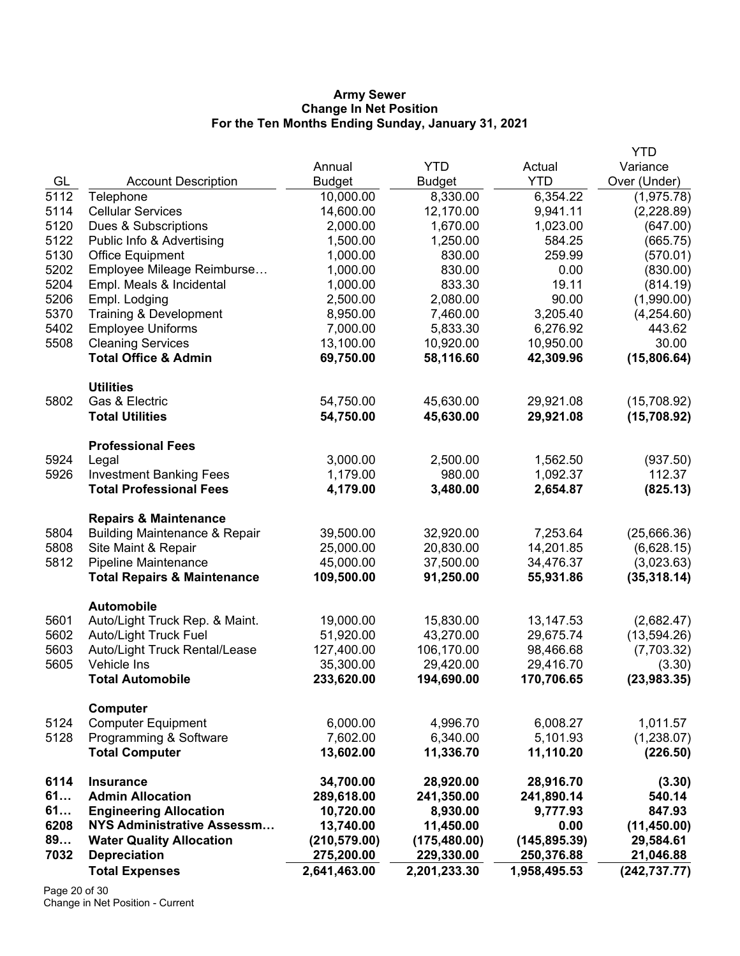#### **Army Sewer Change In Net Position For the Ten Months Ending Sunday, January 31, 2021**

|      |                                          |               |               |               | <b>YTD</b>    |
|------|------------------------------------------|---------------|---------------|---------------|---------------|
|      |                                          | Annual        | <b>YTD</b>    | Actual        | Variance      |
| GL   | <b>Account Description</b>               | <b>Budget</b> | <b>Budget</b> | <b>YTD</b>    | Over (Under)  |
| 5112 | Telephone                                | 10,000.00     | 8,330.00      | 6,354.22      | (1,975.78)    |
| 5114 | <b>Cellular Services</b>                 | 14,600.00     | 12,170.00     | 9,941.11      | (2,228.89)    |
| 5120 | Dues & Subscriptions                     | 2,000.00      | 1,670.00      | 1,023.00      | (647.00)      |
| 5122 | Public Info & Advertising                | 1,500.00      | 1,250.00      | 584.25        | (665.75)      |
| 5130 | Office Equipment                         | 1,000.00      | 830.00        | 259.99        | (570.01)      |
| 5202 | Employee Mileage Reimburse               | 1,000.00      | 830.00        | 0.00          | (830.00)      |
| 5204 | Empl. Meals & Incidental                 | 1,000.00      | 833.30        | 19.11         | (814.19)      |
| 5206 | Empl. Lodging                            | 2,500.00      | 2,080.00      | 90.00         | (1,990.00)    |
| 5370 | Training & Development                   | 8,950.00      | 7,460.00      | 3,205.40      | (4,254.60)    |
| 5402 | <b>Employee Uniforms</b>                 | 7,000.00      | 5,833.30      | 6,276.92      | 443.62        |
| 5508 | <b>Cleaning Services</b>                 | 13,100.00     | 10,920.00     | 10,950.00     | 30.00         |
|      | <b>Total Office &amp; Admin</b>          | 69,750.00     | 58,116.60     | 42,309.96     | (15,806.64)   |
|      | <b>Utilities</b>                         |               |               |               |               |
| 5802 | Gas & Electric                           | 54,750.00     | 45,630.00     | 29,921.08     | (15,708.92)   |
|      | <b>Total Utilities</b>                   | 54,750.00     | 45,630.00     | 29,921.08     | (15,708.92)   |
|      | <b>Professional Fees</b>                 |               |               |               |               |
| 5924 | Legal                                    | 3,000.00      | 2,500.00      | 1,562.50      | (937.50)      |
| 5926 | <b>Investment Banking Fees</b>           | 1,179.00      | 980.00        | 1,092.37      | 112.37        |
|      | <b>Total Professional Fees</b>           | 4,179.00      | 3,480.00      | 2,654.87      | (825.13)      |
|      | <b>Repairs &amp; Maintenance</b>         |               |               |               |               |
| 5804 | <b>Building Maintenance &amp; Repair</b> | 39,500.00     | 32,920.00     | 7,253.64      | (25,666.36)   |
| 5808 | Site Maint & Repair                      | 25,000.00     | 20,830.00     | 14,201.85     | (6,628.15)    |
| 5812 | Pipeline Maintenance                     | 45,000.00     | 37,500.00     | 34,476.37     | (3,023.63)    |
|      | <b>Total Repairs &amp; Maintenance</b>   | 109,500.00    | 91,250.00     | 55,931.86     | (35, 318.14)  |
|      | <b>Automobile</b>                        |               |               |               |               |
| 5601 | Auto/Light Truck Rep. & Maint.           | 19,000.00     | 15,830.00     | 13, 147.53    | (2,682.47)    |
| 5602 | <b>Auto/Light Truck Fuel</b>             | 51,920.00     | 43,270.00     | 29,675.74     | (13,594.26)   |
| 5603 | Auto/Light Truck Rental/Lease            | 127,400.00    | 106,170.00    | 98,466.68     | (7,703.32)    |
| 5605 | Vehicle Ins                              | 35,300.00     | 29,420.00     | 29,416.70     | (3.30)        |
|      | <b>Total Automobile</b>                  | 233,620.00    | 194,690.00    | 170,706.65    | (23, 983.35)  |
|      | Computer                                 |               |               |               |               |
| 5124 | <b>Computer Equipment</b>                | 6,000.00      | 4,996.70      | 6,008.27      | 1,011.57      |
| 5128 | Programming & Software                   | 7,602.00      | 6,340.00      | 5,101.93      | (1,238.07)    |
|      | <b>Total Computer</b>                    | 13,602.00     | 11,336.70     | 11,110.20     | (226.50)      |
| 6114 | <b>Insurance</b>                         | 34,700.00     | 28,920.00     | 28,916.70     | (3.30)        |
| 61   | <b>Admin Allocation</b>                  | 289,618.00    | 241,350.00    | 241,890.14    | 540.14        |
| 61   | <b>Engineering Allocation</b>            | 10,720.00     | 8,930.00      | 9,777.93      | 847.93        |
| 6208 | NYS Administrative Assessm               | 13,740.00     | 11,450.00     | 0.00          | (11, 450.00)  |
| 89   | <b>Water Quality Allocation</b>          | (210, 579.00) | (175, 480.00) | (145, 895.39) | 29,584.61     |
| 7032 | <b>Depreciation</b>                      | 275,200.00    | 229,330.00    | 250,376.88    | 21,046.88     |
|      | <b>Total Expenses</b>                    | 2,641,463.00  | 2,201,233.30  | 1,958,495.53  | (242, 737.77) |

Page 20 of 30 Change in Net Position - Current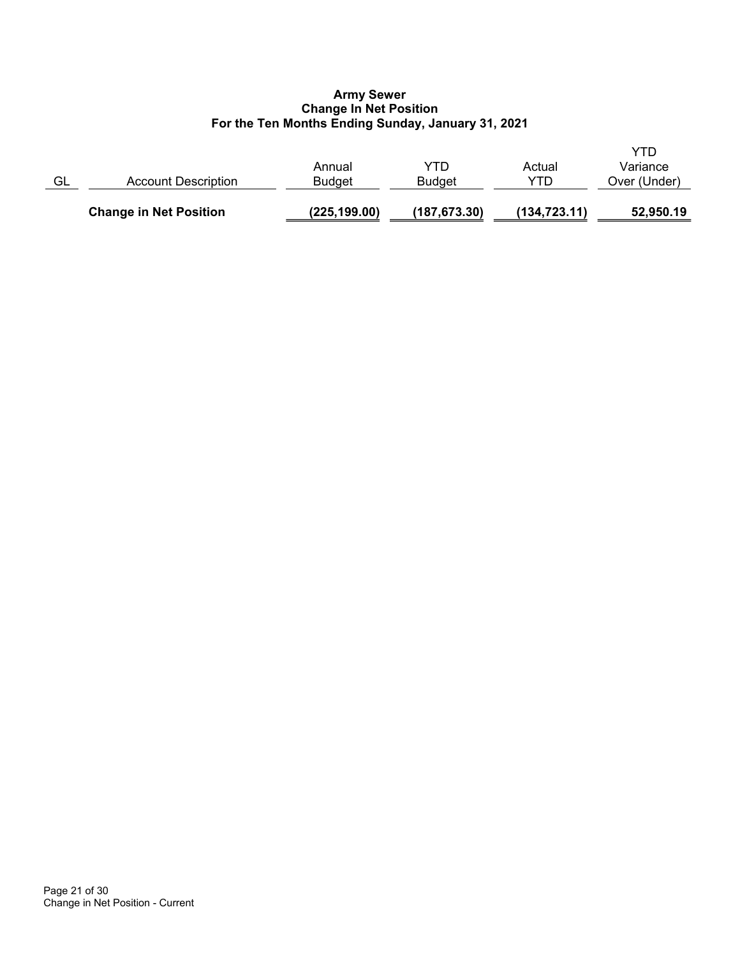## **Army Sewer Change In Net Position For the Ten Months Ending Sunday, January 31, 2021**

|    | <b>Change in Net Position</b> | (225, 199.00)    | (187, 673.30)        | (134, 723.11) | 52,950.19                       |
|----|-------------------------------|------------------|----------------------|---------------|---------------------------------|
| GL | Account Description           | Annual<br>Budget | YTD<br><b>Budget</b> | Actual<br>YTD | YTD<br>Variance<br>Over (Under) |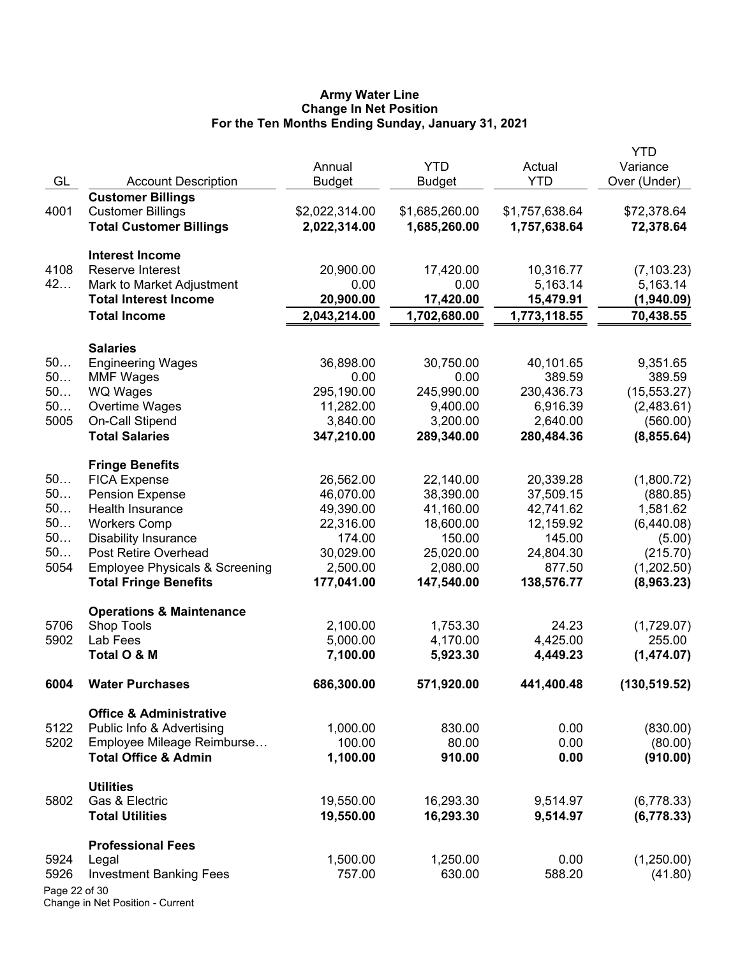### **Army Water Line Change In Net Position For the Ten Months Ending Sunday, January 31, 2021**

| Annual<br>GL<br><b>YTD</b><br>Over (Under)<br><b>Account Description</b><br><b>Budget</b><br><b>Budget</b><br><b>Customer Billings</b><br><b>Customer Billings</b><br>\$2,022,314.00<br>\$1,685,260.00<br>\$1,757,638.64<br>\$72,378.64<br>4001<br><b>Total Customer Billings</b><br>2,022,314.00<br>1,685,260.00<br>1,757,638.64<br>72,378.64<br><b>Interest Income</b><br>Reserve Interest<br>4108<br>20,900.00<br>10,316.77<br>17,420.00<br>(7, 103.23)<br>42<br>Mark to Market Adjustment<br>0.00<br>0.00<br>5,163.14<br>5,163.14<br><b>Total Interest Income</b><br>20,900.00<br>17,420.00<br>15,479.91<br>(1,940.09)<br><b>Total Income</b><br>2,043,214.00<br>1,702,680.00<br>1,773,118.55<br>70,438.55<br><b>Salaries</b><br>50<br>36,898.00<br>30,750.00<br>40,101.65<br>9,351.65<br><b>Engineering Wages</b><br>50<br><b>MMF Wages</b><br>0.00<br>0.00<br>389.59<br>389.59<br>50<br><b>WQ Wages</b><br>295,190.00<br>245,990.00<br>230,436.73<br>(15, 553.27)<br>50<br>Overtime Wages<br>11,282.00<br>9,400.00<br>6,916.39<br>(2,483.61)<br>5005<br>On-Call Stipend<br>3,840.00<br>3,200.00<br>2,640.00<br>(560.00)<br><b>Total Salaries</b><br>347,210.00<br>289,340.00<br>280,484.36<br>(8, 855.64)<br><b>Fringe Benefits</b><br>50<br><b>FICA Expense</b><br>26,562.00<br>22,140.00<br>20,339.28<br>(1,800.72)<br>50<br><b>Pension Expense</b><br>46,070.00<br>38,390.00<br>37,509.15<br>(880.85)<br>50<br>Health Insurance<br>49,390.00<br>41,160.00<br>42,741.62<br>1,581.62<br>50<br><b>Workers Comp</b><br>22,316.00<br>18,600.00<br>12,159.92<br>(6,440.08)<br>50<br><b>Disability Insurance</b><br>174.00<br>150.00<br>145.00<br>(5.00)<br>50<br>Post Retire Overhead<br>30,029.00<br>25,020.00<br>24,804.30<br>(215.70)<br>5054<br><b>Employee Physicals &amp; Screening</b><br>2,500.00<br>2,080.00<br>877.50<br>(1,202.50)<br><b>Total Fringe Benefits</b><br>177,041.00<br>147,540.00<br>138,576.77<br>(8,963.23)<br><b>Operations &amp; Maintenance</b><br>5706<br>Shop Tools<br>2,100.00<br>1,753.30<br>24.23<br>(1,729.07)<br>5902<br>4,425.00<br>Lab Fees<br>5,000.00<br>4,170.00<br>255.00<br>Total O & M<br>4,449.23<br>(1,474.07)<br>7,100.00<br>5,923.30<br>686,300.00<br>571,920.00<br>441,400.48<br>6004<br><b>Water Purchases</b><br>(130, 519.52)<br><b>Office &amp; Administrative</b><br>5122<br>Public Info & Advertising<br>1,000.00<br>830.00<br>0.00<br>(830.00)<br>5202<br>Employee Mileage Reimburse<br>100.00<br>80.00<br>0.00<br>(80.00)<br>1,100.00<br><b>Total Office &amp; Admin</b><br>910.00<br>0.00<br>(910.00)<br><b>Utilities</b><br>Gas & Electric<br>19,550.00<br>16,293.30<br>9,514.97<br>(6,778.33)<br>5802<br><b>Total Utilities</b><br>19,550.00<br>16,293.30<br>9,514.97<br>(6,778.33)<br><b>Professional Fees</b><br>1,500.00<br>1,250.00<br>0.00<br>(1,250.00)<br>5924<br>Legal<br>757.00<br>630.00<br>588.20<br>(41.80)<br>5926<br><b>Investment Banking Fees</b><br>Page 22 of 30 |  |            |        | <b>YTD</b> |
|---------------------------------------------------------------------------------------------------------------------------------------------------------------------------------------------------------------------------------------------------------------------------------------------------------------------------------------------------------------------------------------------------------------------------------------------------------------------------------------------------------------------------------------------------------------------------------------------------------------------------------------------------------------------------------------------------------------------------------------------------------------------------------------------------------------------------------------------------------------------------------------------------------------------------------------------------------------------------------------------------------------------------------------------------------------------------------------------------------------------------------------------------------------------------------------------------------------------------------------------------------------------------------------------------------------------------------------------------------------------------------------------------------------------------------------------------------------------------------------------------------------------------------------------------------------------------------------------------------------------------------------------------------------------------------------------------------------------------------------------------------------------------------------------------------------------------------------------------------------------------------------------------------------------------------------------------------------------------------------------------------------------------------------------------------------------------------------------------------------------------------------------------------------------------------------------------------------------------------------------------------------------------------------------------------------------------------------------------------------------------------------------------------------------------------------------------------------------------------------------------------------------------------------------------------------------------------------------------------------------------------------------------------------------------------------------------------------------------------------------------------------------------------------------------------------------------------------------------------------------------------------------------------------------------------------------------|--|------------|--------|------------|
|                                                                                                                                                                                                                                                                                                                                                                                                                                                                                                                                                                                                                                                                                                                                                                                                                                                                                                                                                                                                                                                                                                                                                                                                                                                                                                                                                                                                                                                                                                                                                                                                                                                                                                                                                                                                                                                                                                                                                                                                                                                                                                                                                                                                                                                                                                                                                                                                                                                                                                                                                                                                                                                                                                                                                                                                                                                                                                                                                   |  | <b>YTD</b> | Actual | Variance   |
|                                                                                                                                                                                                                                                                                                                                                                                                                                                                                                                                                                                                                                                                                                                                                                                                                                                                                                                                                                                                                                                                                                                                                                                                                                                                                                                                                                                                                                                                                                                                                                                                                                                                                                                                                                                                                                                                                                                                                                                                                                                                                                                                                                                                                                                                                                                                                                                                                                                                                                                                                                                                                                                                                                                                                                                                                                                                                                                                                   |  |            |        |            |
|                                                                                                                                                                                                                                                                                                                                                                                                                                                                                                                                                                                                                                                                                                                                                                                                                                                                                                                                                                                                                                                                                                                                                                                                                                                                                                                                                                                                                                                                                                                                                                                                                                                                                                                                                                                                                                                                                                                                                                                                                                                                                                                                                                                                                                                                                                                                                                                                                                                                                                                                                                                                                                                                                                                                                                                                                                                                                                                                                   |  |            |        |            |
|                                                                                                                                                                                                                                                                                                                                                                                                                                                                                                                                                                                                                                                                                                                                                                                                                                                                                                                                                                                                                                                                                                                                                                                                                                                                                                                                                                                                                                                                                                                                                                                                                                                                                                                                                                                                                                                                                                                                                                                                                                                                                                                                                                                                                                                                                                                                                                                                                                                                                                                                                                                                                                                                                                                                                                                                                                                                                                                                                   |  |            |        |            |
|                                                                                                                                                                                                                                                                                                                                                                                                                                                                                                                                                                                                                                                                                                                                                                                                                                                                                                                                                                                                                                                                                                                                                                                                                                                                                                                                                                                                                                                                                                                                                                                                                                                                                                                                                                                                                                                                                                                                                                                                                                                                                                                                                                                                                                                                                                                                                                                                                                                                                                                                                                                                                                                                                                                                                                                                                                                                                                                                                   |  |            |        |            |
|                                                                                                                                                                                                                                                                                                                                                                                                                                                                                                                                                                                                                                                                                                                                                                                                                                                                                                                                                                                                                                                                                                                                                                                                                                                                                                                                                                                                                                                                                                                                                                                                                                                                                                                                                                                                                                                                                                                                                                                                                                                                                                                                                                                                                                                                                                                                                                                                                                                                                                                                                                                                                                                                                                                                                                                                                                                                                                                                                   |  |            |        |            |
|                                                                                                                                                                                                                                                                                                                                                                                                                                                                                                                                                                                                                                                                                                                                                                                                                                                                                                                                                                                                                                                                                                                                                                                                                                                                                                                                                                                                                                                                                                                                                                                                                                                                                                                                                                                                                                                                                                                                                                                                                                                                                                                                                                                                                                                                                                                                                                                                                                                                                                                                                                                                                                                                                                                                                                                                                                                                                                                                                   |  |            |        |            |
|                                                                                                                                                                                                                                                                                                                                                                                                                                                                                                                                                                                                                                                                                                                                                                                                                                                                                                                                                                                                                                                                                                                                                                                                                                                                                                                                                                                                                                                                                                                                                                                                                                                                                                                                                                                                                                                                                                                                                                                                                                                                                                                                                                                                                                                                                                                                                                                                                                                                                                                                                                                                                                                                                                                                                                                                                                                                                                                                                   |  |            |        |            |
|                                                                                                                                                                                                                                                                                                                                                                                                                                                                                                                                                                                                                                                                                                                                                                                                                                                                                                                                                                                                                                                                                                                                                                                                                                                                                                                                                                                                                                                                                                                                                                                                                                                                                                                                                                                                                                                                                                                                                                                                                                                                                                                                                                                                                                                                                                                                                                                                                                                                                                                                                                                                                                                                                                                                                                                                                                                                                                                                                   |  |            |        |            |
|                                                                                                                                                                                                                                                                                                                                                                                                                                                                                                                                                                                                                                                                                                                                                                                                                                                                                                                                                                                                                                                                                                                                                                                                                                                                                                                                                                                                                                                                                                                                                                                                                                                                                                                                                                                                                                                                                                                                                                                                                                                                                                                                                                                                                                                                                                                                                                                                                                                                                                                                                                                                                                                                                                                                                                                                                                                                                                                                                   |  |            |        |            |
|                                                                                                                                                                                                                                                                                                                                                                                                                                                                                                                                                                                                                                                                                                                                                                                                                                                                                                                                                                                                                                                                                                                                                                                                                                                                                                                                                                                                                                                                                                                                                                                                                                                                                                                                                                                                                                                                                                                                                                                                                                                                                                                                                                                                                                                                                                                                                                                                                                                                                                                                                                                                                                                                                                                                                                                                                                                                                                                                                   |  |            |        |            |
|                                                                                                                                                                                                                                                                                                                                                                                                                                                                                                                                                                                                                                                                                                                                                                                                                                                                                                                                                                                                                                                                                                                                                                                                                                                                                                                                                                                                                                                                                                                                                                                                                                                                                                                                                                                                                                                                                                                                                                                                                                                                                                                                                                                                                                                                                                                                                                                                                                                                                                                                                                                                                                                                                                                                                                                                                                                                                                                                                   |  |            |        |            |
|                                                                                                                                                                                                                                                                                                                                                                                                                                                                                                                                                                                                                                                                                                                                                                                                                                                                                                                                                                                                                                                                                                                                                                                                                                                                                                                                                                                                                                                                                                                                                                                                                                                                                                                                                                                                                                                                                                                                                                                                                                                                                                                                                                                                                                                                                                                                                                                                                                                                                                                                                                                                                                                                                                                                                                                                                                                                                                                                                   |  |            |        |            |
|                                                                                                                                                                                                                                                                                                                                                                                                                                                                                                                                                                                                                                                                                                                                                                                                                                                                                                                                                                                                                                                                                                                                                                                                                                                                                                                                                                                                                                                                                                                                                                                                                                                                                                                                                                                                                                                                                                                                                                                                                                                                                                                                                                                                                                                                                                                                                                                                                                                                                                                                                                                                                                                                                                                                                                                                                                                                                                                                                   |  |            |        |            |
|                                                                                                                                                                                                                                                                                                                                                                                                                                                                                                                                                                                                                                                                                                                                                                                                                                                                                                                                                                                                                                                                                                                                                                                                                                                                                                                                                                                                                                                                                                                                                                                                                                                                                                                                                                                                                                                                                                                                                                                                                                                                                                                                                                                                                                                                                                                                                                                                                                                                                                                                                                                                                                                                                                                                                                                                                                                                                                                                                   |  |            |        |            |
|                                                                                                                                                                                                                                                                                                                                                                                                                                                                                                                                                                                                                                                                                                                                                                                                                                                                                                                                                                                                                                                                                                                                                                                                                                                                                                                                                                                                                                                                                                                                                                                                                                                                                                                                                                                                                                                                                                                                                                                                                                                                                                                                                                                                                                                                                                                                                                                                                                                                                                                                                                                                                                                                                                                                                                                                                                                                                                                                                   |  |            |        |            |
|                                                                                                                                                                                                                                                                                                                                                                                                                                                                                                                                                                                                                                                                                                                                                                                                                                                                                                                                                                                                                                                                                                                                                                                                                                                                                                                                                                                                                                                                                                                                                                                                                                                                                                                                                                                                                                                                                                                                                                                                                                                                                                                                                                                                                                                                                                                                                                                                                                                                                                                                                                                                                                                                                                                                                                                                                                                                                                                                                   |  |            |        |            |
|                                                                                                                                                                                                                                                                                                                                                                                                                                                                                                                                                                                                                                                                                                                                                                                                                                                                                                                                                                                                                                                                                                                                                                                                                                                                                                                                                                                                                                                                                                                                                                                                                                                                                                                                                                                                                                                                                                                                                                                                                                                                                                                                                                                                                                                                                                                                                                                                                                                                                                                                                                                                                                                                                                                                                                                                                                                                                                                                                   |  |            |        |            |
|                                                                                                                                                                                                                                                                                                                                                                                                                                                                                                                                                                                                                                                                                                                                                                                                                                                                                                                                                                                                                                                                                                                                                                                                                                                                                                                                                                                                                                                                                                                                                                                                                                                                                                                                                                                                                                                                                                                                                                                                                                                                                                                                                                                                                                                                                                                                                                                                                                                                                                                                                                                                                                                                                                                                                                                                                                                                                                                                                   |  |            |        |            |
|                                                                                                                                                                                                                                                                                                                                                                                                                                                                                                                                                                                                                                                                                                                                                                                                                                                                                                                                                                                                                                                                                                                                                                                                                                                                                                                                                                                                                                                                                                                                                                                                                                                                                                                                                                                                                                                                                                                                                                                                                                                                                                                                                                                                                                                                                                                                                                                                                                                                                                                                                                                                                                                                                                                                                                                                                                                                                                                                                   |  |            |        |            |
|                                                                                                                                                                                                                                                                                                                                                                                                                                                                                                                                                                                                                                                                                                                                                                                                                                                                                                                                                                                                                                                                                                                                                                                                                                                                                                                                                                                                                                                                                                                                                                                                                                                                                                                                                                                                                                                                                                                                                                                                                                                                                                                                                                                                                                                                                                                                                                                                                                                                                                                                                                                                                                                                                                                                                                                                                                                                                                                                                   |  |            |        |            |
|                                                                                                                                                                                                                                                                                                                                                                                                                                                                                                                                                                                                                                                                                                                                                                                                                                                                                                                                                                                                                                                                                                                                                                                                                                                                                                                                                                                                                                                                                                                                                                                                                                                                                                                                                                                                                                                                                                                                                                                                                                                                                                                                                                                                                                                                                                                                                                                                                                                                                                                                                                                                                                                                                                                                                                                                                                                                                                                                                   |  |            |        |            |
|                                                                                                                                                                                                                                                                                                                                                                                                                                                                                                                                                                                                                                                                                                                                                                                                                                                                                                                                                                                                                                                                                                                                                                                                                                                                                                                                                                                                                                                                                                                                                                                                                                                                                                                                                                                                                                                                                                                                                                                                                                                                                                                                                                                                                                                                                                                                                                                                                                                                                                                                                                                                                                                                                                                                                                                                                                                                                                                                                   |  |            |        |            |
|                                                                                                                                                                                                                                                                                                                                                                                                                                                                                                                                                                                                                                                                                                                                                                                                                                                                                                                                                                                                                                                                                                                                                                                                                                                                                                                                                                                                                                                                                                                                                                                                                                                                                                                                                                                                                                                                                                                                                                                                                                                                                                                                                                                                                                                                                                                                                                                                                                                                                                                                                                                                                                                                                                                                                                                                                                                                                                                                                   |  |            |        |            |
|                                                                                                                                                                                                                                                                                                                                                                                                                                                                                                                                                                                                                                                                                                                                                                                                                                                                                                                                                                                                                                                                                                                                                                                                                                                                                                                                                                                                                                                                                                                                                                                                                                                                                                                                                                                                                                                                                                                                                                                                                                                                                                                                                                                                                                                                                                                                                                                                                                                                                                                                                                                                                                                                                                                                                                                                                                                                                                                                                   |  |            |        |            |
|                                                                                                                                                                                                                                                                                                                                                                                                                                                                                                                                                                                                                                                                                                                                                                                                                                                                                                                                                                                                                                                                                                                                                                                                                                                                                                                                                                                                                                                                                                                                                                                                                                                                                                                                                                                                                                                                                                                                                                                                                                                                                                                                                                                                                                                                                                                                                                                                                                                                                                                                                                                                                                                                                                                                                                                                                                                                                                                                                   |  |            |        |            |
|                                                                                                                                                                                                                                                                                                                                                                                                                                                                                                                                                                                                                                                                                                                                                                                                                                                                                                                                                                                                                                                                                                                                                                                                                                                                                                                                                                                                                                                                                                                                                                                                                                                                                                                                                                                                                                                                                                                                                                                                                                                                                                                                                                                                                                                                                                                                                                                                                                                                                                                                                                                                                                                                                                                                                                                                                                                                                                                                                   |  |            |        |            |
|                                                                                                                                                                                                                                                                                                                                                                                                                                                                                                                                                                                                                                                                                                                                                                                                                                                                                                                                                                                                                                                                                                                                                                                                                                                                                                                                                                                                                                                                                                                                                                                                                                                                                                                                                                                                                                                                                                                                                                                                                                                                                                                                                                                                                                                                                                                                                                                                                                                                                                                                                                                                                                                                                                                                                                                                                                                                                                                                                   |  |            |        |            |
|                                                                                                                                                                                                                                                                                                                                                                                                                                                                                                                                                                                                                                                                                                                                                                                                                                                                                                                                                                                                                                                                                                                                                                                                                                                                                                                                                                                                                                                                                                                                                                                                                                                                                                                                                                                                                                                                                                                                                                                                                                                                                                                                                                                                                                                                                                                                                                                                                                                                                                                                                                                                                                                                                                                                                                                                                                                                                                                                                   |  |            |        |            |
|                                                                                                                                                                                                                                                                                                                                                                                                                                                                                                                                                                                                                                                                                                                                                                                                                                                                                                                                                                                                                                                                                                                                                                                                                                                                                                                                                                                                                                                                                                                                                                                                                                                                                                                                                                                                                                                                                                                                                                                                                                                                                                                                                                                                                                                                                                                                                                                                                                                                                                                                                                                                                                                                                                                                                                                                                                                                                                                                                   |  |            |        |            |
|                                                                                                                                                                                                                                                                                                                                                                                                                                                                                                                                                                                                                                                                                                                                                                                                                                                                                                                                                                                                                                                                                                                                                                                                                                                                                                                                                                                                                                                                                                                                                                                                                                                                                                                                                                                                                                                                                                                                                                                                                                                                                                                                                                                                                                                                                                                                                                                                                                                                                                                                                                                                                                                                                                                                                                                                                                                                                                                                                   |  |            |        |            |
|                                                                                                                                                                                                                                                                                                                                                                                                                                                                                                                                                                                                                                                                                                                                                                                                                                                                                                                                                                                                                                                                                                                                                                                                                                                                                                                                                                                                                                                                                                                                                                                                                                                                                                                                                                                                                                                                                                                                                                                                                                                                                                                                                                                                                                                                                                                                                                                                                                                                                                                                                                                                                                                                                                                                                                                                                                                                                                                                                   |  |            |        |            |
|                                                                                                                                                                                                                                                                                                                                                                                                                                                                                                                                                                                                                                                                                                                                                                                                                                                                                                                                                                                                                                                                                                                                                                                                                                                                                                                                                                                                                                                                                                                                                                                                                                                                                                                                                                                                                                                                                                                                                                                                                                                                                                                                                                                                                                                                                                                                                                                                                                                                                                                                                                                                                                                                                                                                                                                                                                                                                                                                                   |  |            |        |            |
|                                                                                                                                                                                                                                                                                                                                                                                                                                                                                                                                                                                                                                                                                                                                                                                                                                                                                                                                                                                                                                                                                                                                                                                                                                                                                                                                                                                                                                                                                                                                                                                                                                                                                                                                                                                                                                                                                                                                                                                                                                                                                                                                                                                                                                                                                                                                                                                                                                                                                                                                                                                                                                                                                                                                                                                                                                                                                                                                                   |  |            |        |            |
|                                                                                                                                                                                                                                                                                                                                                                                                                                                                                                                                                                                                                                                                                                                                                                                                                                                                                                                                                                                                                                                                                                                                                                                                                                                                                                                                                                                                                                                                                                                                                                                                                                                                                                                                                                                                                                                                                                                                                                                                                                                                                                                                                                                                                                                                                                                                                                                                                                                                                                                                                                                                                                                                                                                                                                                                                                                                                                                                                   |  |            |        |            |
|                                                                                                                                                                                                                                                                                                                                                                                                                                                                                                                                                                                                                                                                                                                                                                                                                                                                                                                                                                                                                                                                                                                                                                                                                                                                                                                                                                                                                                                                                                                                                                                                                                                                                                                                                                                                                                                                                                                                                                                                                                                                                                                                                                                                                                                                                                                                                                                                                                                                                                                                                                                                                                                                                                                                                                                                                                                                                                                                                   |  |            |        |            |
|                                                                                                                                                                                                                                                                                                                                                                                                                                                                                                                                                                                                                                                                                                                                                                                                                                                                                                                                                                                                                                                                                                                                                                                                                                                                                                                                                                                                                                                                                                                                                                                                                                                                                                                                                                                                                                                                                                                                                                                                                                                                                                                                                                                                                                                                                                                                                                                                                                                                                                                                                                                                                                                                                                                                                                                                                                                                                                                                                   |  |            |        |            |
|                                                                                                                                                                                                                                                                                                                                                                                                                                                                                                                                                                                                                                                                                                                                                                                                                                                                                                                                                                                                                                                                                                                                                                                                                                                                                                                                                                                                                                                                                                                                                                                                                                                                                                                                                                                                                                                                                                                                                                                                                                                                                                                                                                                                                                                                                                                                                                                                                                                                                                                                                                                                                                                                                                                                                                                                                                                                                                                                                   |  |            |        |            |
|                                                                                                                                                                                                                                                                                                                                                                                                                                                                                                                                                                                                                                                                                                                                                                                                                                                                                                                                                                                                                                                                                                                                                                                                                                                                                                                                                                                                                                                                                                                                                                                                                                                                                                                                                                                                                                                                                                                                                                                                                                                                                                                                                                                                                                                                                                                                                                                                                                                                                                                                                                                                                                                                                                                                                                                                                                                                                                                                                   |  |            |        |            |
|                                                                                                                                                                                                                                                                                                                                                                                                                                                                                                                                                                                                                                                                                                                                                                                                                                                                                                                                                                                                                                                                                                                                                                                                                                                                                                                                                                                                                                                                                                                                                                                                                                                                                                                                                                                                                                                                                                                                                                                                                                                                                                                                                                                                                                                                                                                                                                                                                                                                                                                                                                                                                                                                                                                                                                                                                                                                                                                                                   |  |            |        |            |
|                                                                                                                                                                                                                                                                                                                                                                                                                                                                                                                                                                                                                                                                                                                                                                                                                                                                                                                                                                                                                                                                                                                                                                                                                                                                                                                                                                                                                                                                                                                                                                                                                                                                                                                                                                                                                                                                                                                                                                                                                                                                                                                                                                                                                                                                                                                                                                                                                                                                                                                                                                                                                                                                                                                                                                                                                                                                                                                                                   |  |            |        |            |
|                                                                                                                                                                                                                                                                                                                                                                                                                                                                                                                                                                                                                                                                                                                                                                                                                                                                                                                                                                                                                                                                                                                                                                                                                                                                                                                                                                                                                                                                                                                                                                                                                                                                                                                                                                                                                                                                                                                                                                                                                                                                                                                                                                                                                                                                                                                                                                                                                                                                                                                                                                                                                                                                                                                                                                                                                                                                                                                                                   |  |            |        |            |
|                                                                                                                                                                                                                                                                                                                                                                                                                                                                                                                                                                                                                                                                                                                                                                                                                                                                                                                                                                                                                                                                                                                                                                                                                                                                                                                                                                                                                                                                                                                                                                                                                                                                                                                                                                                                                                                                                                                                                                                                                                                                                                                                                                                                                                                                                                                                                                                                                                                                                                                                                                                                                                                                                                                                                                                                                                                                                                                                                   |  |            |        |            |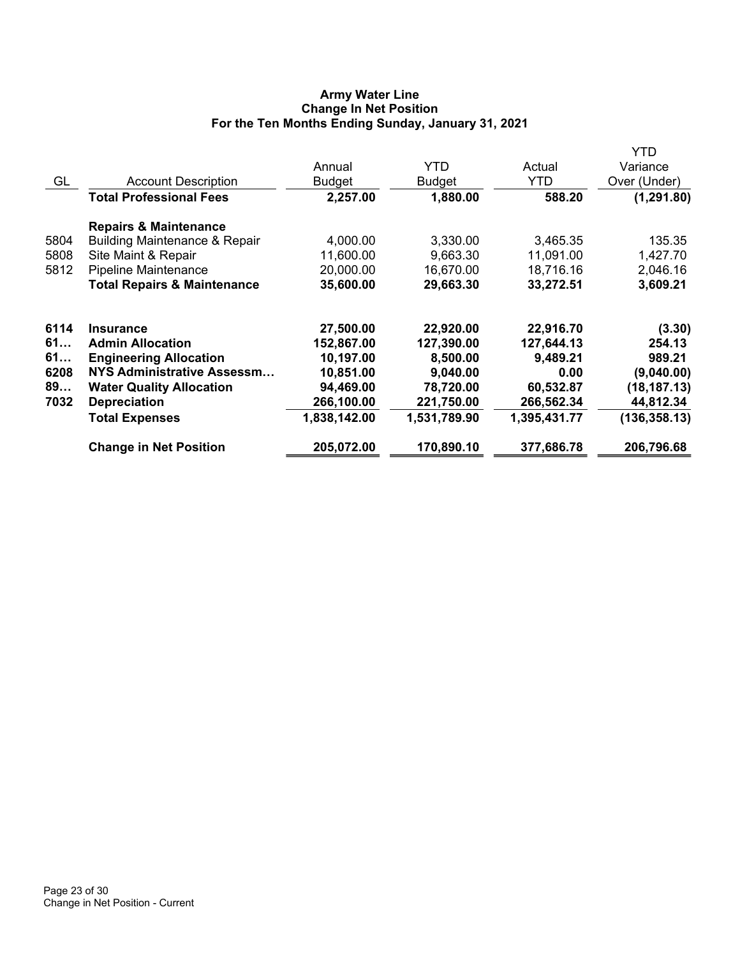## **Army Water Line Change In Net Position For the Ten Months Ending Sunday, January 31, 2021**

|      |                                          |              |              |              | YTD           |
|------|------------------------------------------|--------------|--------------|--------------|---------------|
|      |                                          | Annual       | YTD.         | Actual       | Variance      |
| GL   | <b>Account Description</b>               | Budget       | Budget       | YTD          | Over (Under)  |
|      | <b>Total Professional Fees</b>           | 2,257.00     | 1,880.00     | 588.20       | (1, 291.80)   |
|      | <b>Repairs &amp; Maintenance</b>         |              |              |              |               |
| 5804 | <b>Building Maintenance &amp; Repair</b> | 4,000.00     | 3,330.00     | 3,465.35     | 135.35        |
| 5808 | Site Maint & Repair                      | 11,600.00    | 9,663.30     | 11,091.00    | 1,427.70      |
| 5812 | Pipeline Maintenance                     | 20,000.00    | 16,670.00    | 18,716.16    | 2,046.16      |
|      | <b>Total Repairs &amp; Maintenance</b>   | 35,600.00    | 29,663.30    | 33,272.51    | 3,609.21      |
| 6114 | <b>Insurance</b>                         | 27,500.00    | 22,920.00    | 22,916.70    | (3.30)        |
| 61   | <b>Admin Allocation</b>                  | 152,867.00   | 127,390.00   | 127,644.13   | 254.13        |
| 61   | <b>Engineering Allocation</b>            | 10,197.00    | 8,500.00     | 9,489.21     | 989.21        |
| 6208 | NYS Administrative Assessm               | 10,851.00    | 9,040.00     | 0.00         | (9,040.00)    |
| 89   | <b>Water Quality Allocation</b>          | 94,469.00    | 78,720.00    | 60,532.87    | (18, 187.13)  |
| 7032 | <b>Depreciation</b>                      | 266,100.00   | 221,750.00   | 266,562.34   | 44,812.34     |
|      | <b>Total Expenses</b>                    | 1,838,142.00 | 1,531,789.90 | 1,395,431.77 | (136, 358.13) |
|      | <b>Change in Net Position</b>            | 205,072.00   | 170,890.10   | 377,686.78   | 206,796.68    |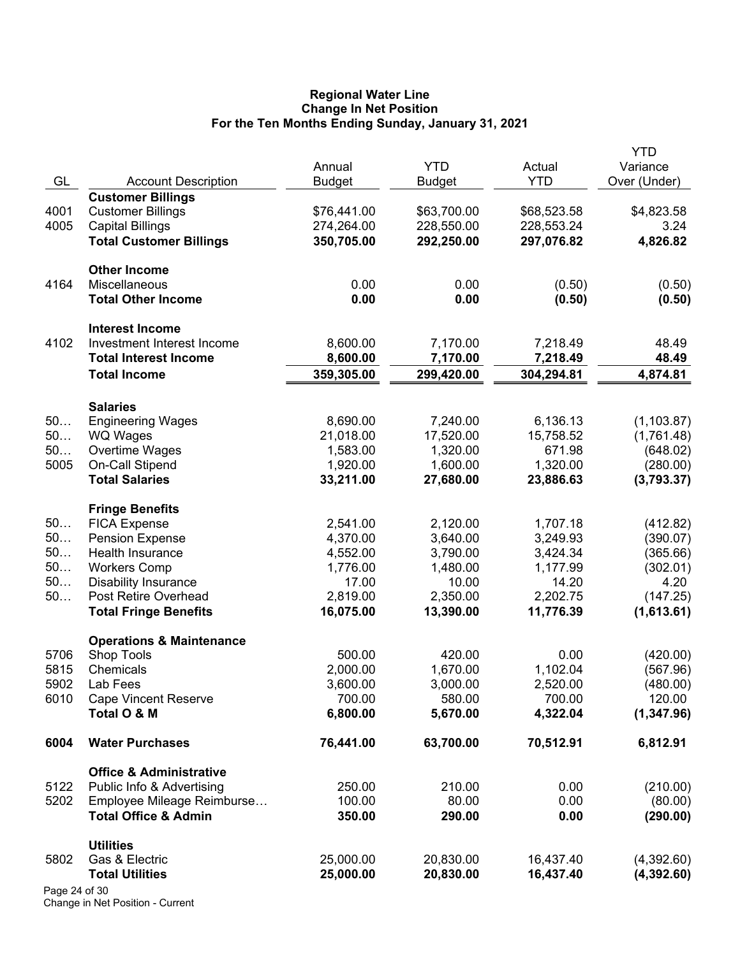## **Regional Water Line Change In Net Position For the Ten Months Ending Sunday, January 31, 2021**

|               |                                            | Annual                 | <b>YTD</b>             | Actual                 | YTD<br>Variance       |
|---------------|--------------------------------------------|------------------------|------------------------|------------------------|-----------------------|
| GL            | <b>Account Description</b>                 | <b>Budget</b>          | Budget                 | <b>YTD</b>             | Over (Under)          |
|               | <b>Customer Billings</b>                   |                        |                        |                        |                       |
| 4001          | <b>Customer Billings</b>                   | \$76,441.00            | \$63,700.00            | \$68,523.58            | \$4,823.58            |
| 4005          | <b>Capital Billings</b>                    | 274,264.00             | 228,550.00             | 228,553.24             | 3.24                  |
|               | <b>Total Customer Billings</b>             | 350,705.00             | 292,250.00             | 297,076.82             | 4,826.82              |
|               | <b>Other Income</b>                        |                        |                        |                        |                       |
| 4164          | Miscellaneous                              | 0.00                   | 0.00                   | (0.50)                 | (0.50)                |
|               | <b>Total Other Income</b>                  | 0.00                   | 0.00                   | (0.50)                 | (0.50)                |
|               | <b>Interest Income</b>                     |                        |                        |                        |                       |
| 4102          | Investment Interest Income                 | 8,600.00               | 7,170.00               | 7,218.49               | 48.49                 |
|               | <b>Total Interest Income</b>               | 8,600.00               | 7,170.00               | 7,218.49               | 48.49                 |
|               | <b>Total Income</b>                        | 359,305.00             | 299,420.00             | 304,294.81             | 4,874.81              |
|               | <b>Salaries</b>                            |                        |                        |                        |                       |
| 50            | <b>Engineering Wages</b>                   | 8,690.00               | 7,240.00               | 6,136.13               | (1, 103.87)           |
| 50            | WQ Wages                                   | 21,018.00              | 17,520.00              | 15,758.52              | (1,761.48)            |
| 50            | Overtime Wages                             | 1,583.00               | 1,320.00               | 671.98                 | (648.02)              |
| 5005          | On-Call Stipend                            | 1,920.00               | 1,600.00               | 1,320.00               | (280.00)              |
|               | <b>Total Salaries</b>                      | 33,211.00              | 27,680.00              | 23,886.63              | (3,793.37)            |
|               | <b>Fringe Benefits</b>                     |                        |                        |                        |                       |
| 50            | <b>FICA Expense</b>                        | 2,541.00               | 2,120.00               | 1,707.18               | (412.82)              |
| 50            | <b>Pension Expense</b>                     | 4,370.00               | 3,640.00               | 3,249.93               | (390.07)              |
| 50            | Health Insurance                           | 4,552.00               | 3,790.00               | 3,424.34               | (365.66)              |
| 50            | <b>Workers Comp</b>                        | 1,776.00               | 1,480.00               | 1,177.99               | (302.01)              |
| 50            | <b>Disability Insurance</b>                | 17.00                  | 10.00                  | 14.20                  | 4.20                  |
| 50            | Post Retire Overhead                       | 2,819.00               | 2,350.00               | 2,202.75               | (147.25)              |
|               | <b>Total Fringe Benefits</b>               | 16,075.00              | 13,390.00              | 11,776.39              | (1,613.61)            |
|               | <b>Operations &amp; Maintenance</b>        |                        |                        |                        |                       |
| 5706          | Shop Tools                                 | 500.00                 | 420.00                 | 0.00                   | (420.00)              |
| 5815          | Chemicals                                  | 2,000.00               | 1,670.00               | 1,102.04               | (567.96)              |
| 5902          | Lab Fees                                   | 3,600.00               | 3,000.00               | 2,520.00               | (480.00)              |
| 6010          | <b>Cape Vincent Reserve</b><br>Total O & M | 700.00<br>6,800.00     | 580.00<br>5,670.00     | 700.00<br>4,322.04     | 120.00<br>(1, 347.96) |
|               |                                            |                        |                        |                        |                       |
| 6004          | <b>Water Purchases</b>                     | 76,441.00              | 63,700.00              | 70,512.91              | 6,812.91              |
|               | <b>Office &amp; Administrative</b>         |                        |                        |                        |                       |
| 5122          | Public Info & Advertising                  | 250.00                 | 210.00                 | 0.00                   | (210.00)              |
| 5202          | Employee Mileage Reimburse                 | 100.00                 | 80.00                  | 0.00                   | (80.00)               |
|               | <b>Total Office &amp; Admin</b>            | 350.00                 | 290.00                 | 0.00                   | (290.00)              |
|               | <b>Utilities</b>                           |                        |                        |                        |                       |
| 5802          | Gas & Electric<br><b>Total Utilities</b>   | 25,000.00<br>25,000.00 | 20,830.00<br>20,830.00 | 16,437.40<br>16,437.40 | (4,392.60)            |
| Page 24 of 30 |                                            |                        |                        |                        | (4,392.60)            |
|               |                                            |                        |                        |                        |                       |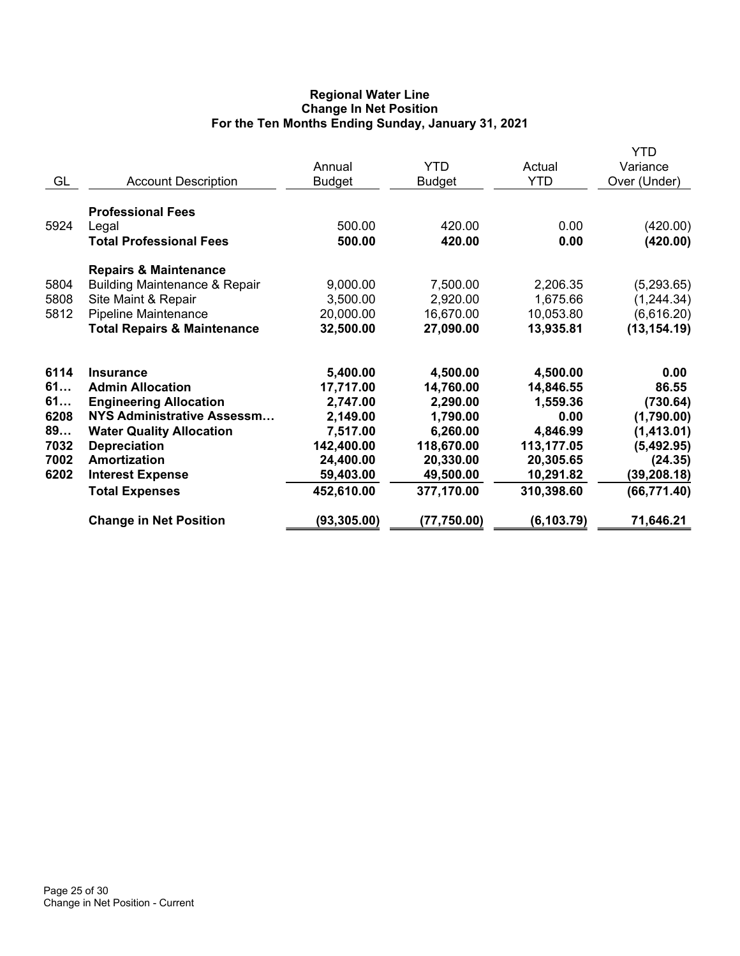## **Regional Water Line Change In Net Position For the Ten Months Ending Sunday, January 31, 2021**

| <b>Professional Fees</b><br>5924<br>500.00<br>420.00<br>0.00<br>Legal<br><b>Total Professional Fees</b><br>500.00<br>420.00<br>0.00<br><b>Repairs &amp; Maintenance</b><br>5804<br><b>Building Maintenance &amp; Repair</b><br>9,000.00<br>7,500.00<br>2,206.35<br>5808<br>Site Maint & Repair<br>3,500.00<br>2,920.00<br>1,675.66<br>5812<br>Pipeline Maintenance<br>20,000.00<br>16,670.00<br>10,053.80<br><b>Total Repairs &amp; Maintenance</b><br>27,090.00<br>32,500.00<br>13,935.81<br>6114<br>5,400.00<br>4,500.00<br>4,500.00<br><b>Insurance</b><br>61<br><b>Admin Allocation</b><br>17,717.00<br>14,760.00<br>14,846.55<br>61<br><b>Engineering Allocation</b><br>2,747.00<br>2,290.00<br>1,559.36<br>NYS Administrative Assessm<br>6208<br>2,149.00<br>1,790.00<br>0.00<br>89<br>7,517.00<br>6,260.00<br>4,846.99<br><b>Water Quality Allocation</b><br>7032<br>142,400.00<br>118,670.00<br><b>Depreciation</b><br>113,177.05<br>7002<br>Amortization<br>24,400.00<br>20,330.00<br>20,305.65<br>6202<br>59,403.00<br>49,500.00<br>10,291.82<br><b>Interest Expense</b><br>377,170.00<br>310,398.60<br>452,610.00<br><b>Total Expenses</b> | GL | <b>Account Description</b> | Annual<br><b>Budget</b> | <b>YTD</b><br>Budget | Actual<br><b>YTD</b> | <b>YTD</b><br>Variance<br>Over (Under)                                                                                       |
|-------------------------------------------------------------------------------------------------------------------------------------------------------------------------------------------------------------------------------------------------------------------------------------------------------------------------------------------------------------------------------------------------------------------------------------------------------------------------------------------------------------------------------------------------------------------------------------------------------------------------------------------------------------------------------------------------------------------------------------------------------------------------------------------------------------------------------------------------------------------------------------------------------------------------------------------------------------------------------------------------------------------------------------------------------------------------------------------------------------------------------------------------------|----|----------------------------|-------------------------|----------------------|----------------------|------------------------------------------------------------------------------------------------------------------------------|
|                                                                                                                                                                                                                                                                                                                                                                                                                                                                                                                                                                                                                                                                                                                                                                                                                                                                                                                                                                                                                                                                                                                                                       |    |                            |                         |                      |                      | (420.00)<br>(420.00)                                                                                                         |
|                                                                                                                                                                                                                                                                                                                                                                                                                                                                                                                                                                                                                                                                                                                                                                                                                                                                                                                                                                                                                                                                                                                                                       |    |                            |                         |                      |                      | (5,293.65)<br>(1, 244.34)<br>(6,616.20)<br>(13, 154.19)                                                                      |
| <b>Change in Net Position</b><br>(93, 305.00)<br>(6, 103.79)<br>(77,750.00)                                                                                                                                                                                                                                                                                                                                                                                                                                                                                                                                                                                                                                                                                                                                                                                                                                                                                                                                                                                                                                                                           |    |                            |                         |                      |                      | 0.00<br>86.55<br>(730.64)<br>(1,790.00)<br>(1, 413.01)<br>(5,492.95)<br>(24.35)<br>(39, 208.18)<br>(66, 771.40)<br>71,646.21 |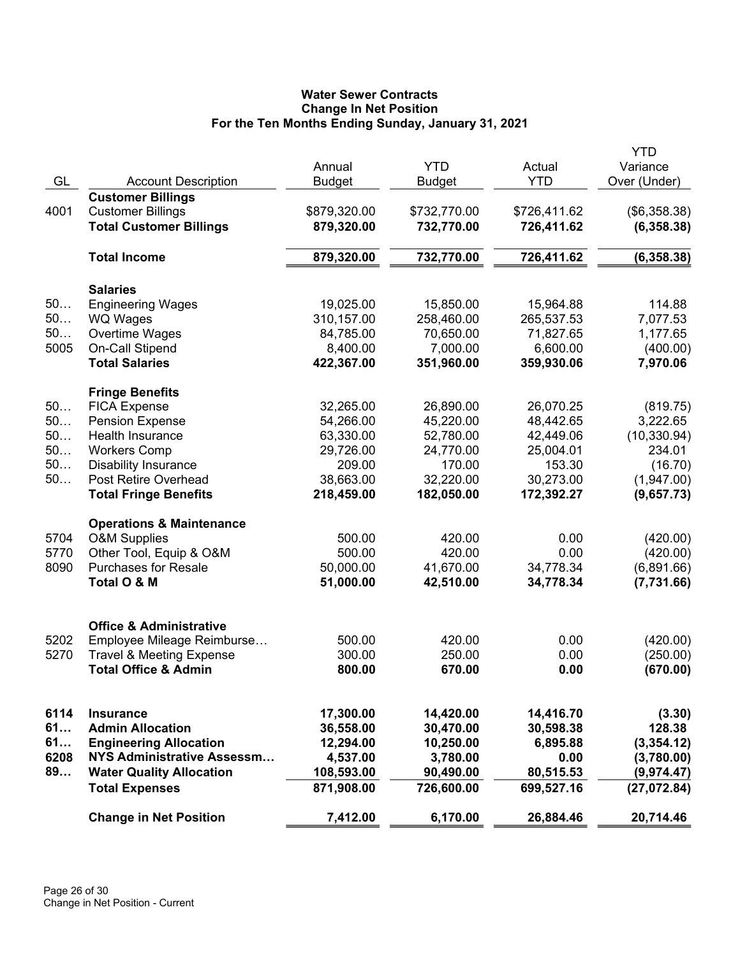# **Water Sewer Contracts Change In Net Position For the Ten Months Ending Sunday, January 31, 2021**

|      |                                     |                  |               |              | <b>YTD</b>   |
|------|-------------------------------------|------------------|---------------|--------------|--------------|
|      |                                     | Annual           | <b>YTD</b>    | Actual       | Variance     |
| GL   | <b>Account Description</b>          | <b>Budget</b>    | <b>Budget</b> | <b>YTD</b>   | Over (Under) |
|      | <b>Customer Billings</b>            |                  |               |              |              |
| 4001 | <b>Customer Billings</b>            | \$879,320.00     | \$732,770.00  | \$726,411.62 | (\$6,358.38) |
|      | <b>Total Customer Billings</b>      | 879,320.00       | 732,770.00    | 726,411.62   | (6,358.38)   |
|      | <b>Total Income</b>                 | 879,320.00       | 732,770.00    | 726,411.62   | (6, 358.38)  |
|      | <b>Salaries</b>                     |                  |               |              |              |
| 50   | <b>Engineering Wages</b>            | 19,025.00        | 15,850.00     | 15,964.88    | 114.88       |
| 50   | <b>WQ Wages</b>                     | 310,157.00       | 258,460.00    | 265,537.53   | 7,077.53     |
| 50   | Overtime Wages                      | 84,785.00        | 70,650.00     | 71,827.65    | 1,177.65     |
| 5005 | On-Call Stipend                     | 8,400.00         | 7,000.00      | 6,600.00     | (400.00)     |
|      | <b>Total Salaries</b>               | 422,367.00       | 351,960.00    | 359,930.06   | 7,970.06     |
|      | <b>Fringe Benefits</b>              |                  |               |              |              |
| 50   | <b>FICA Expense</b>                 | 32,265.00        | 26,890.00     | 26,070.25    | (819.75)     |
| 50   | <b>Pension Expense</b>              | 54,266.00        | 45,220.00     | 48,442.65    | 3,222.65     |
| 50   | <b>Health Insurance</b>             | 63,330.00        | 52,780.00     | 42,449.06    | (10, 330.94) |
| 50   | <b>Workers Comp</b>                 | 29,726.00        | 24,770.00     | 25,004.01    | 234.01       |
| 50   | <b>Disability Insurance</b>         | 209.00           | 170.00        | 153.30       | (16.70)      |
| 50   | Post Retire Overhead                | 38,663.00        | 32,220.00     | 30,273.00    | (1,947.00)   |
|      | <b>Total Fringe Benefits</b>        | 218,459.00       | 182,050.00    | 172,392.27   | (9,657.73)   |
|      |                                     |                  |               |              |              |
|      | <b>Operations &amp; Maintenance</b> |                  |               |              |              |
| 5704 | <b>O&amp;M Supplies</b>             | 500.00<br>500.00 | 420.00        | 0.00<br>0.00 | (420.00)     |
| 5770 | Other Tool, Equip & O&M             |                  | 420.00        |              | (420.00)     |
| 8090 | <b>Purchases for Resale</b>         | 50,000.00        | 41,670.00     | 34,778.34    | (6,891.66)   |
|      | Total O & M                         | 51,000.00        | 42,510.00     | 34,778.34    | (7,731.66)   |
|      | <b>Office &amp; Administrative</b>  |                  |               |              |              |
| 5202 | Employee Mileage Reimburse          | 500.00           | 420.00        | 0.00         | (420.00)     |
| 5270 | <b>Travel &amp; Meeting Expense</b> | 300.00           | 250.00        | 0.00         | (250.00)     |
|      | <b>Total Office &amp; Admin</b>     | 800.00           | 670.00        | 0.00         | (670.00)     |
|      |                                     |                  |               |              |              |
| 6114 | <b>Insurance</b>                    | 17,300.00        | 14,420.00     | 14,416.70    | (3.30)       |
| 61   | <b>Admin Allocation</b>             | 36,558.00        | 30,470.00     | 30,598.38    | 128.38       |
| 61   | <b>Engineering Allocation</b>       | 12,294.00        | 10,250.00     | 6,895.88     | (3,354.12)   |
| 6208 | NYS Administrative Assessm          | 4,537.00         | 3,780.00      | 0.00         | (3,780.00)   |
| 89   | <b>Water Quality Allocation</b>     | 108,593.00       | 90,490.00     | 80,515.53    | (9,974.47)   |
|      | <b>Total Expenses</b>               | 871,908.00       | 726,600.00    | 699,527.16   | (27,072.84)  |
|      |                                     |                  |               |              |              |
|      | <b>Change in Net Position</b>       | 7,412.00         | 6,170.00      | 26,884.46    | 20,714.46    |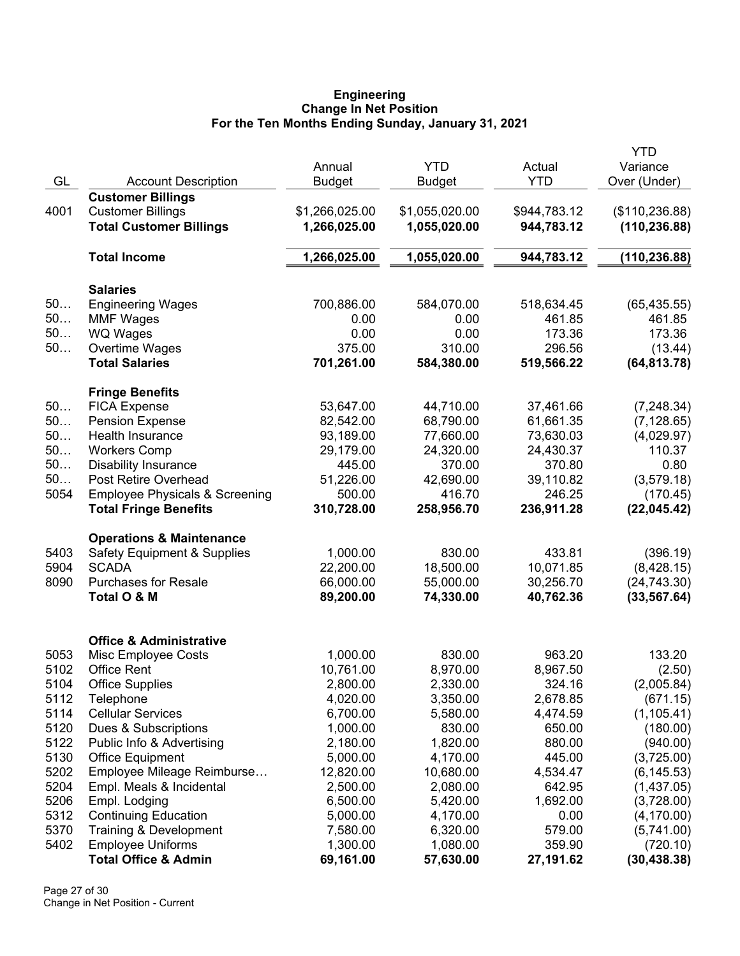#### **Engineering Change In Net Position For the Ten Months Ending Sunday, January 31, 2021**

|      |                                           |                |                |              | <b>YTD</b>      |
|------|-------------------------------------------|----------------|----------------|--------------|-----------------|
|      |                                           | Annual         | <b>YTD</b>     | Actual       | Variance        |
| GL   | <b>Account Description</b>                | <b>Budget</b>  | <b>Budget</b>  | <b>YTD</b>   | Over (Under)    |
|      | <b>Customer Billings</b>                  |                |                |              |                 |
| 4001 | <b>Customer Billings</b>                  | \$1,266,025.00 | \$1,055,020.00 | \$944,783.12 | (\$110, 236.88) |
|      | <b>Total Customer Billings</b>            | 1,266,025.00   | 1,055,020.00   | 944,783.12   | (110, 236.88)   |
|      |                                           |                |                |              |                 |
|      | <b>Total Income</b>                       | 1,266,025.00   | 1,055,020.00   | 944,783.12   | (110, 236.88)   |
|      | <b>Salaries</b>                           |                |                |              |                 |
| 50   | <b>Engineering Wages</b>                  | 700,886.00     | 584,070.00     | 518,634.45   | (65, 435.55)    |
| 50   | <b>MMF Wages</b>                          | 0.00           | 0.00           | 461.85       | 461.85          |
| 50   | <b>WQ Wages</b>                           | 0.00           | 0.00           | 173.36       | 173.36          |
| 50   | Overtime Wages                            | 375.00         | 310.00         | 296.56       | (13.44)         |
|      | <b>Total Salaries</b>                     | 701,261.00     | 584,380.00     | 519,566.22   | (64, 813.78)    |
|      | <b>Fringe Benefits</b>                    |                |                |              |                 |
| 50   | <b>FICA Expense</b>                       | 53,647.00      | 44,710.00      | 37,461.66    | (7, 248.34)     |
| 50   | <b>Pension Expense</b>                    | 82,542.00      | 68,790.00      | 61,661.35    | (7, 128.65)     |
| 50   | Health Insurance                          | 93,189.00      | 77,660.00      | 73,630.03    | (4,029.97)      |
| 50   | <b>Workers Comp</b>                       | 29,179.00      | 24,320.00      | 24,430.37    | 110.37          |
| 50   | <b>Disability Insurance</b>               | 445.00         | 370.00         | 370.80       | 0.80            |
| 50   | Post Retire Overhead                      | 51,226.00      | 42,690.00      | 39,110.82    | (3,579.18)      |
| 5054 | <b>Employee Physicals &amp; Screening</b> | 500.00         | 416.70         | 246.25       | (170.45)        |
|      | <b>Total Fringe Benefits</b>              | 310,728.00     | 258,956.70     | 236,911.28   | (22,045.42)     |
|      | <b>Operations &amp; Maintenance</b>       |                |                |              |                 |
| 5403 | <b>Safety Equipment &amp; Supplies</b>    | 1,000.00       | 830.00         | 433.81       | (396.19)        |
| 5904 | <b>SCADA</b>                              | 22,200.00      | 18,500.00      | 10,071.85    | (8,428.15)      |
| 8090 | <b>Purchases for Resale</b>               | 66,000.00      | 55,000.00      | 30,256.70    | (24, 743.30)    |
|      | Total O & M                               | 89,200.00      | 74,330.00      | 40,762.36    | (33, 567.64)    |
|      |                                           |                |                |              |                 |
|      | <b>Office &amp; Administrative</b>        |                |                |              |                 |
| 5053 | Misc Employee Costs                       | 1,000.00       | 830.00         | 963.20       | 133.20          |
| 5102 | <b>Office Rent</b>                        | 10,761.00      | 8,970.00       | 8,967.50     | (2.50)          |
| 5104 | <b>Office Supplies</b>                    | 2,800.00       | 2,330.00       | 324.16       | (2,005.84)      |
| 5112 | Telephone                                 | 4,020.00       | 3,350.00       | 2,678.85     | (671.15)        |
| 5114 | <b>Cellular Services</b>                  | 6,700.00       | 5,580.00       | 4,474.59     | (1, 105.41)     |
| 5120 | Dues & Subscriptions                      | 1,000.00       | 830.00         | 650.00       | (180.00)        |
| 5122 | Public Info & Advertising                 | 2,180.00       | 1,820.00       | 880.00       | (940.00)        |
| 5130 | <b>Office Equipment</b>                   | 5,000.00       | 4,170.00       | 445.00       | (3,725.00)      |
| 5202 | Employee Mileage Reimburse                | 12,820.00      | 10,680.00      | 4,534.47     | (6, 145.53)     |
| 5204 | Empl. Meals & Incidental                  | 2,500.00       | 2,080.00       | 642.95       | (1,437.05)      |
| 5206 | Empl. Lodging                             | 6,500.00       | 5,420.00       | 1,692.00     | (3,728.00)      |
| 5312 | <b>Continuing Education</b>               | 5,000.00       | 4,170.00       | 0.00         | (4, 170.00)     |
| 5370 | Training & Development                    | 7,580.00       | 6,320.00       | 579.00       | (5,741.00)      |
| 5402 | <b>Employee Uniforms</b>                  | 1,300.00       | 1,080.00       | 359.90       | (720.10)        |
|      | <b>Total Office &amp; Admin</b>           | 69,161.00      | 57,630.00      | 27,191.62    | (30, 438.38)    |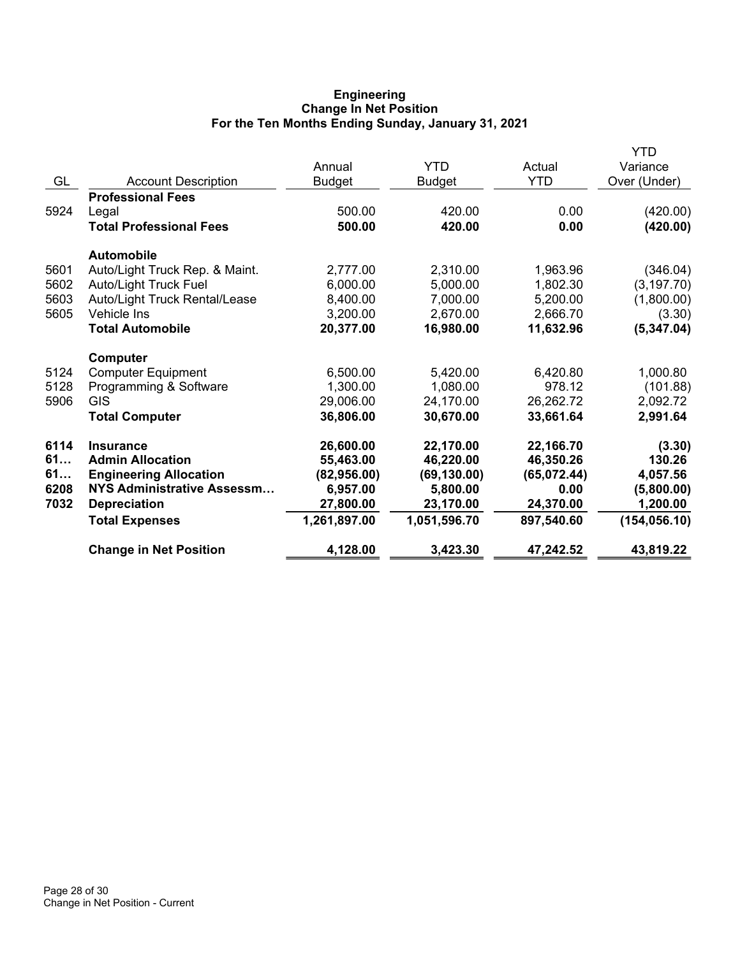## **Engineering Change In Net Position For the Ten Months Ending Sunday, January 31, 2021**

|      |                                | Annual        | <b>YTD</b>    | Actual      | YTD<br>Variance |
|------|--------------------------------|---------------|---------------|-------------|-----------------|
| GL   | <b>Account Description</b>     | <b>Budget</b> | <b>Budget</b> | <b>YTD</b>  | Over (Under)    |
|      | <b>Professional Fees</b>       |               |               |             |                 |
| 5924 | Legal                          | 500.00        | 420.00        | 0.00        | (420.00)        |
|      | <b>Total Professional Fees</b> | 500.00        | 420.00        | 0.00        | (420.00)        |
|      | <b>Automobile</b>              |               |               |             |                 |
| 5601 | Auto/Light Truck Rep. & Maint. | 2,777.00      | 2,310.00      | 1,963.96    | (346.04)        |
| 5602 | <b>Auto/Light Truck Fuel</b>   | 6,000.00      | 5,000.00      | 1,802.30    | (3, 197.70)     |
| 5603 | Auto/Light Truck Rental/Lease  | 8,400.00      | 7,000.00      | 5,200.00    | (1,800.00)      |
| 5605 | Vehicle Ins                    | 3,200.00      | 2,670.00      | 2,666.70    | (3.30)          |
|      | <b>Total Automobile</b>        | 20,377.00     | 16,980.00     | 11,632.96   | (5,347.04)      |
|      | Computer                       |               |               |             |                 |
| 5124 | <b>Computer Equipment</b>      | 6,500.00      | 5,420.00      | 6,420.80    | 1,000.80        |
| 5128 | Programming & Software         | 1,300.00      | 1,080.00      | 978.12      | (101.88)        |
| 5906 | <b>GIS</b>                     | 29,006.00     | 24,170.00     | 26,262.72   | 2,092.72        |
|      | <b>Total Computer</b>          | 36,806.00     | 30,670.00     | 33,661.64   | 2,991.64        |
| 6114 | <b>Insurance</b>               | 26,600.00     | 22,170.00     | 22,166.70   | (3.30)          |
| 61   | <b>Admin Allocation</b>        | 55,463.00     | 46,220.00     | 46,350.26   | 130.26          |
| 61   | <b>Engineering Allocation</b>  | (82,956.00)   | (69, 130.00)  | (65,072.44) | 4,057.56        |
| 6208 | NYS Administrative Assessm     | 6,957.00      | 5,800.00      | 0.00        | (5,800.00)      |
| 7032 | <b>Depreciation</b>            | 27,800.00     | 23,170.00     | 24,370.00   | 1,200.00        |
|      | <b>Total Expenses</b>          | 1,261,897.00  | 1,051,596.70  | 897,540.60  | (154, 056.10)   |
|      | <b>Change in Net Position</b>  | 4,128.00      | 3,423.30      | 47,242.52   | 43,819.22       |
|      |                                |               |               |             |                 |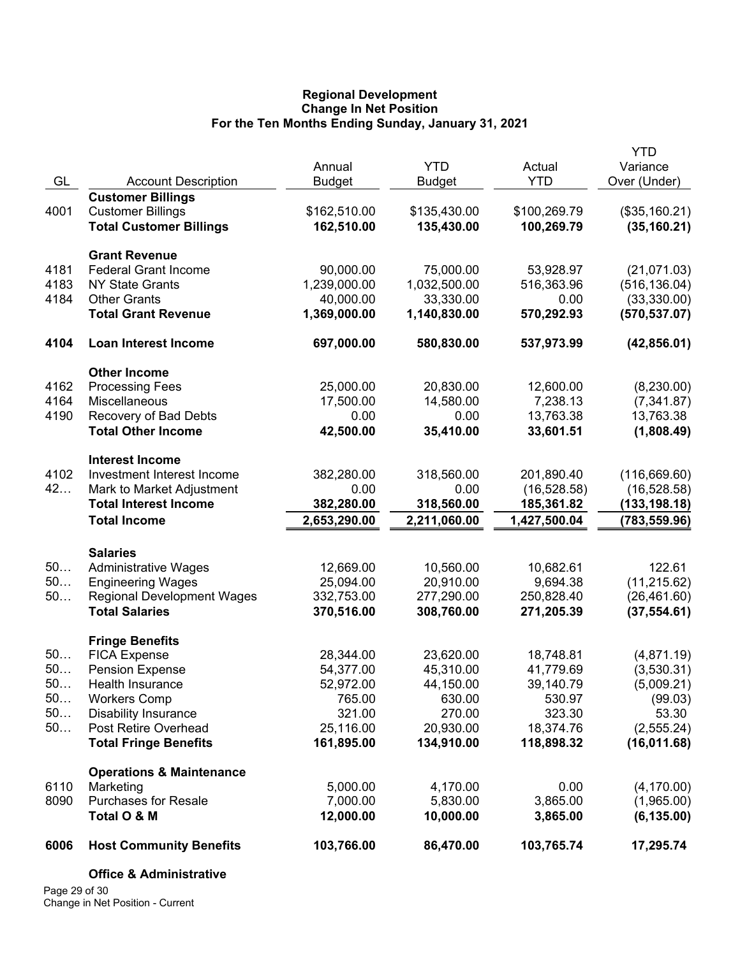## **Regional Development Change In Net Position For the Ten Months Ending Sunday, January 31, 2021**

|      |                                            |                       |                       |                      | <b>YTD</b>                |
|------|--------------------------------------------|-----------------------|-----------------------|----------------------|---------------------------|
|      |                                            | Annual                | <b>YTD</b>            | Actual               | Variance                  |
| GL   | <b>Account Description</b>                 | <b>Budget</b>         | <b>Budget</b>         | <b>YTD</b>           | Over (Under)              |
|      | <b>Customer Billings</b>                   |                       |                       |                      |                           |
| 4001 | <b>Customer Billings</b>                   | \$162,510.00          | \$135,430.00          | \$100,269.79         | (\$35,160.21)             |
|      | <b>Total Customer Billings</b>             | 162,510.00            | 135,430.00            | 100,269.79           | (35, 160.21)              |
|      | <b>Grant Revenue</b>                       |                       |                       |                      |                           |
| 4181 | <b>Federal Grant Income</b>                | 90,000.00             | 75,000.00             | 53,928.97            | (21,071.03)               |
| 4183 | <b>NY State Grants</b>                     | 1,239,000.00          | 1,032,500.00          | 516,363.96           | (516, 136.04)             |
| 4184 | <b>Other Grants</b>                        | 40,000.00             | 33,330.00             | 0.00                 | (33,330.00)               |
|      | <b>Total Grant Revenue</b>                 | 1,369,000.00          | 1,140,830.00          | 570,292.93           | (570, 537.07)             |
| 4104 | Loan Interest Income                       | 697,000.00            | 580,830.00            | 537,973.99           | (42, 856.01)              |
|      | <b>Other Income</b>                        |                       |                       |                      |                           |
| 4162 | <b>Processing Fees</b>                     | 25,000.00             | 20,830.00             | 12,600.00            | (8,230.00)                |
| 4164 | Miscellaneous                              | 17,500.00             | 14,580.00             | 7,238.13             | (7,341.87)                |
| 4190 | Recovery of Bad Debts                      | 0.00                  | 0.00                  | 13,763.38            | 13,763.38                 |
|      | <b>Total Other Income</b>                  | 42,500.00             | 35,410.00             | 33,601.51            | (1,808.49)                |
|      | <b>Interest Income</b>                     |                       |                       |                      |                           |
| 4102 | Investment Interest Income                 | 382,280.00            | 318,560.00            | 201,890.40           | (116, 669.60)             |
| 42   | Mark to Market Adjustment                  | 0.00                  | 0.00                  | (16, 528.58)         | (16, 528.58)              |
|      | <b>Total Interest Income</b>               | 382,280.00            | 318,560.00            | 185,361.82           | (133, 198.18)             |
|      | <b>Total Income</b>                        | 2,653,290.00          | 2,211,060.00          | 1,427,500.04         | (783, 559.96)             |
|      | <b>Salaries</b>                            |                       |                       |                      |                           |
| 50   | <b>Administrative Wages</b>                | 12,669.00             | 10,560.00             | 10,682.61            | 122.61                    |
| 50   | <b>Engineering Wages</b>                   | 25,094.00             | 20,910.00             | 9,694.38             | (11, 215.62)              |
| 50   | <b>Regional Development Wages</b>          | 332,753.00            | 277,290.00            | 250,828.40           | (26, 461.60)              |
|      | <b>Total Salaries</b>                      | 370,516.00            | 308,760.00            | 271,205.39           | (37, 554.61)              |
|      | <b>Fringe Benefits</b>                     |                       |                       |                      |                           |
| 50   | <b>FICA Expense</b>                        | 28,344.00             | 23,620.00             | 18,748.81            | (4,871.19)                |
| 50   | <b>Pension Expense</b>                     | 54,377.00             | 45,310.00             | 41,779.69            | (3,530.31)                |
| 50.  | Health Insurance                           | 52,972.00             | 44,150.00             | 39,140.79            | (5,009.21)                |
| 50   | <b>Workers Comp</b>                        | 765.00                | 630.00                | 530.97               | (99.03)                   |
| 50   | <b>Disability Insurance</b>                | 321.00                | 270.00                | 323.30               | 53.30                     |
| 50   | Post Retire Overhead                       | 25,116.00             | 20,930.00             | 18,374.76            | (2, 555.24)               |
|      | <b>Total Fringe Benefits</b>               | 161,895.00            | 134,910.00            | 118,898.32           | (16,011.68)               |
|      | <b>Operations &amp; Maintenance</b>        |                       |                       |                      |                           |
| 6110 | Marketing                                  | 5,000.00              | 4,170.00              | 0.00                 | (4, 170.00)               |
| 8090 | <b>Purchases for Resale</b><br>Total O & M | 7,000.00<br>12,000.00 | 5,830.00<br>10,000.00 | 3,865.00<br>3,865.00 | (1,965.00)<br>(6, 135.00) |
| 6006 | <b>Host Community Benefits</b>             | 103,766.00            | 86,470.00             | 103,765.74           | 17,295.74                 |
|      | <b>Office &amp; Administrative</b>         |                       |                       |                      |                           |
|      |                                            |                       |                       |                      |                           |

Page 29 of 30 Change in Net Position - Current